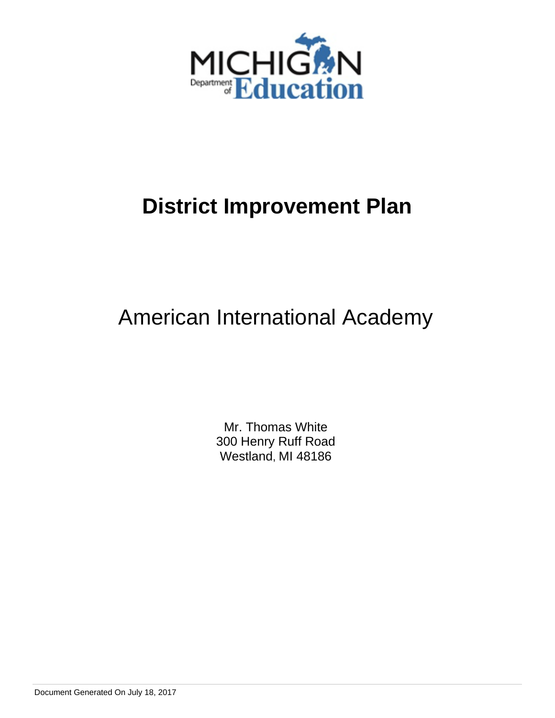

# American International Academy

Mr. Thomas White 300 Henry Ruff Road Westland, MI 48186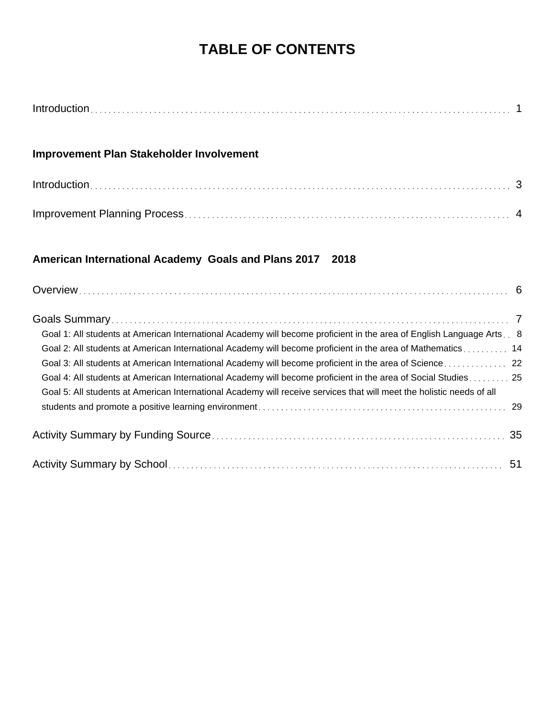# **TABLE OF CONTENTS**

|--|

# **Improvement Plan Stakeholder Involvement**

| $Introduction \dots 3$ |  |
|------------------------|--|
|                        |  |

# **American International Academy Goals and Plans 2017 2018**

| Goal 1: All students at American International Academy will become proficient in the area of English Language Arts. 8 |  |
|-----------------------------------------------------------------------------------------------------------------------|--|
| Goal 2: All students at American International Academy will become proficient in the area of Mathematics 14           |  |
|                                                                                                                       |  |
| Goal 4: All students at American International Academy will become proficient in the area of Social Studies 25        |  |
| Goal 5: All students at American International Academy will receive services that will meet the holistic needs of all |  |
|                                                                                                                       |  |
|                                                                                                                       |  |
|                                                                                                                       |  |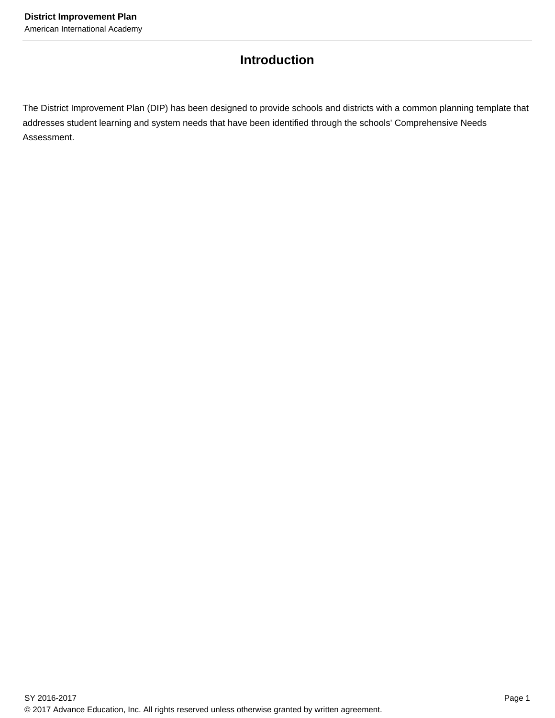# **Introduction**

The District Improvement Plan (DIP) has been designed to provide schools and districts with a common planning template that addresses student learning and system needs that have been identified through the schools' Comprehensive Needs Assessment.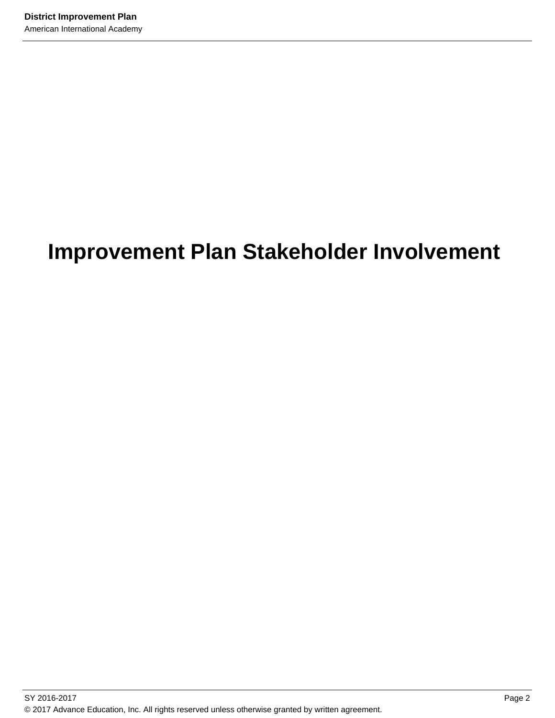# **Improvement Plan Stakeholder Involvement**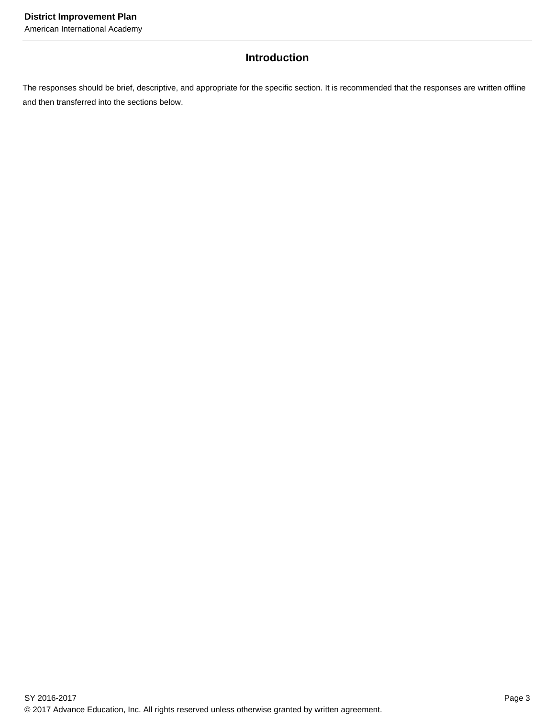American International Academy

# **Introduction**

The responses should be brief, descriptive, and appropriate for the specific section. It is recommended that the responses are written offline and then transferred into the sections below.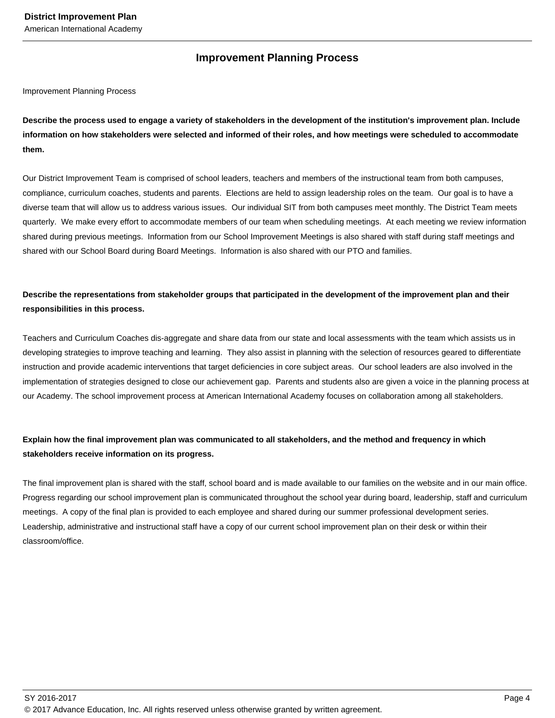#### American International Academy

# **Improvement Planning Process**

Improvement Planning Process

**Describe the process used to engage a variety of stakeholders in the development of the institution's improvement plan. Include information on how stakeholders were selected and informed of their roles, and how meetings were scheduled to accommodate them.** 

Our District Improvement Team is comprised of school leaders, teachers and members of the instructional team from both campuses, compliance, curriculum coaches, students and parents. Elections are held to assign leadership roles on the team. Our goal is to have a diverse team that will allow us to address various issues. Our individual SIT from both campuses meet monthly. The District Team meets quarterly. We make every effort to accommodate members of our team when scheduling meetings. At each meeting we review information shared during previous meetings. Information from our School Improvement Meetings is also shared with staff during staff meetings and shared with our School Board during Board Meetings. Information is also shared with our PTO and families.

# **Describe the representations from stakeholder groups that participated in the development of the improvement plan and their responsibilities in this process.**

Teachers and Curriculum Coaches dis-aggregate and share data from our state and local assessments with the team which assists us in developing strategies to improve teaching and learning. They also assist in planning with the selection of resources geared to differentiate instruction and provide academic interventions that target deficiencies in core subject areas. Our school leaders are also involved in the implementation of strategies designed to close our achievement gap. Parents and students also are given a voice in the planning process at our Academy. The school improvement process at American International Academy focuses on collaboration among all stakeholders.

# **Explain how the final improvement plan was communicated to all stakeholders, and the method and frequency in which stakeholders receive information on its progress.**

The final improvement plan is shared with the staff, school board and is made available to our families on the website and in our main office. Progress regarding our school improvement plan is communicated throughout the school year during board, leadership, staff and curriculum meetings. A copy of the final plan is provided to each employee and shared during our summer professional development series. Leadership, administrative and instructional staff have a copy of our current school improvement plan on their desk or within their classroom/office.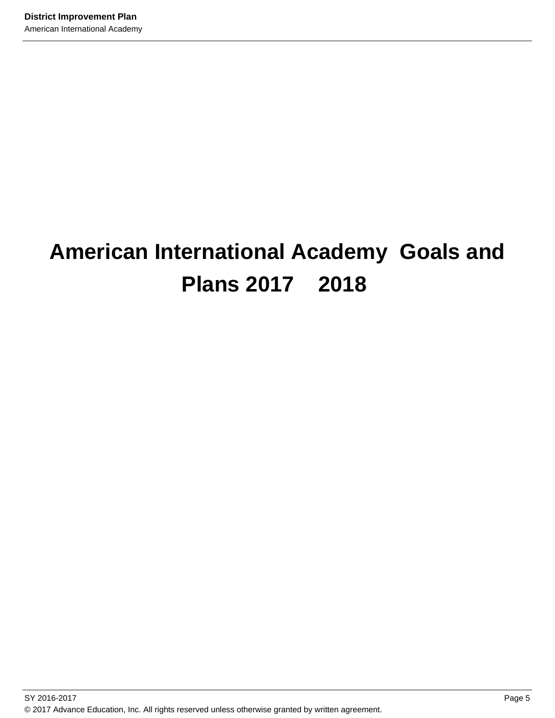# **American International Academy Goals and Plans 2017 2018**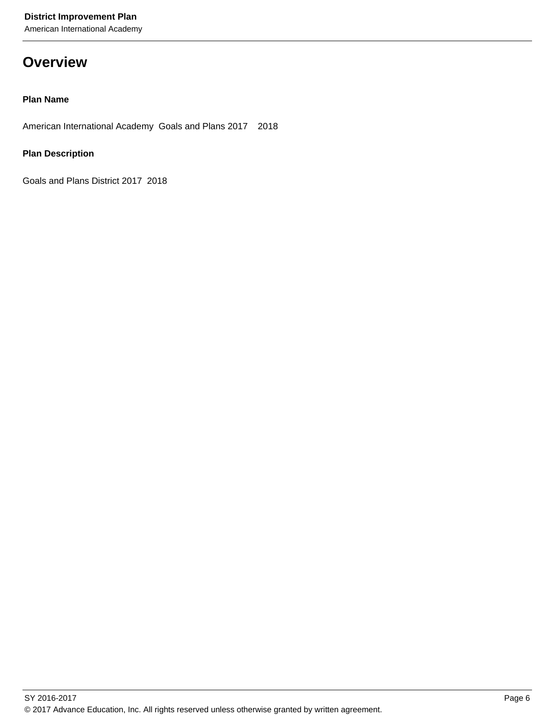American International Academy

# **Overview**

### **Plan Name**

American International Academy Goals and Plans 2017 2018

### **Plan Description**

Goals and Plans District 2017 2018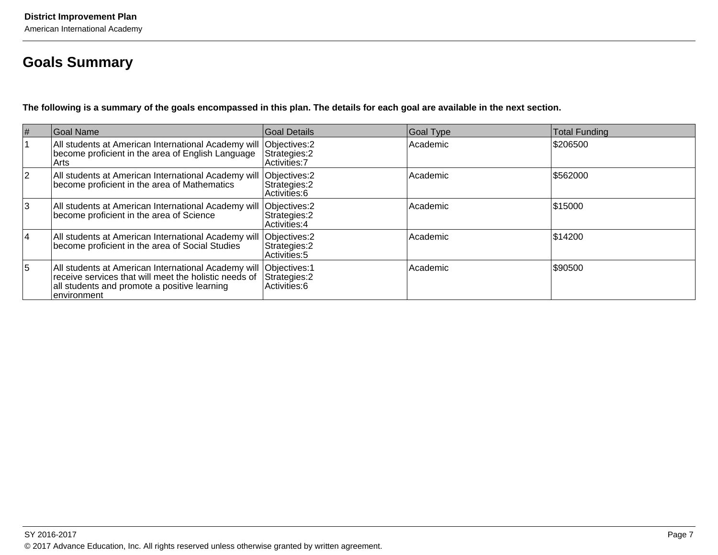# **Goals Summary**

**The following is a summary of the goals encompassed in this plan. The details for each goal are available in the next section.**

| $\vert \#$  | Goal Name                                                                                                                                                                                  | Goal Details                   | <b>Goal Type</b> | <b>Total Funding</b> |
|-------------|--------------------------------------------------------------------------------------------------------------------------------------------------------------------------------------------|--------------------------------|------------------|----------------------|
|             | All students at American International Academy will Objectives: 2 become proficient in the area of English Language Strategies: 2<br>Arts                                                  | Activities: 7                  | Academic         | \$206500             |
| $ 2\rangle$ | All students at American International Academy will Objectives: 2<br>become proficient in the area of Mathematics                                                                          | Strategies: 2<br>Activities: 6 | Academic         | \$562000             |
| 3           | All students at American International Academy will Objectives: 2<br>become proficient in the area of Science                                                                              | Strategies: 2<br>Activities: 4 | Academic         | \$15000              |
| 14          | All students at American International Academy will Objectives: 2<br>  become proficient in the area of Social Studies   Strategies: 2                                                     | Strategies: 2<br>Activities: 5 | Academic         | \$14200              |
| 5           | All students at American International Academy will Objectives: 1<br>receive services that will meet the holistic needs of<br>all students and promote a positive learning<br>∣environment | Strategies: 2<br>Activities: 6 | Academic         | \$90500              |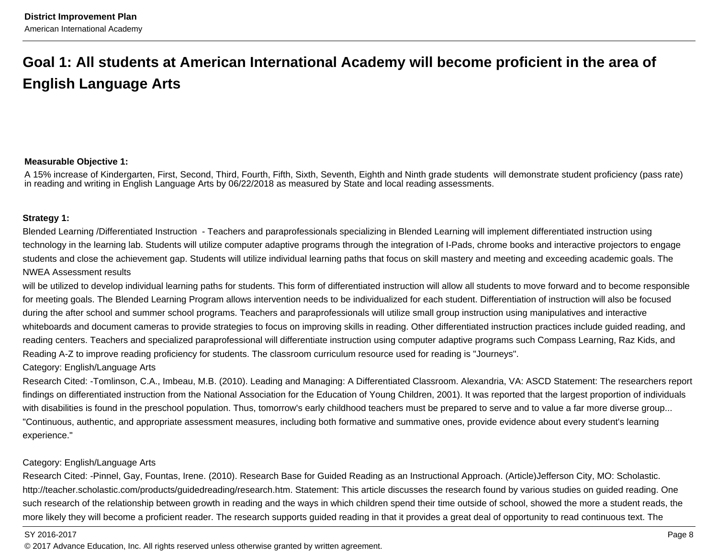# **Goal 1: All students at American International Academy will become proficient in the area ofEnglish Language Arts**

# **Measurable Objective 1:**

A 15% increase of Kindergarten, First, Second, Third, Fourth, Fifth, Sixth, Seventh, Eighth and Ninth grade students will demonstrate student proficiency (pass rate)in reading and writing in English Language Arts by 06/22/2018 as measured by State and local reading assessments.

#### **Strategy 1:**

Blended Learning /Differentiated Instruction - Teachers and paraprofessionals specializing in Blended Learning will implement differentiated instruction using technology in the learning lab. Students will utilize computer adaptive programs through the integration of I-Pads, chrome books and interactive projectors to engagestudents and close the achievement gap. Students will utilize individual learning paths that focus on skill mastery and meeting and exceeding academic goals. TheNWEA Assessment results

will be utilized to develop individual learning paths for students. This form of differentiated instruction will allow all students to move forward and to become responsible for meeting goals. The Blended Learning Program allows intervention needs to be individualized for each student. Differentiation of instruction will also be focusedduring the after school and summer school programs. Teachers and paraprofessionals will utilize small group instruction using manipulatives and interactivewhiteboards and document cameras to provide strategies to focus on improving skills in reading. Other differentiated instruction practices include guided reading, andreading centers. Teachers and specialized paraprofessional will differentiate instruction using computer adaptive programs such Compass Learning, Raz Kids, andReading A-Z to improve reading proficiency for students. The classroom curriculum resource used for reading is "Journeys".

#### Category: English/Language Arts

Research Cited: -Tomlinson, C.A., Imbeau, M.B. (2010). Leading and Managing: A Differentiated Classroom. Alexandria, VA: ASCD Statement: The researchers reportfindings on differentiated instruction from the National Association for the Education of Young Children, 2001). It was reported that the largest proportion of individualswith disabilities is found in the preschool population. Thus, tomorrow's early childhood teachers must be prepared to serve and to value a far more diverse group... "Continuous, authentic, and appropriate assessment measures, including both formative and summative ones, provide evidence about every student's learningexperience."

#### Category: English/Language Arts

Research Cited: -Pinnel, Gay, Fountas, Irene. (2010). Research Base for Guided Reading as an Instructional Approach. (Article)Jefferson City, MO: Scholastic.http://teacher.scholastic.com/products/guidedreading/research.htm. Statement: This article discusses the research found by various studies on guided reading. Onesuch research of the relationship between growth in reading and the ways in which children spend their time outside of school, showed the more a student reads, themore likely they will become a proficient reader. The research supports guided reading in that it provides a great deal of opportunity to read continuous text. The

#### SY 2016-2017

en de la provincia de la provincia de la provincia de la provincia de la provincia de la provincia de la provi © 2017 Advance Education, Inc. All rights reserved unless otherwise granted by written agreement.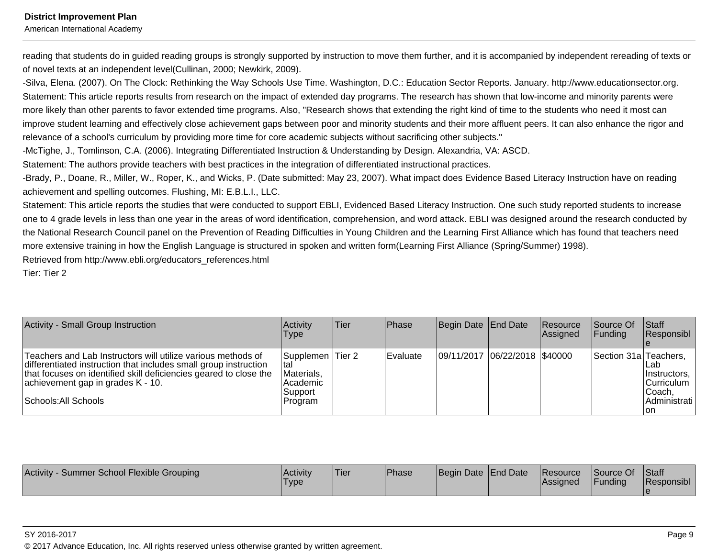American International Academy

reading that students do in guided reading groups is strongly supported by instruction to move them further, and it is accompanied by independent rereading of texts or of novel texts at an independent level(Cullinan, 2000; Newkirk, 2009).

-Silva, Elena. (2007). On The Clock: Rethinking the Way Schools Use Time. Washington, D.C.: Education Sector Reports. January. http://www.educationsector.org.Statement: This article reports results from research on the impact of extended day programs. The research has shown that low-income and minority parents weremore likely than other parents to favor extended time programs. Also, "Research shows that extending the right kind of time to the students who need it most can improve student learning and effectively close achievement gaps between poor and minority students and their more affluent peers. It can also enhance the rigor andrelevance of a school's curriculum by providing more time for core academic subjects without sacrificing other subjects."

-McTighe, J., Tomlinson, C.A. (2006). Integrating Differentiated Instruction & Understanding by Design. Alexandria, VA: ASCD.

Statement: The authors provide teachers with best practices in the integration of differentiated instructional practices.

-Brady, P., Doane, R., Miller, W., Roper, K., and Wicks, P. (Date submitted: May 23, 2007). What impact does Evidence Based Literacy Instruction have on readingachievement and spelling outcomes. Flushing, MI: E.B.L.I., LLC.

Statement: This article reports the studies that were conducted to support EBLI, Evidenced Based Literacy Instruction. One such study reported students to increase one to 4 grade levels in less than one year in the areas of word identification, comprehension, and word attack. EBLI was designed around the research conducted bythe National Research Council panel on the Prevention of Reading Difficulties in Young Children and the Learning First Alliance which has found that teachers needmore extensive training in how the English Language is structured in spoken and written form(Learning First Alliance (Spring/Summer) 1998).

Retrieved from http://www.ebli.org/educators\_references.html

Tier: Tier 2

| <b>Activity - Small Group Instruction</b>                                                                                                                                                                                                                          | Activity<br><b>Type</b>                                                    | Tier | <b>IPhase</b>    | Begin Date End Date           | <b>Resource</b><br>Assigned | <b>Source Of</b><br>IFundina | <b>Staff</b><br><b>Responsibl</b>                                      |
|--------------------------------------------------------------------------------------------------------------------------------------------------------------------------------------------------------------------------------------------------------------------|----------------------------------------------------------------------------|------|------------------|-------------------------------|-----------------------------|------------------------------|------------------------------------------------------------------------|
| Teachers and Lab Instructors will utilize various methods of<br>differentiated instruction that includes small group instruction<br>that focuses on identified skill deficiencies geared to close the<br>achievement gap in grades K - 10.<br>Schools: All Schools | Supplemen Tier 2<br>Ital<br>Materials,<br>l Academic<br>Support<br>Program |      | <b>IEvaluate</b> | 09/11/2017 06/22/2018 \$40000 |                             | Section 31a Teachers.        | Lab<br>Instructors,<br> Curriculum  <br> Coach,<br>Administrati<br>lon |

| Activity - Summer School Flexible Grouping | <b>Activity</b><br><b>Type</b> | 'Tier | <b>Phase</b> | Begin Date End Date | <b>Resource</b><br>lAssianed | Source Of<br>Funding | <b>Staff</b><br>Responsibl |
|--------------------------------------------|--------------------------------|-------|--------------|---------------------|------------------------------|----------------------|----------------------------|
|                                            |                                |       |              |                     |                              |                      |                            |

#### SY 2016-2017

© 2017 Advance Education, Inc. All rights reserved unless otherwise granted by written agreement.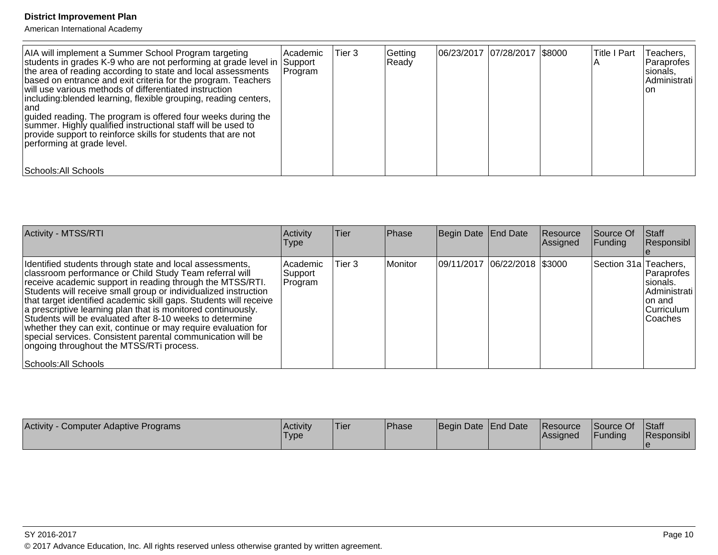| AIA will implement a Summer School Program targeting<br>students in grades K-9 who are not performing at grade level in Support<br>the area of reading according to state and local assessments<br>based on entrance and exit criteria for the program. Teachers<br>will use various methods of differentiated instruction<br>including: blended learning, flexible grouping, reading centers,<br>land<br>guided reading. The program is offered four weeks during the<br>summer. Highly qualified instructional staff will be used to<br>provide support to reinforce skills for students that are not<br>performing at grade level. | l Academic<br> Program | Tier 3 | Getting<br>Ready | 06/23/2017 07/28/2017 \$8000 | Title I Part | Teachers,<br>l Paraprofes<br>sionals,<br>Administrati<br>Ton |
|---------------------------------------------------------------------------------------------------------------------------------------------------------------------------------------------------------------------------------------------------------------------------------------------------------------------------------------------------------------------------------------------------------------------------------------------------------------------------------------------------------------------------------------------------------------------------------------------------------------------------------------|------------------------|--------|------------------|------------------------------|--------------|--------------------------------------------------------------|
| Schools: All Schools_                                                                                                                                                                                                                                                                                                                                                                                                                                                                                                                                                                                                                 |                        |        |                  |                              |              |                                                              |

| <b>Activity - MTSS/RTI</b>                                                                                                                                                                                                                                                                                                                                                                                                                                                                                                                                                                                                                               | Activity<br><b>Type</b>           | <b>Tier</b> | Phase   | Begin Date End Date            | Resource<br>Assigned | Source Of<br><b>Funding</b> | Staff<br>Responsibl                                                           |
|----------------------------------------------------------------------------------------------------------------------------------------------------------------------------------------------------------------------------------------------------------------------------------------------------------------------------------------------------------------------------------------------------------------------------------------------------------------------------------------------------------------------------------------------------------------------------------------------------------------------------------------------------------|-----------------------------------|-------------|---------|--------------------------------|----------------------|-----------------------------|-------------------------------------------------------------------------------|
| Identified students through state and local assessments,<br>classroom performance or Child Study Team referral will<br>receive academic support in reading through the MTSS/RTI.<br>Students will receive small group or individualized instruction<br>that target identified academic skill gaps. Students will receive<br>a prescriptive learning plan that is monitored continuously.<br>Students will be evaluated after 8-10 weeks to determine<br>whether they can exit, continue or may require evaluation for<br>special services. Consistent parental communication will be<br>ongoing throughout the MTSS/RTi process.<br>Schools: All Schools | l Academic<br> Support<br>Program | Tier 3      | Monitor | 09/11/2017  06/22/2018  \$3000 |                      | Section 31a Teachers,       | Paraprofes<br>Isionals.<br>Administrati<br>Ion and<br> Curriculum<br>lCoaches |

| Activity<br>Computer Adaptive Programs | Activity<br>'Type | !Tier | <b>Phase</b> | Begin Date End Date | <b>IResource</b><br> Assigned | Source Of<br>Funding | Staff<br>Responsibl |
|----------------------------------------|-------------------|-------|--------------|---------------------|-------------------------------|----------------------|---------------------|
|                                        |                   |       |              |                     |                               |                      |                     |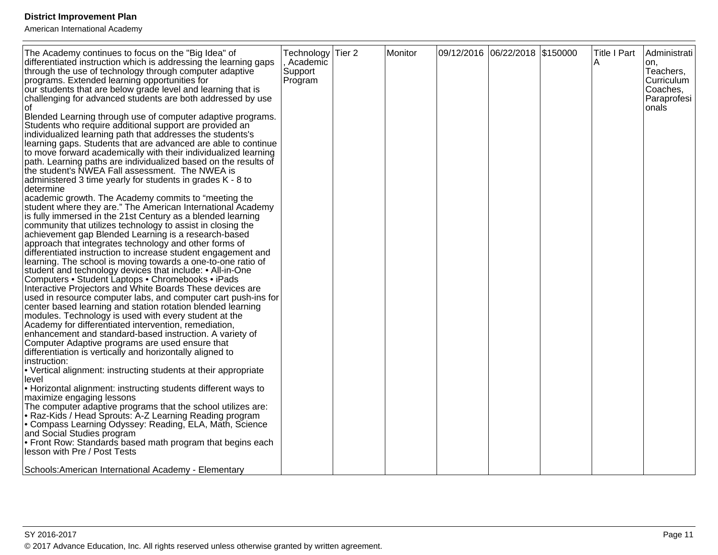| The Academy continues to focus on the "Big Idea" of                                                                           | Technology | Tier <sub>2</sub> | Monitor | 09/12/2016 06/22/2018 \$150000 | Title I Part | Administrati           |
|-------------------------------------------------------------------------------------------------------------------------------|------------|-------------------|---------|--------------------------------|--------------|------------------------|
| differentiated instruction which is addressing the learning gaps                                                              | Academic   |                   |         |                                | A            | on.                    |
| through the use of technology through computer adaptive                                                                       | Support    |                   |         |                                |              | Teachers,              |
| programs. Extended learning opportunities for                                                                                 | Program    |                   |         |                                |              | Curriculum<br>Coaches, |
| our students that are below grade level and learning that is<br>challenging for advanced students are both addressed by use   |            |                   |         |                                |              | Paraprofesi            |
| οf                                                                                                                            |            |                   |         |                                |              | onals                  |
| Blended Learning through use of computer adaptive programs.                                                                   |            |                   |         |                                |              |                        |
| Students who require additional support are provided an                                                                       |            |                   |         |                                |              |                        |
| individualized learning path that addresses the students's                                                                    |            |                   |         |                                |              |                        |
| learning gaps. Students that are advanced are able to continue                                                                |            |                   |         |                                |              |                        |
| to move forward academically with their individualized learning                                                               |            |                   |         |                                |              |                        |
| path. Learning paths are individualized based on the results of<br>the student's NWEA Fall assessment. The NWEA is            |            |                   |         |                                |              |                        |
| administered 3 time yearly for students in grades K - 8 to                                                                    |            |                   |         |                                |              |                        |
| determine                                                                                                                     |            |                   |         |                                |              |                        |
| academic growth. The Academy commits to "meeting the                                                                          |            |                   |         |                                |              |                        |
| student where they are." The American International Academy                                                                   |            |                   |         |                                |              |                        |
| is fully immersed in the 21st Century as a blended learning                                                                   |            |                   |         |                                |              |                        |
| community that utilizes technology to assist in closing the                                                                   |            |                   |         |                                |              |                        |
| achievement gap Blended Learning is a research-based<br>approach that integrates technology and other forms of                |            |                   |         |                                |              |                        |
| differentiated instruction to increase student engagement and                                                                 |            |                   |         |                                |              |                        |
| learning. The school is moving towards a one-to-one ratio of                                                                  |            |                   |         |                                |              |                        |
| student and technology devices that include: • All-in-One                                                                     |            |                   |         |                                |              |                        |
| Computers • Student Laptops • Chromebooks • iPads                                                                             |            |                   |         |                                |              |                        |
| Interactive Projectors and White Boards These devices are                                                                     |            |                   |         |                                |              |                        |
| used in resource computer labs, and computer cart push-ins for<br>center based learning and station rotation blended learning |            |                   |         |                                |              |                        |
| modules. Technology is used with every student at the                                                                         |            |                   |         |                                |              |                        |
| Academy for differentiated intervention, remediation,                                                                         |            |                   |         |                                |              |                        |
| enhancement and standard-based instruction. A variety of                                                                      |            |                   |         |                                |              |                        |
| Computer Adaptive programs are used ensure that                                                                               |            |                   |         |                                |              |                        |
| differentiation is vertically and horizontally aligned to<br>instruction:                                                     |            |                   |         |                                |              |                        |
| • Vertical alignment: instructing students at their appropriate                                                               |            |                   |         |                                |              |                        |
| level                                                                                                                         |            |                   |         |                                |              |                        |
| • Horizontal alignment: instructing students different ways to                                                                |            |                   |         |                                |              |                        |
| maximize engaging lessons                                                                                                     |            |                   |         |                                |              |                        |
| The computer adaptive programs that the school utilizes are:                                                                  |            |                   |         |                                |              |                        |
| • Raz-Kids / Head Sprouts: A-Z Learning Reading program<br>Compass Learning Odyssey: Reading, ELA, Math, Science              |            |                   |         |                                |              |                        |
| and Social Studies program                                                                                                    |            |                   |         |                                |              |                        |
| • Front Row: Standards based math program that begins each                                                                    |            |                   |         |                                |              |                        |
| lesson with Pre / Post Tests                                                                                                  |            |                   |         |                                |              |                        |
|                                                                                                                               |            |                   |         |                                |              |                        |
| Schools: American International Academy - Elementary                                                                          |            |                   |         |                                |              |                        |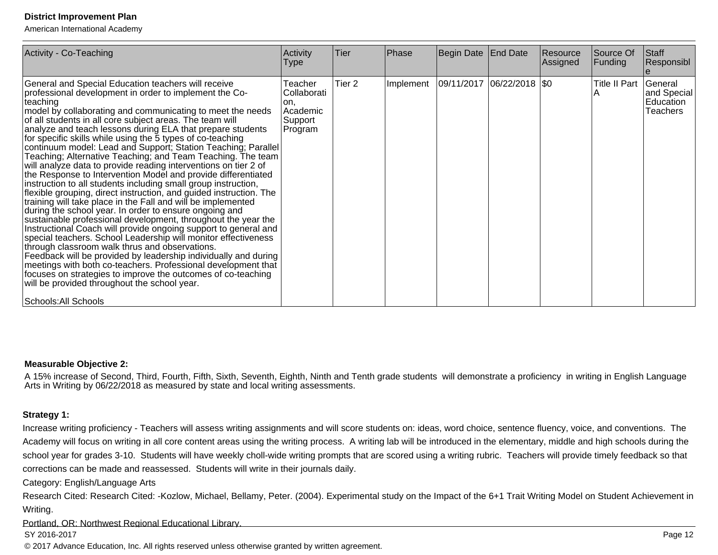American International Academy

| Activity - Co-Teaching                                                                                                                                                                                                                                                                                                                                                                                                                                                                                                                                                                                                                                                                                                                                                                                                                                                                                                                                                                                                                                                                                                                                                                                                                                                                                                                                                                                                                                     | Activity<br>Type                                                 | Tier              | Phase | Begin Date End Date                       | Resource<br>Assigned | Source Of<br>Funding | Staff<br>Responsibl                                    |
|------------------------------------------------------------------------------------------------------------------------------------------------------------------------------------------------------------------------------------------------------------------------------------------------------------------------------------------------------------------------------------------------------------------------------------------------------------------------------------------------------------------------------------------------------------------------------------------------------------------------------------------------------------------------------------------------------------------------------------------------------------------------------------------------------------------------------------------------------------------------------------------------------------------------------------------------------------------------------------------------------------------------------------------------------------------------------------------------------------------------------------------------------------------------------------------------------------------------------------------------------------------------------------------------------------------------------------------------------------------------------------------------------------------------------------------------------------|------------------------------------------------------------------|-------------------|-------|-------------------------------------------|----------------------|----------------------|--------------------------------------------------------|
| General and Special Education teachers will receive<br>professional development in order to implement the Co-<br>∣teaching<br>model by collaborating and communicating to meet the needs<br>of all students in all core subject areas. The team will<br>analyze and teach lessons during ELA that prepare students<br>for specific skills while using the 5 types of co-teaching<br>continuum model: Lead and Support; Station Teaching; Parallel<br>Teaching; Alternative Teaching; and Team Teaching. The team<br>will analyze data to provide reading interventions on tier 2 of<br>the Response to Intervention Model and provide differentiated<br>instruction to all students including small group instruction,<br>flexible grouping, direct instruction, and guided instruction. The<br>training will take place in the Fall and will be implemented<br>during the school year. In order to ensure ongoing and<br>sustainable professional development, throughout the year the<br>Instructional Coach will provide ongoing support to general and<br>special teachers. School Leadership will monitor effectiveness<br>through classroom walk thrus and observations.<br>Feedback will be provided by leadership individually and during<br>meetings with both co-teachers. Professional development that<br>focuses on strategies to improve the outcomes of co-teaching<br>will be provided throughout the school year.<br>Schools: All Schools | Teacher<br>Collaborati<br>lon.<br>Academic<br>Support<br>Program | Tier <sub>2</sub> |       | Implement   09/11/2017   06/22/2018   \$0 |                      | Title II Part<br>IА  | General<br>and Special<br>Education<br><b>Teachers</b> |

#### **Measurable Objective 2:**

A 15% increase of Second, Third, Fourth, Fifth, Sixth, Seventh, Eighth, Ninth and Tenth grade students will demonstrate a proficiency in writing in English Language<br>Arts in Writing by 06/22/2018 as measured by state and

#### **Strategy 1:**

Increase writing proficiency - Teachers will assess writing assignments and will score students on: ideas, word choice, sentence fluency, voice, and conventions. TheAcademy will focus on writing in all core content areas using the writing process. A writing lab will be introduced in the elementary, middle and high schools during the school year for grades 3-10. Students will have weekly choll-wide writing prompts that are scored using a writing rubric. Teachers will provide timely feedback so that corrections can be made and reassessed. Students will write in their journals daily.

Category: English/Language Arts

Research Cited: Research Cited: -Kozlow, Michael, Bellamy, Peter. (2004). Experimental study on the Impact of the 6+1 Trait Writing Model on Student Achievement inWriting.

Portland, OR: Northwest Regional Educational Library.

#### SY 2016-2017

© 2017 Advance Education, Inc. All rights reserved unless otherwise granted by written agreement.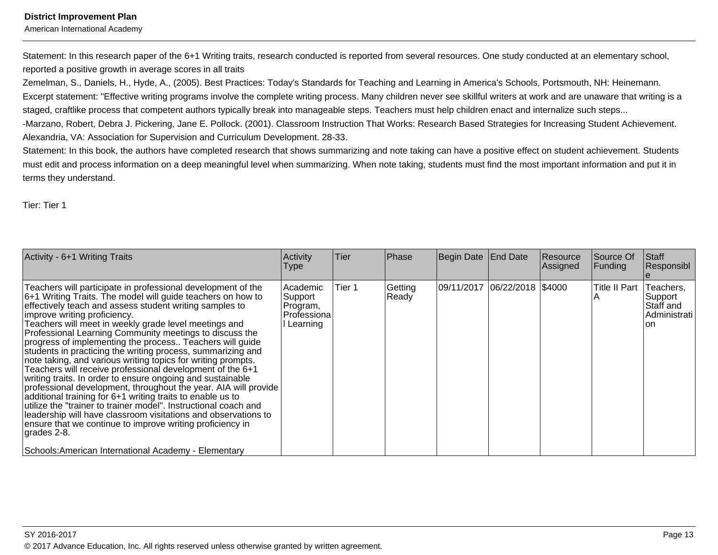American International Academy

Statement: In this research paper of the 6+1 Writing traits, research conducted is reported from several resources. One study conducted at an elementary school,reported a positive growth in average scores in all traits

Zemelman, S., Daniels, H., Hyde, A., (2005). Best Practices: Today's Standards for Teaching and Learning in America's Schools, Portsmouth, NH: Heinemann.Excerpt statement: "Effective writing programs involve the complete writing process. Many children never see skillful writers at work and are unaware that writing is astaged, craftlike process that competent authors typically break into manageable steps. Teachers must help children enact and internalize such steps...

-Marzano, Robert, Debra J. Pickering, Jane E. Pollock. (2001). Classroom Instruction That Works: Research Based Strategies for Increasing Student Achievement.Alexandria, VA: Association for Supervision and Curriculum Development. 28-33.

Statement: In this book, the authors have completed research that shows summarizing and note taking can have a positive effect on student achievement. Studentsmust edit and process information on a deep meaningful level when summarizing. When note taking, students must find the most important information and put it interms they understand.

Tier: Tier 1

| Activity - 6+1 Writing Traits                                                                                                                                                                                                                                                                                                                                                                                                                                                                                                                                                                                                                                                                                                                                                                                                                                                                                                                                                                                          | Activity<br><b>Type</b>                                      | Tier   | Phase            | Begin Date End Date          | Resource<br>Assigned | Source Of<br>Funding | Staff<br>Responsibl                                       |
|------------------------------------------------------------------------------------------------------------------------------------------------------------------------------------------------------------------------------------------------------------------------------------------------------------------------------------------------------------------------------------------------------------------------------------------------------------------------------------------------------------------------------------------------------------------------------------------------------------------------------------------------------------------------------------------------------------------------------------------------------------------------------------------------------------------------------------------------------------------------------------------------------------------------------------------------------------------------------------------------------------------------|--------------------------------------------------------------|--------|------------------|------------------------------|----------------------|----------------------|-----------------------------------------------------------|
| Teachers will participate in professional development of the<br>$ 6+1$ Writing Traits. The model will guide teachers on how to<br>effectively teach and assess student writing samples to<br>improve writing proficiency.<br>Teachers will meet in weekly grade level meetings and<br>Professional Learning Community meetings to discuss the<br>progress of implementing the process Teachers will guide<br>students in practicing the writing process, summarizing and<br>note taking, and various writing topics for writing prompts.<br>Teachers will receive professional development of the 6+1<br>writing traits. In order to ensure ongoing and sustainable<br>professional development, throughout the year. AIA will provide<br>additional training for 6+1 writing traits to enable us to<br>utilize the "trainer to trainer model". Instructional coach and<br>leadership will have classroom visitations and observations to<br>ensure that we continue to improve writing proficiency in<br> grades 2-8. | Academic<br>Support<br>Program,<br>Professiona<br>l Learning | Tier 1 | Getting<br>Ready | 09/11/2017 06/22/2018 \$4000 |                      | Title II Part        | Teachers,<br>Support<br>Staff and<br>Administrati<br>l on |
| Schools: American International Academy - Elementary                                                                                                                                                                                                                                                                                                                                                                                                                                                                                                                                                                                                                                                                                                                                                                                                                                                                                                                                                                   |                                                              |        |                  |                              |                      |                      |                                                           |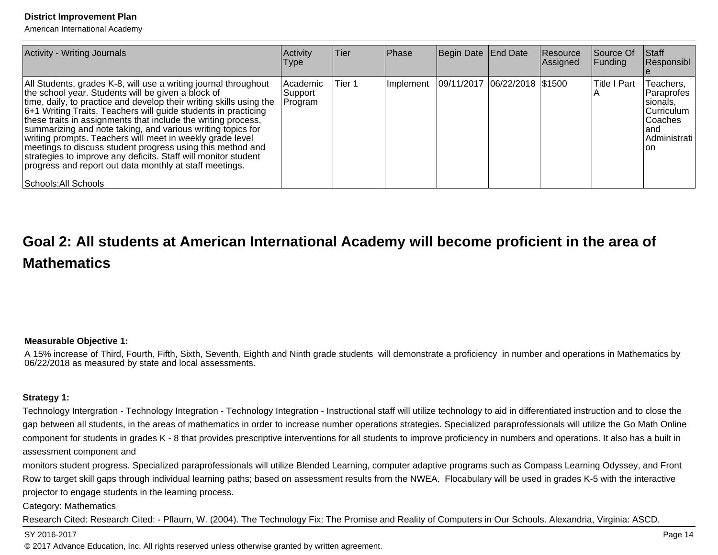American International Academy

| <b>Activity - Writing Journals</b>                                                                                                                                                                                                                                                                                                                                                                                                                                                                                                                                                                                                                                             | Activity<br><b>Type</b>         | <b>Tier</b> | Phase | Begin Date End Date                          | Resource<br>Assigned | Source Of<br><b>Funding</b> | <b>Staff</b><br>Responsibl                                                                      |
|--------------------------------------------------------------------------------------------------------------------------------------------------------------------------------------------------------------------------------------------------------------------------------------------------------------------------------------------------------------------------------------------------------------------------------------------------------------------------------------------------------------------------------------------------------------------------------------------------------------------------------------------------------------------------------|---------------------------------|-------------|-------|----------------------------------------------|----------------------|-----------------------------|-------------------------------------------------------------------------------------------------|
| All Students, grades K-8, will use a writing journal throughout<br>the school year. Students will be given a block of<br>time, daily, to practice and develop their writing skills using the<br>6+1 Writing Traits. Teachers will guide students in practicing<br>these traits in assignments that include the writing process,<br>summarizing and note taking, and various writing topics for<br>writing prompts. Teachers will meet in weekly grade level<br>meetings to discuss student progress using this method and<br>strategies to improve any deficits. Staff will monitor student<br>progress and report out data monthly at staff meetings.<br>Schools: All Schools | Academic<br> Support<br>Program | Tier 1      |       | Implement   09/11/2017   06/22/2018   \$1500 |                      | <b>Title I Part</b>         | Teachers,<br> Paraprofes<br>sionals,<br> Curriculum<br>lCoaches<br>land<br>Administrati<br>lon. |

# **Goal 2: All students at American International Academy will become proficient in the area ofMathematics**

#### **Measurable Objective 1:**

A 15% increase of Third, Fourth, Fifth, Sixth, Seventh, Eighth and Ninth grade students will demonstrate a proficiency in number and operations in Mathematics by06/22/2018 as measured by state and local assessments.

#### **Strategy 1:**

Technology Intergration - Technology Integration - Technology Integration - Instructional staff will utilize technology to aid in differentiated instruction and to close the gap between all students, in the areas of mathematics in order to increase number operations strategies. Specialized paraprofessionals will utilize the Go Math Onlinecomponent for students in grades K - 8 that provides prescriptive interventions for all students to improve proficiency in numbers and operations. It also has a built in assessment component and

monitors student progress. Specialized paraprofessionals will utilize Blended Learning, computer adaptive programs such as Compass Learning Odyssey, and FrontRow to target skill gaps through individual learning paths; based on assessment results from the NWEA. Flocabulary will be used in grades K-5 with the interactiveprojector to engage students in the learning process.

Category: Mathematics

Research Cited: Research Cited: - Pflaum, W. (2004). The Technology Fix: The Promise and Reality of Computers in Our Schools. Alexandria, Virginia: ASCD.

#### SY 2016-2017

© 2017 Advance Education, Inc. All rights reserved unless otherwise granted by written agreement.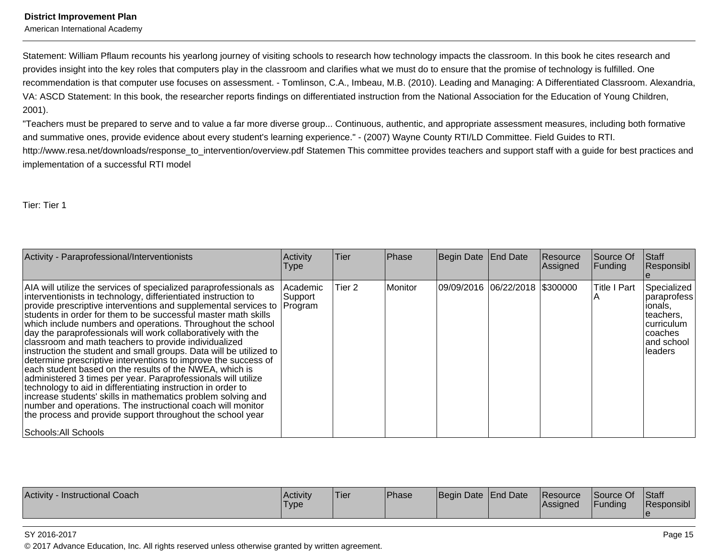American International Academy

Statement: William Pflaum recounts his yearlong journey of visiting schools to research how technology impacts the classroom. In this book he cites research andprovides insight into the key roles that computers play in the classroom and clarifies what we must do to ensure that the promise of technology is fulfilled. One recommendation is that computer use focuses on assessment. - Tomlinson, C.A., Imbeau, M.B. (2010). Leading and Managing: A Differentiated Classroom. Alexandria,VA: ASCD Statement: In this book, the researcher reports findings on differentiated instruction from the National Association for the Education of Young Children,2001).

"Teachers must be prepared to serve and to value a far more diverse group... Continuous, authentic, and appropriate assessment measures, including both formativeand summative ones, provide evidence about every student's learning experience." - (2007) Wayne County RTI/LD Committee. Field Guides to RTI.http://www.resa.net/downloads/response\_to\_intervention/overview.pdf Statemen This committee provides teachers and support staff with a guide for best practices andimplementation of a successful RTI model

Tier: Tier 1

| Activity - Paraprofessional/Interventionists                                                                                                                                                                                                                                                                                                                                                                                                                                                                                                                                                                                                                                                                                                                                                                                                                                                                                                                                                                              | Activity<br><b>Type</b>           | lTier. | Phase     | Begin Date End Date              | Resource<br>Assigned | Source Of<br>Funding | Staff<br>Responsibl                                                                                   |
|---------------------------------------------------------------------------------------------------------------------------------------------------------------------------------------------------------------------------------------------------------------------------------------------------------------------------------------------------------------------------------------------------------------------------------------------------------------------------------------------------------------------------------------------------------------------------------------------------------------------------------------------------------------------------------------------------------------------------------------------------------------------------------------------------------------------------------------------------------------------------------------------------------------------------------------------------------------------------------------------------------------------------|-----------------------------------|--------|-----------|----------------------------------|----------------------|----------------------|-------------------------------------------------------------------------------------------------------|
| AIA will utilize the services of specialized paraprofessionals as<br>interventionists in technology, differientiated instruction to<br>provide prescriptive interventions and supplemental services to<br>students in order for them to be successful master math skills<br>which include numbers and operations. Throughout the school<br>day the paraprofessionals will work collaboratively with the<br>classroom and math teachers to provide individualized<br>instruction the student and small groups. Data will be utilized to<br>determine prescriptive interventions to improve the success of<br>each student based on the results of the NWEA, which is<br>administered 3 times per year. Paraprofessionals will utilize<br>technology to aid in differentiating instruction in order to<br>increase students' skills in mathematics problem solving and<br>number and operations. The instructional coach will monitor<br>the process and provide support throughout the school year<br>Schools: All Schools | Academic <br> Support_<br>Program | Tier 2 | l Monitor | 09/09/2016  06/22/2018  \$300000 |                      | <b>Title I Part</b>  | Specialized<br>paraprofess<br>ionals,<br>teachers.<br>curriculum<br>coaches<br>and school<br>lleaders |

| Activity<br>Instructional Coach | Activity<br><b>Type</b> | Tier | <b>Phase</b> | Begin Date End Date |  | <b>Resource</b><br><b>IAssianed</b> | Source Of<br>'Funding | Staff<br>.<br>'Responsibl |
|---------------------------------|-------------------------|------|--------------|---------------------|--|-------------------------------------|-----------------------|---------------------------|
|---------------------------------|-------------------------|------|--------------|---------------------|--|-------------------------------------|-----------------------|---------------------------|

#### SY 2016-2017

© 2017 Advance Education, Inc. All rights reserved unless otherwise granted by written agreement.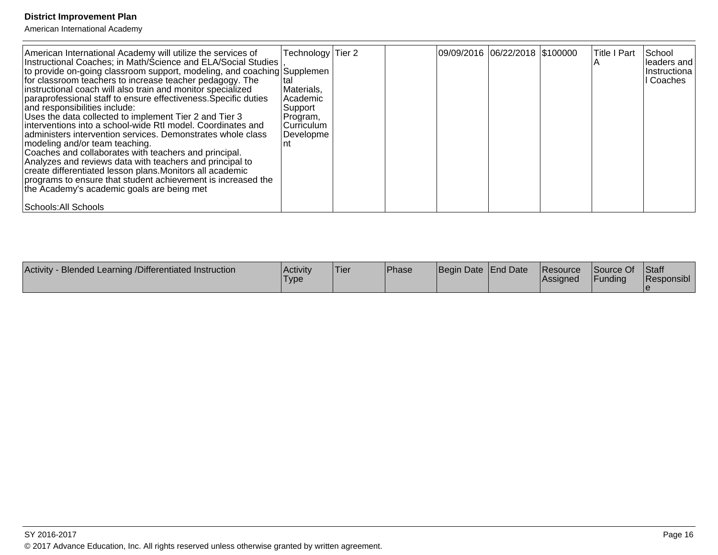| - Blended Learning /Differentiated Instruction<br>Activity | Activity<br>'Type | 'Tier | <b>Phase</b> | Begin Date End Date | <b>Resource</b><br><b>IAssigned</b> | Source Of<br><b>IFunding</b> | Staff<br>Responsibl |
|------------------------------------------------------------|-------------------|-------|--------------|---------------------|-------------------------------------|------------------------------|---------------------|
|                                                            |                   |       |              |                     |                                     |                              |                     |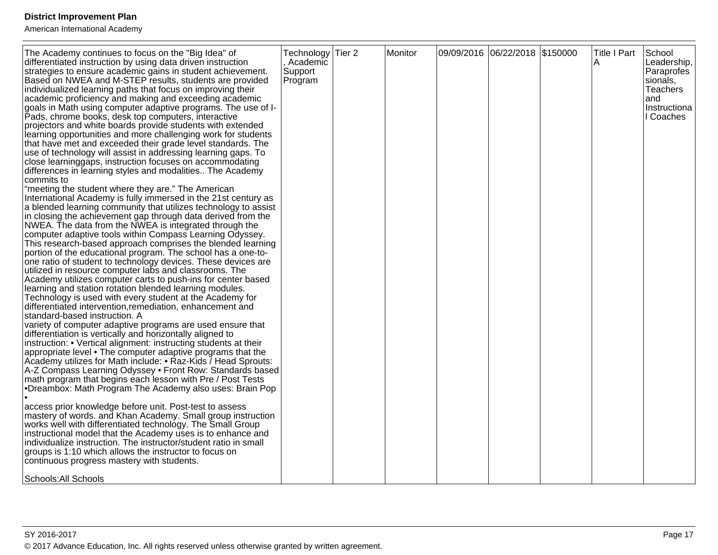| The Academy continues to focus on the "Big Idea" of<br>differentiated instruction by using data driven instruction<br>strategies to ensure academic gains in student achievement.<br>Based on NWEA and M-STEP results, students are provided<br>individualized learning paths that focus on improving their<br>academic proficiency and making and exceeding academic<br>goals in Math using computer adaptive programs. The use of I-<br>Pads, chrome books, desk top computers, interactive<br>projectors and white boards provide students with extended<br>learning opportunities and more challenging work for students<br>that have met and exceeded their grade level standards. The<br>use of technology will assist in addressing learning gaps. To<br>close learninggaps, instruction focuses on accommodating<br>differences in learning styles and modalities The Academy<br>commits to<br>"meeting the student where they are." The American<br>International Academy is fully immersed in the 21st century as<br>a blended learning community that utilizes technology to assist<br>in closing the achievement gap through data derived from the<br>NWEA. The data from the NWEA is integrated through the<br>computer adaptive tools within Compass Learning Odyssey.<br>This research-based approach comprises the blended learning<br>portion of the educational program. The school has a one-to-<br>one ratio of student to technology devices. These devices are<br>utilized in resource computer labs and classrooms. The<br>Academy utilizes computer carts to push-ins for center based<br>learning and station rotation blended learning modules.<br>Technology is used with every student at the Academy for<br>differentiated intervention, remediation, enhancement and<br>standard-based instruction. A<br>variety of computer adaptive programs are used ensure that<br>differentiation is vertically and horizontally aligned to<br>instruction: • Vertical alignment: instructing students at their<br>appropriate level • The computer adaptive programs that the<br>Academy utilizes for Math include: • Raz-Kids / Head Sprouts:<br>A-Z Compass Learning Odyssey • Front Row: Standards based<br>math program that begins each lesson with Pre / Post Tests<br>•Dreambox: Math Program The Academy also uses: Brain Pop<br>access prior knowledge before unit. Post-test to assess<br>mastery of words. and Khan Academy. Small group instruction<br>works well with differentiated technology. The Small Group<br>instructional model that the Academy uses is to enhance and<br>individualize instruction. The instructor/student ratio in small<br>groups is 1:10 which allows the instructor to focus on<br>continuous progress mastery with students. | Technology Tier 2<br>, Academic<br>Support<br>Program | Monitor | 09/09/2016 06/22/2018 \$150000 | <b>Title I Part</b><br>A | School<br>Leadership,<br>Paraprofes<br>sionals,<br>Teachers<br>and<br>Instructiona<br>I Coaches |
|----------------------------------------------------------------------------------------------------------------------------------------------------------------------------------------------------------------------------------------------------------------------------------------------------------------------------------------------------------------------------------------------------------------------------------------------------------------------------------------------------------------------------------------------------------------------------------------------------------------------------------------------------------------------------------------------------------------------------------------------------------------------------------------------------------------------------------------------------------------------------------------------------------------------------------------------------------------------------------------------------------------------------------------------------------------------------------------------------------------------------------------------------------------------------------------------------------------------------------------------------------------------------------------------------------------------------------------------------------------------------------------------------------------------------------------------------------------------------------------------------------------------------------------------------------------------------------------------------------------------------------------------------------------------------------------------------------------------------------------------------------------------------------------------------------------------------------------------------------------------------------------------------------------------------------------------------------------------------------------------------------------------------------------------------------------------------------------------------------------------------------------------------------------------------------------------------------------------------------------------------------------------------------------------------------------------------------------------------------------------------------------------------------------------------------------------------------------------------------------------------------------------------------------------------------------------------------------------------------------------------------------------------------------------------------------------------------------------------------------------------------------------------------------------|-------------------------------------------------------|---------|--------------------------------|--------------------------|-------------------------------------------------------------------------------------------------|
| Schools: All Schools                                                                                                                                                                                                                                                                                                                                                                                                                                                                                                                                                                                                                                                                                                                                                                                                                                                                                                                                                                                                                                                                                                                                                                                                                                                                                                                                                                                                                                                                                                                                                                                                                                                                                                                                                                                                                                                                                                                                                                                                                                                                                                                                                                                                                                                                                                                                                                                                                                                                                                                                                                                                                                                                                                                                                                         |                                                       |         |                                |                          |                                                                                                 |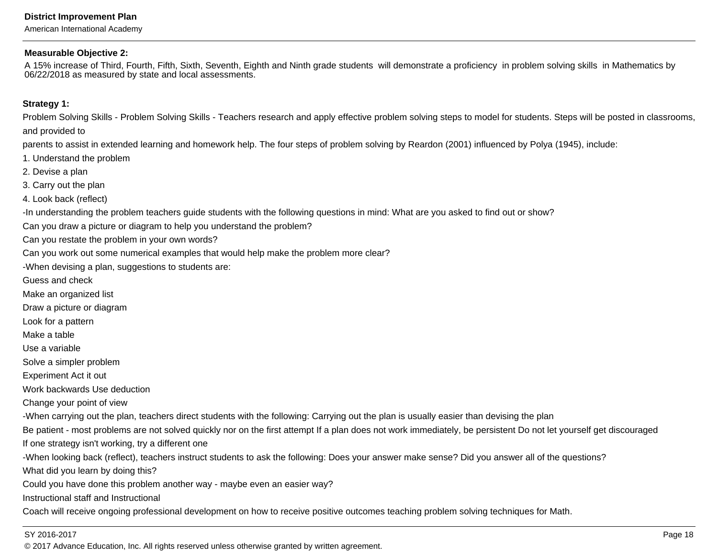American International Academy

#### **Measurable Objective 2:**

A 15% increase of Third, Fourth, Fifth, Sixth, Seventh, Eighth and Ninth grade students will demonstrate a proficiency in problem solving skills in Mathematics by06/22/2018 as measured by state and local assessments.

#### **Strategy 1:**

Problem Solving Skills - Problem Solving Skills - Teachers research and apply effective problem solving steps to model for students. Steps will be posted in classrooms,and provided to

parents to assist in extended learning and homework help. The four steps of problem solving by Reardon (2001) influenced by Polya (1945), include:

- 1. Understand the problem
- 2. Devise a plan
- 3. Carry out the plan
- 4. Look back (reflect)

-In understanding the problem teachers guide students with the following questions in mind: What are you asked to find out or show?

Can you draw a picture or diagram to help you understand the problem?

Can you restate the problem in your own words?

Can you work out some numerical examples that would help make the problem more clear?

-When devising a plan, suggestions to students are:

Guess and check

Make an organized list

Draw a picture or diagram

Look for a pattern

Make a table

Use a variable

Solve a simpler problem

Experiment Act it out

Work backwards Use deduction

Change your point of view

-When carrying out the plan, teachers direct students with the following: Carrying out the plan is usually easier than devising the plan

Be patient - most problems are not solved quickly nor on the first attempt If a plan does not work immediately, be persistent Do not let yourself get discouraged If one strategy isn't working, try a different one

-When looking back (reflect), teachers instruct students to ask the following: Does your answer make sense? Did you answer all of the questions?

What did you learn by doing this?

Could you have done this problem another way - maybe even an easier way?

Instructional staff and Instructional

Coach will receive ongoing professional development on how to receive positive outcomes teaching problem solving techniques for Math.

#### SY 2016-2017

© 2017 Advance Education, Inc. All rights reserved unless otherwise granted by written agreement.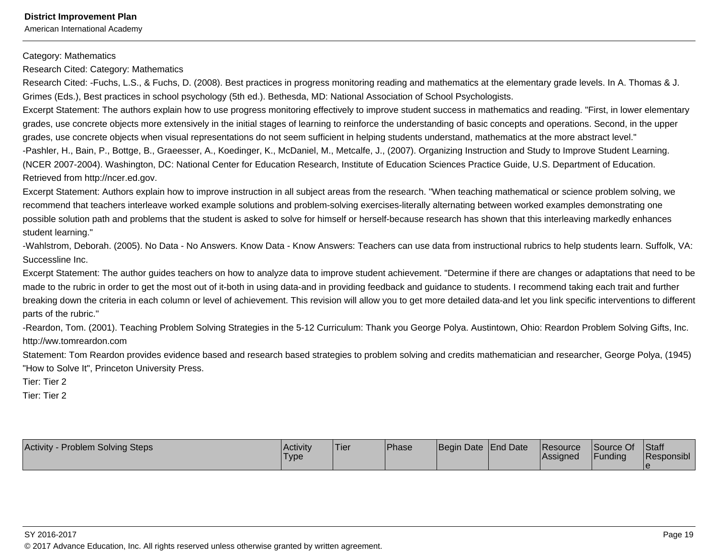American International Academy

Category: Mathematics

Research Cited: Category: Mathematics

Research Cited: -Fuchs, L.S., & Fuchs, D. (2008). Best practices in progress monitoring reading and mathematics at the elementary grade levels. In A. Thomas & J.Grimes (Eds.), Best practices in school psychology (5th ed.). Bethesda, MD: National Association of School Psychologists.

Excerpt Statement: The authors explain how to use progress monitoring effectively to improve student success in mathematics and reading. "First, in lower elementarygrades, use concrete objects more extensively in the initial stages of learning to reinforce the understanding of basic concepts and operations. Second, in the uppergrades, use concrete objects when visual representations do not seem sufficient in helping students understand, mathematics at the more abstract level."

-Pashler, H., Bain, P., Bottge, B., Graeesser, A., Koedinger, K., McDaniel, M., Metcalfe, J., (2007). Organizing Instruction and Study to Improve Student Learning.(NCER 2007-2004). Washington, DC: National Center for Education Research, Institute of Education Sciences Practice Guide, U.S. Department of Education.Retrieved from http://ncer.ed.gov.

Excerpt Statement: Authors explain how to improve instruction in all subject areas from the research. "When teaching mathematical or science problem solving, werecommend that teachers interleave worked example solutions and problem-solving exercises-literally alternating between worked examples demonstrating one possible solution path and problems that the student is asked to solve for himself or herself-because research has shown that this interleaving markedly enhancesstudent learning."

-Wahlstrom, Deborah. (2005). No Data - No Answers. Know Data - Know Answers: Teachers can use data from instructional rubrics to help students learn. Suffolk, VA:Successline Inc.

Excerpt Statement: The author guides teachers on how to analyze data to improve student achievement. "Determine if there are changes or adaptations that need to bemade to the rubric in order to get the most out of it-both in using data-and in providing feedback and guidance to students. I recommend taking each trait and furtherbreaking down the criteria in each column or level of achievement. This revision will allow you to get more detailed data-and let you link specific interventions to differentparts of the rubric."

-Reardon, Tom. (2001). Teaching Problem Solving Strategies in the 5-12 Curriculum: Thank you George Polya. Austintown, Ohio: Reardon Problem Solving Gifts, Inc.http://ww.tomreardon.com

 Statement: Tom Reardon provides evidence based and research based strategies to problem solving and credits mathematician and researcher, George Polya, (1945)"How to Solve It", Princeton University Press.

Tier: Tier 2

Tier: Tier 2

| <b>Activity - Problem Solving Steps</b> | <b>Activity</b><br>'Type | <b>Tier</b> | Phase | Begin Date End Date | Resource<br><b>Assigned</b> | Source Of<br>Funding | Staff<br>Responsibl |
|-----------------------------------------|--------------------------|-------------|-------|---------------------|-----------------------------|----------------------|---------------------|
|                                         |                          |             |       |                     |                             |                      |                     |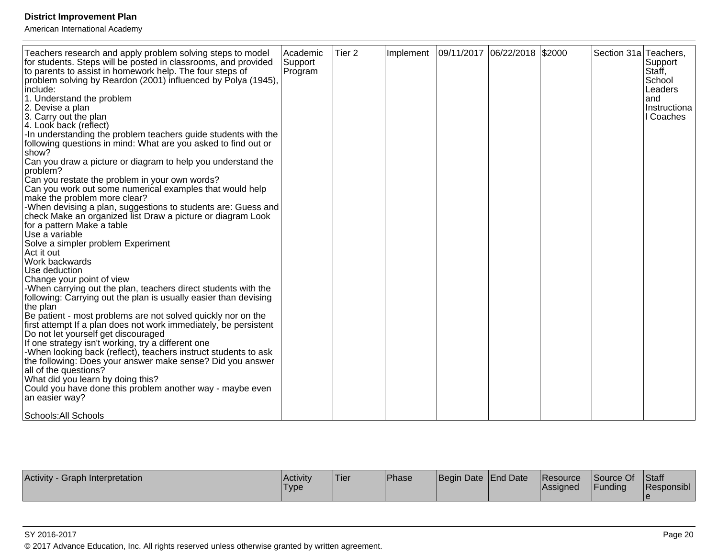American International Academy

| Teachers research and apply problem solving steps to model<br>for students. Steps will be posted in classrooms, and provided<br>to parents to assist in homework help. The four steps of<br>problem solving by Reardon (2001) influenced by Polya (1945).<br>include:<br>1. Understand the problem<br>2. Devise a plan<br>3. Carry out the plan<br>4. Look back (reflect)<br>-In understanding the problem teachers guide students with the<br>following questions in mind: What are you asked to find out or<br>show?<br>Can you draw a picture or diagram to help you understand the<br>problem?<br>Can you restate the problem in your own words?<br>Can you work out some numerical examples that would help<br>make the problem more clear?<br>-When devising a plan, suggestions to students are: Guess and<br>check Make an organized list Draw a picture or diagram Look<br>for a pattern Make a table<br>Use a variable<br>Solve a simpler problem Experiment<br>Act it out<br>Work backwards<br>Use deduction<br>Change your point of view<br>-When carrying out the plan, teachers direct students with the<br>following: Carrying out the plan is usually easier than devising<br>the plan<br>Be patient - most problems are not solved quickly nor on the<br>first attempt If a plan does not work immediately, be persistent<br>Do not let yourself get discouraged<br>If one strategy isn't working, try a different one<br>-When looking back (reflect), teachers instruct students to ask<br>the following: Does your answer make sense? Did you answer<br>all of the questions?<br>What did you learn by doing this?<br>Could you have done this problem another way - maybe even | Academic<br>Support<br>Program | Tier <sub>2</sub> | Implement | 09/11/2017 06/22/2018 \$2000 |  | Section 31a Teachers, | Support<br>Staff,<br>School<br>Leaders<br>land<br>Instructiona<br>I Coaches |
|-----------------------------------------------------------------------------------------------------------------------------------------------------------------------------------------------------------------------------------------------------------------------------------------------------------------------------------------------------------------------------------------------------------------------------------------------------------------------------------------------------------------------------------------------------------------------------------------------------------------------------------------------------------------------------------------------------------------------------------------------------------------------------------------------------------------------------------------------------------------------------------------------------------------------------------------------------------------------------------------------------------------------------------------------------------------------------------------------------------------------------------------------------------------------------------------------------------------------------------------------------------------------------------------------------------------------------------------------------------------------------------------------------------------------------------------------------------------------------------------------------------------------------------------------------------------------------------------------------------------------------------------------------------------------------------------------------|--------------------------------|-------------------|-----------|------------------------------|--|-----------------------|-----------------------------------------------------------------------------|
| an easier way?                                                                                                                                                                                                                                                                                                                                                                                                                                                                                                                                                                                                                                                                                                                                                                                                                                                                                                                                                                                                                                                                                                                                                                                                                                                                                                                                                                                                                                                                                                                                                                                                                                                                                      |                                |                   |           |                              |  |                       |                                                                             |
| Schools: All Schools                                                                                                                                                                                                                                                                                                                                                                                                                                                                                                                                                                                                                                                                                                                                                                                                                                                                                                                                                                                                                                                                                                                                                                                                                                                                                                                                                                                                                                                                                                                                                                                                                                                                                |                                |                   |           |                              |  |                       |                                                                             |

| Activity<br>Graph Interpretation | <b>Activity</b><br>'Type | 'Tier | Phase | Begin Date End Date |  | <b>Resource</b><br><b>Assigned</b> | Source Of<br>Funding | Staff<br>Responsibl |
|----------------------------------|--------------------------|-------|-------|---------------------|--|------------------------------------|----------------------|---------------------|
|----------------------------------|--------------------------|-------|-------|---------------------|--|------------------------------------|----------------------|---------------------|

SY 2016-2017

© 2017 Advance Education, Inc. All rights reserved unless otherwise granted by written agreement.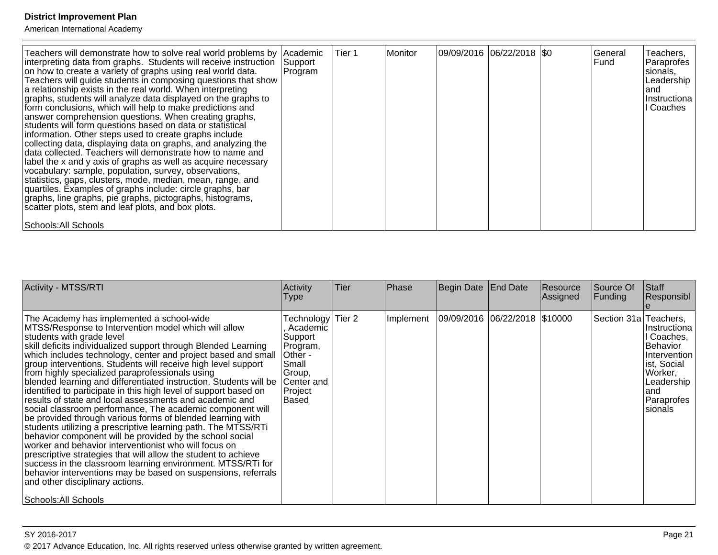| Teachers will demonstrate how to solve real world problems by Academic<br>interpreting data from graphs. Students will receive instruction<br>on how to create a variety of graphs using real world data.<br>Teachers will guide students in composing questions that show<br>a relationship exists in the real world. When interpreting<br>graphs, students will analyze data displayed on the graphs to<br>form conclusions, which will help to make predictions and<br>answer comprehension questions. When creating graphs,<br>students will form questions based on data or statistical<br>information. Other steps used to create graphs include<br>collecting data, displaying data on graphs, and analyzing the<br>data collected. Teachers will demonstrate how to name and<br>label the x and y axis of graphs as well as acquire necessary<br>vocabulary: sample, population, survey, observations,<br>statistics, gaps, clusters, mode, median, mean, range, and<br>quartiles. Examples of graphs include: circle graphs, bar<br>graphs, line graphs, pie graphs, pictographs, histograms,<br>scatter plots, stem and leaf plots, and box plots. | Support<br>Program | lTier 1 | l Monitor | 09/09/2016 06/22/2018   \$0 |  | lGeneral<br>l Fund | Teachers,<br>Paraprofes<br>sionals,<br>Leadership<br>land<br> Instructiona  <br>l Coaches |
|--------------------------------------------------------------------------------------------------------------------------------------------------------------------------------------------------------------------------------------------------------------------------------------------------------------------------------------------------------------------------------------------------------------------------------------------------------------------------------------------------------------------------------------------------------------------------------------------------------------------------------------------------------------------------------------------------------------------------------------------------------------------------------------------------------------------------------------------------------------------------------------------------------------------------------------------------------------------------------------------------------------------------------------------------------------------------------------------------------------------------------------------------------------|--------------------|---------|-----------|-----------------------------|--|--------------------|-------------------------------------------------------------------------------------------|
| Schools: All Schools                                                                                                                                                                                                                                                                                                                                                                                                                                                                                                                                                                                                                                                                                                                                                                                                                                                                                                                                                                                                                                                                                                                                         |                    |         |           |                             |  |                    |                                                                                           |

| <b>Activity - MTSS/RTI</b>                                                                                                                                                                                                                                                                                                                                                                                                                                                                                                                                                                                                                                                                                                                                                                                                                                                                                                                                                                                                                                                                                                                                              | Activity<br>Type                                                                                                        | Tier | Phase     | Begin Date End Date             | Resource<br>Assigned | Source Of<br>Funding  | <b>Staff</b><br>Responsibl                                                                                                          |
|-------------------------------------------------------------------------------------------------------------------------------------------------------------------------------------------------------------------------------------------------------------------------------------------------------------------------------------------------------------------------------------------------------------------------------------------------------------------------------------------------------------------------------------------------------------------------------------------------------------------------------------------------------------------------------------------------------------------------------------------------------------------------------------------------------------------------------------------------------------------------------------------------------------------------------------------------------------------------------------------------------------------------------------------------------------------------------------------------------------------------------------------------------------------------|-------------------------------------------------------------------------------------------------------------------------|------|-----------|---------------------------------|----------------------|-----------------------|-------------------------------------------------------------------------------------------------------------------------------------|
| The Academy has implemented a school-wide<br>MTSS/Response to Intervention model which will allow<br>students with grade level<br>skill deficits individualized support through Blended Learning<br>which includes technology, center and project based and small<br>group interventions. Students will receive high level support<br>from highly specialized paraprofessionals using<br>blended learning and differentiated instruction. Students will be<br>identified to participate in this high level of support based on<br>results of state and local assessments and academic and<br>social classroom performance, The academic component will<br>be provided through various forms of blended learning with<br>students utilizing a prescriptive learning path. The MTSS/RTi<br>behavior component will be provided by the school social<br>worker and behavior interventionist who will focus on<br>prescriptive strategies that will allow the student to achieve<br>success in the classroom learning environment. MTSS/RTi for<br>behavior interventions may be based on suspensions, referrals<br>and other disciplinary actions.<br>Schools: All Schools | Technology Tier 2<br>Academic<br> Support_<br>Program,<br>Other -<br>Small<br>Group,<br>Center and<br>Project<br> Based |      | Implement | 09/09/2016  06/22/2018  \$10000 |                      | Section 31a Teachers, | Instructiona<br>Il Coaches,<br>Behavior<br>Intervention<br>list, Social<br>Worker,<br> Leadership <br>land<br>Paraprofes<br>sionals |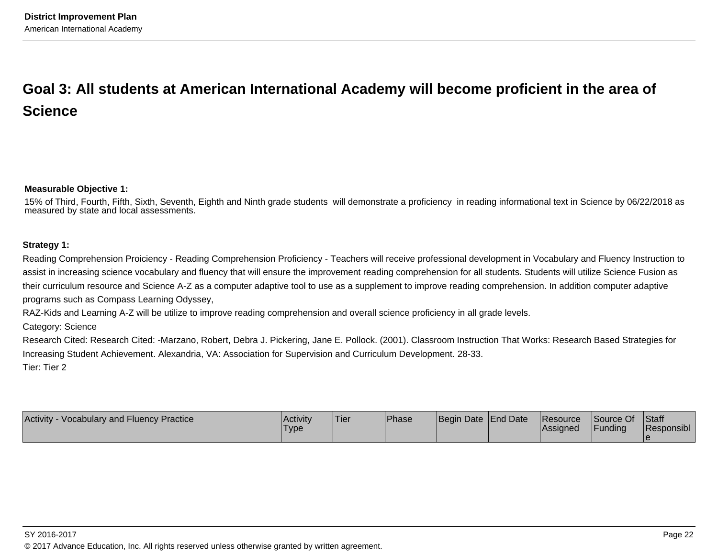# **Goal 3: All students at American International Academy will become proficient in the area ofScience**

#### **Measurable Objective 1:**

15% of Third, Fourth, Fifth, Sixth, Seventh, Eighth and Ninth grade students will demonstrate a proficiency in reading informational text in Science by 06/22/2018 asmeasured by state and local assessments.

#### **Strategy 1:**

Reading Comprehension Proiciency - Reading Comprehension Proficiency - Teachers will receive professional development in Vocabulary and Fluency Instruction toassist in increasing science vocabulary and fluency that will ensure the improvement reading comprehension for all students. Students will utilize Science Fusion astheir curriculum resource and Science A-Z as a computer adaptive tool to use as a supplement to improve reading comprehension. In addition computer adaptiveprograms such as Compass Learning Odyssey,

RAZ-Kids and Learning A-Z will be utilize to improve reading comprehension and overall science proficiency in all grade levels.

Category: Science

 Research Cited: Research Cited: -Marzano, Robert, Debra J. Pickering, Jane E. Pollock. (2001). Classroom Instruction That Works: Research Based Strategies forIncreasing Student Achievement. Alexandria, VA: Association for Supervision and Curriculum Development. 28-33.

Tier: Tier 2

| <b>Activity - Vocabulary and Fluency Practice</b> | <b>Activity</b><br>'Type | 'Tier | Phase | Begin Date End Date |  | <b>Resource</b><br> Assigned | Source Of<br>Funding | <b>Staff</b><br>Responsibl |
|---------------------------------------------------|--------------------------|-------|-------|---------------------|--|------------------------------|----------------------|----------------------------|
|---------------------------------------------------|--------------------------|-------|-------|---------------------|--|------------------------------|----------------------|----------------------------|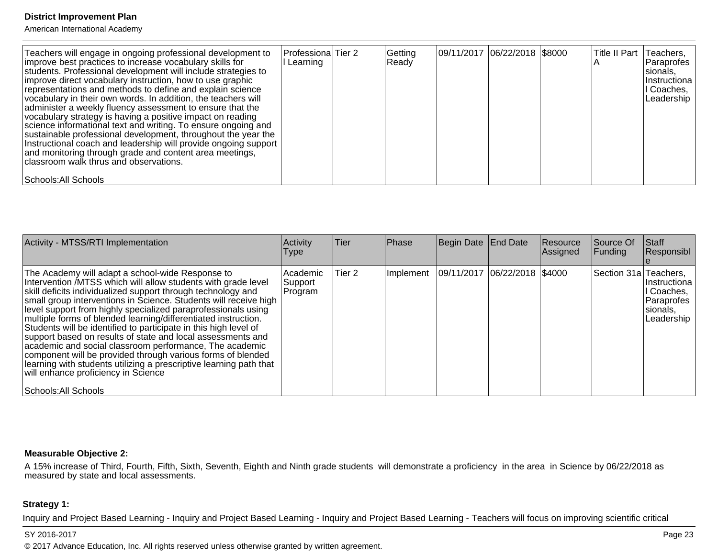American International Academy

| Teachers will engage in ongoing professional development to<br>improve best practices to increase vocabulary skills for<br>students. Professional development will include strategies to<br>improve direct vocabulary instruction, how to use graphic<br>representations and methods to define and explain science<br>vocabulary in their own words. In addition, the teachers will<br>administer a weekly fluency assessment to ensure that the<br>vocabulary strategy is having a positive impact on reading<br>science informational text and writing. To ensure ongoing and<br>sustainable professional development, throughout the year the<br>Instructional coach and leadership will provide ongoing support<br>and monitoring through grade and content area meetings,<br>classroom walk thrus and observations. | Professiona Tier 2<br>Learning | Getting<br>Ready | 09/11/2017 06/22/2018 \$8000 | Title II Part | Teachers,<br> Paraprofes <br>sionals,<br>IInstructiona<br>I Coaches,<br>Leadership |
|--------------------------------------------------------------------------------------------------------------------------------------------------------------------------------------------------------------------------------------------------------------------------------------------------------------------------------------------------------------------------------------------------------------------------------------------------------------------------------------------------------------------------------------------------------------------------------------------------------------------------------------------------------------------------------------------------------------------------------------------------------------------------------------------------------------------------|--------------------------------|------------------|------------------------------|---------------|------------------------------------------------------------------------------------|
| Schools: All Schools                                                                                                                                                                                                                                                                                                                                                                                                                                                                                                                                                                                                                                                                                                                                                                                                     |                                |                  |                              |               |                                                                                    |

| Activity - MTSS/RTI Implementation                                                                                                                                                                                                                                                                                                                                                                                                                                                                                                                                                                                                                                                                                                                                | Activity<br>Type                 | Tier   | Phase       | Begin Date End Date          | Resource<br>Assigned | Source Of<br>Funding  | Staff<br>Responsibl                                                |
|-------------------------------------------------------------------------------------------------------------------------------------------------------------------------------------------------------------------------------------------------------------------------------------------------------------------------------------------------------------------------------------------------------------------------------------------------------------------------------------------------------------------------------------------------------------------------------------------------------------------------------------------------------------------------------------------------------------------------------------------------------------------|----------------------------------|--------|-------------|------------------------------|----------------------|-----------------------|--------------------------------------------------------------------|
| The Academy will adapt a school-wide Response to<br>Intervention MTSS which will allow students with grade level<br>skill deficits individualized support through technology and<br>small group interventions in Science. Students will receive high<br>level support from highly specialized paraprofessionals using<br>multiple forms of blended learning/differentiated instruction.<br>Students will be identified to participate in this high level of<br>support based on results of state and local assessments and<br>academic and social classroom performance, The academic<br>component will be provided through various forms of blended<br>learning with students utilizing a prescriptive learning path that<br>will enhance proficiency in Science | l Academic<br>Support<br>Program | Tier 2 | I Implement | 09/11/2017 06/22/2018 \$4000 |                      | Section 31a Teachers, | Instructiona  <br>Coaches,<br>Paraprofes<br>sionals,<br>Leadership |
| Schools: All Schools                                                                                                                                                                                                                                                                                                                                                                                                                                                                                                                                                                                                                                                                                                                                              |                                  |        |             |                              |                      |                       |                                                                    |

#### **Measurable Objective 2:**

A 15% increase of Third, Fourth, Fifth, Sixth, Seventh, Eighth and Ninth grade students will demonstrate a proficiency in the area in Science by 06/22/2018 as<br>measured by state and local assessments.

#### **Strategy 1:**

Inquiry and Project Based Learning - Inquiry and Project Based Learning - Inquiry and Project Based Learning - Teachers will focus on improving scientific critical

#### SY 2016-2017

© 2017 Advance Education, Inc. All rights reserved unless otherwise granted by written agreement.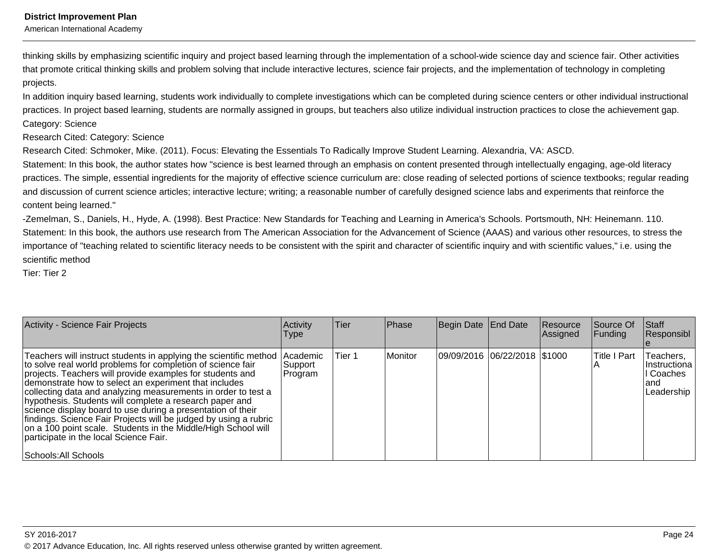American International Academy

thinking skills by emphasizing scientific inquiry and project based learning through the implementation of a school-wide science day and science fair. Other activitiesthat promote critical thinking skills and problem solving that include interactive lectures, science fair projects, and the implementation of technology in completingprojects.

In addition inquiry based learning, students work individually to complete investigations which can be completed during science centers or other individual instructionalpractices. In project based learning, students are normally assigned in groups, but teachers also utilize individual instruction practices to close the achievement gap.Category: Science

Research Cited: Category: Science

Research Cited: Schmoker, Mike. (2011). Focus: Elevating the Essentials To Radically Improve Student Learning. Alexandria, VA: ASCD.

Statement: In this book, the author states how "science is best learned through an emphasis on content presented through intellectually engaging, age-old literacypractices. The simple, essential ingredients for the majority of effective science curriculum are: close reading of selected portions of science textbooks; regular readingand discussion of current science articles; interactive lecture; writing; a reasonable number of carefully designed science labs and experiments that reinforce thecontent being learned."

-Zemelman, S., Daniels, H., Hyde, A. (1998). Best Practice: New Standards for Teaching and Learning in America's Schools. Portsmouth, NH: Heinemann. 110.Statement: In this book, the authors use research from The American Association for the Advancement of Science (AAAS) and various other resources, to stress theimportance of "teaching related to scientific literacy needs to be consistent with the spirit and character of scientific inquiry and with scientific values," i.e. using thescientific method

Tier: Tier 2

| Activity - Science Fair Projects                                                                                                                                                                                                                                                                                                                                                                                                                                                                                                                                                                                                 | Activity<br><b>Type</b>                | <b>Tier</b> | Phase   | Begin Date End Date          | Resource<br>Assigned | Source Of<br>Funding | <b>Staff</b><br>Responsibl                                       |
|----------------------------------------------------------------------------------------------------------------------------------------------------------------------------------------------------------------------------------------------------------------------------------------------------------------------------------------------------------------------------------------------------------------------------------------------------------------------------------------------------------------------------------------------------------------------------------------------------------------------------------|----------------------------------------|-------------|---------|------------------------------|----------------------|----------------------|------------------------------------------------------------------|
| Teachers will instruct students in applying the scientific method<br>to solve real world problems for completion of science fair<br>projects. Teachers will provide examples for students and<br>demonstrate how to select an experiment that includes<br>collecting data and analyzing measurements in order to test a<br>hypothesis. Students will complete a research paper and<br>science display board to use during a presentation of their<br>findings. Science Fair Projects will be judged by using a rubric<br>on a 100 point scale. Students in the Middle/High School will<br>participate in the local Science Fair. | <b>Academic</b><br> Support<br>Program | Tier 1      | Monitor | 09/09/2016 06/22/2018 \$1000 |                      | Title I Part         | Teachers,<br>I Instructiona<br>II Coaches<br>land<br> Leadership |
| Schools: All Schools                                                                                                                                                                                                                                                                                                                                                                                                                                                                                                                                                                                                             |                                        |             |         |                              |                      |                      |                                                                  |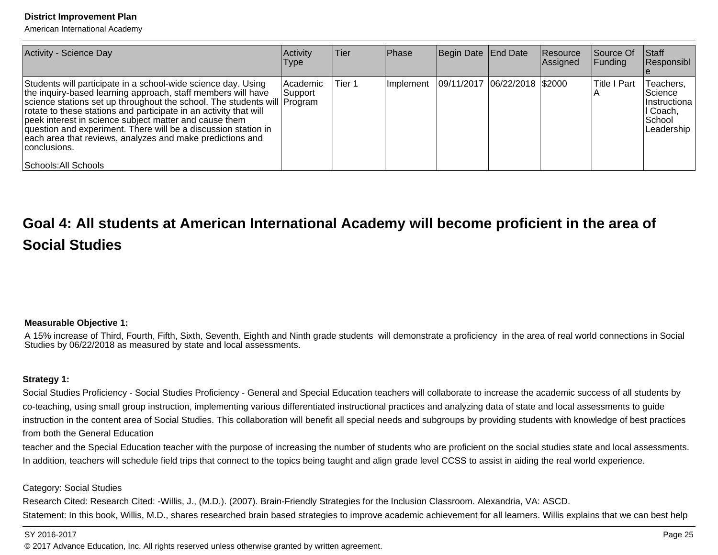American International Academy

| Activity - Science Day                                                                                                                                                                                                                                                                                                                                                                                                                                                                                          | Activity<br>Type    | lTier. | Phase | Begin Date End Date                          | Resource<br>Assigned | <b>Source Of</b><br> Funding | Start<br>Responsibl                                                                        |
|-----------------------------------------------------------------------------------------------------------------------------------------------------------------------------------------------------------------------------------------------------------------------------------------------------------------------------------------------------------------------------------------------------------------------------------------------------------------------------------------------------------------|---------------------|--------|-------|----------------------------------------------|----------------------|------------------------------|--------------------------------------------------------------------------------------------|
| Students will participate in a school-wide science day. Using<br>the inquiry-based learning approach, staff members will have<br>science stations set up throughout the school. The students will Program<br>rotate to these stations and participate in an activity that will<br>peek interest in science subject matter and cause them<br>question and experiment. There will be a discussion station in<br>each area that reviews, analyzes and make predictions and<br>conclusions.<br>Schools: All Schools | Academic<br>Support | Tier 1 |       | Implement   09/11/2017   06/22/2018   \$2000 |                      | <b>Title I Part</b>          | Teachers,<br><i><b>Science</b></i><br>Ilnstructiona l<br>∣I Coach,<br>School<br>Leadership |

# **Goal 4: All students at American International Academy will become proficient in the area ofSocial Studies**

#### **Measurable Objective 1:**

A 15% increase of Third, Fourth, Fifth, Sixth, Seventh, Eighth and Ninth grade students will demonstrate a proficiency in the area of real world connections in SocialStudies by 06/22/2018 as measured by state and local assessments.

#### **Strategy 1:**

Social Studies Proficiency - Social Studies Proficiency - General and Special Education teachers will collaborate to increase the academic success of all students byco-teaching, using small group instruction, implementing various differentiated instructional practices and analyzing data of state and local assessments to guide instruction in the content area of Social Studies. This collaboration will benefit all special needs and subgroups by providing students with knowledge of best practicesfrom both the General Education

 teacher and the Special Education teacher with the purpose of increasing the number of students who are proficient on the social studies state and local assessments.In addition, teachers will schedule field trips that connect to the topics being taught and align grade level CCSS to assist in aiding the real world experience.

#### Category: Social Studies

Research Cited: Research Cited: -Willis, J., (M.D.). (2007). Brain-Friendly Strategies for the Inclusion Classroom. Alexandria, VA: ASCD.Statement: In this book, Willis, M.D., shares researched brain based strategies to improve academic achievement for all learners. Willis explains that we can best help

#### SY 2016-2017

© 2017 Advance Education, Inc. All rights reserved unless otherwise granted by written agreement.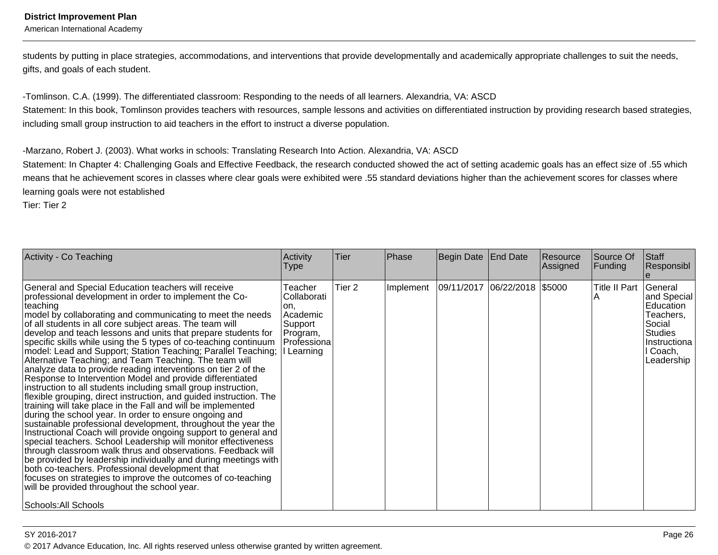American International Academy

students by putting in place strategies, accommodations, and interventions that provide developmentally and academically appropriate challenges to suit the needs,gifts, and goals of each student.

-Tomlinson. C.A. (1999). The differentiated classroom: Responding to the needs of all learners. Alexandria, VA: ASCD

 Statement: In this book, Tomlinson provides teachers with resources, sample lessons and activities on differentiated instruction by providing research based strategies,including small group instruction to aid teachers in the effort to instruct a diverse population.

-Marzano, Robert J. (2003). What works in schools: Translating Research Into Action. Alexandria, VA: ASCD

 Statement: In Chapter 4: Challenging Goals and Effective Feedback, the research conducted showed the act of setting academic goals has an effect size of .55 whichmeans that he achievement scores in classes where clear goals were exhibited were .55 standard deviations higher than the achievement scores for classes wherelearning goals were not established

Tier: Tier 2

| Activity - Co Teaching                                                                                                                                                                                                                                                                                                                                                                                                                                                                                                                                                                                                                                                                                                                                                                                                                                                                                                                                                                                                                                                                                                                                                                                                                                                                                                                                                                                                                                    | Activity<br>Type                                                                             | Tier              | Phase     | Begin Date                   | <b>End Date</b> | Resource<br>Assigned | Source Of<br><b>Funding</b>  | Staff<br>Responsibl                                                                                          |
|-----------------------------------------------------------------------------------------------------------------------------------------------------------------------------------------------------------------------------------------------------------------------------------------------------------------------------------------------------------------------------------------------------------------------------------------------------------------------------------------------------------------------------------------------------------------------------------------------------------------------------------------------------------------------------------------------------------------------------------------------------------------------------------------------------------------------------------------------------------------------------------------------------------------------------------------------------------------------------------------------------------------------------------------------------------------------------------------------------------------------------------------------------------------------------------------------------------------------------------------------------------------------------------------------------------------------------------------------------------------------------------------------------------------------------------------------------------|----------------------------------------------------------------------------------------------|-------------------|-----------|------------------------------|-----------------|----------------------|------------------------------|--------------------------------------------------------------------------------------------------------------|
| General and Special Education teachers will receive<br>professional development in order to implement the Co-<br> teaching<br>model by collaborating and communicating to meet the needs<br>of all students in all core subject areas. The team will<br>develop and teach lessons and units that prepare students for<br>specific skills while using the 5 types of co-teaching continuum<br>model: Lead and Support; Station Teaching; Parallel Teaching;<br>Alternative Teaching; and Team Teaching. The team will<br>analyze data to provide reading interventions on tier 2 of the<br>Response to Intervention Model and provide differentiated<br>instruction to all students including small group instruction,<br>flexible grouping, direct instruction, and guided instruction. The<br>training will take place in the Fall and will be implemented<br>during the school year. In order to ensure ongoing and<br>sustainable professional development, throughout the year the<br>Instructional Coach will provide ongoing support to general and<br>special teachers. School Leadership will monitor effectiveness<br>through classroom walk thrus and observations. Feedback will<br>be provided by leadership individually and during meetings with<br>both co-teachers. Professional development that<br>focuses on strategies to improve the outcomes of co-teaching<br>will be provided throughout the school year.<br>Schools: All Schools | Teacher<br>Collaborati<br>lon.<br>Academic<br>Support<br>Program,<br>Professiona<br>Learning | Tier <sub>2</sub> | Implement | 09/11/2017 06/22/2018 \$5000 |                 |                      | Title II Part   General<br>A | and Special<br>Education<br>Teachers,<br>Social<br><b>Studies</b><br>Instructiona<br>II Coach,<br>Leadership |

en die 19de jaar van die 19de eeu n.C. In 19de eeu n.C. In 19de eeu n.C. In 19de eeu n.C. In 19de eeu n.C. In 1 © 2017 Advance Education, Inc. All rights reserved unless otherwise granted by written agreement.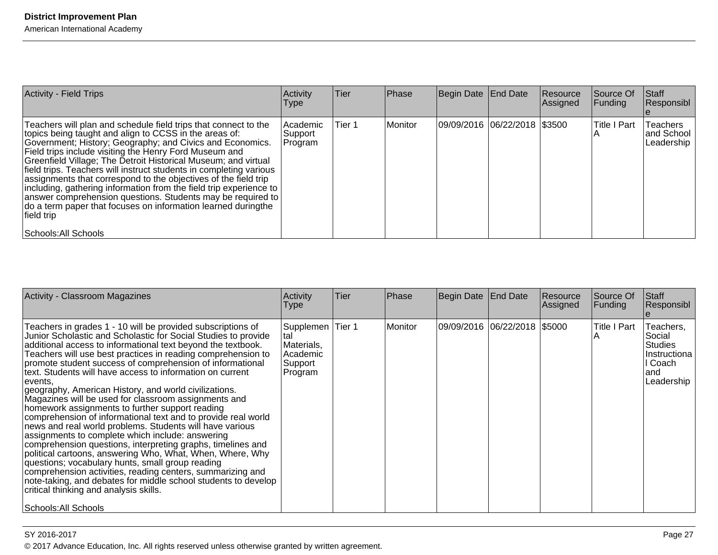| <b>Activity - Field Trips</b>                                                                                                                                                                                                                                                                                                                                                                                                                                                                                                                                                                                                                                                                           | Activity<br><b>Type</b>          | <b>Tier</b> | Phase   | Begin Date End Date            | Resource<br>Assigned | <b>Source Of</b><br> Funding | <b>Staff</b><br>Responsibl           |
|---------------------------------------------------------------------------------------------------------------------------------------------------------------------------------------------------------------------------------------------------------------------------------------------------------------------------------------------------------------------------------------------------------------------------------------------------------------------------------------------------------------------------------------------------------------------------------------------------------------------------------------------------------------------------------------------------------|----------------------------------|-------------|---------|--------------------------------|----------------------|------------------------------|--------------------------------------|
| Teachers will plan and schedule field trips that connect to the<br>topics being taught and align to CCSS in the areas of:<br>Government; History; Geography; and Civics and Economics.<br>Field trips include visiting the Henry Ford Museum and<br>Greenfield Village; The Detroit Historical Museum; and virtual<br>field trips. Teachers will instruct students in completing various<br>assignments that correspond to the objectives of the field trip<br>including, gathering information from the field trip experience to<br>answer comprehension questions. Students may be required to<br>do a term paper that focuses on information learned duringthe<br>field trip<br>Schools: All Schools | l Academic<br>Support<br>Program | Tier 1      | Monitor | 09/09/2016  06/22/2018  \$3500 |                      | <b>Title I Part</b>          | Teachers<br>and School<br>Leadership |

| Activity - Classroom Magazines                                                                                                                                                                                                                                                                                                                                                                                                                                                                                                                                                                                                                                                                                                                                                                                                                                                                                                                                                                                                                                                                                                             | Activity<br>Type                                                           | <b>Tier</b> | <b>Phase</b> | Begin Date   End Date        | Resource<br> Assigned | Source Of<br>Funding | <b>Staff</b><br> Responsibl_                                                             |
|--------------------------------------------------------------------------------------------------------------------------------------------------------------------------------------------------------------------------------------------------------------------------------------------------------------------------------------------------------------------------------------------------------------------------------------------------------------------------------------------------------------------------------------------------------------------------------------------------------------------------------------------------------------------------------------------------------------------------------------------------------------------------------------------------------------------------------------------------------------------------------------------------------------------------------------------------------------------------------------------------------------------------------------------------------------------------------------------------------------------------------------------|----------------------------------------------------------------------------|-------------|--------------|------------------------------|-----------------------|----------------------|------------------------------------------------------------------------------------------|
| Teachers in grades 1 - 10 will be provided subscriptions of<br>Junior Scholastic and Scholastic for Social Studies to provide<br>additional access to informational text beyond the textbook.<br>Teachers will use best practices in reading comprehension to<br>promote student success of comprehension of informational<br>text. Students will have access to information on current<br>events.<br>geography, American History, and world civilizations.<br>Magazines will be used for classroom assignments and<br>homework assignments to further support reading<br>comprehension of informational text and to provide real world<br>news and real world problems. Students will have various<br>assignments to complete which include: answering<br>comprehension questions, interpreting graphs, timelines and<br>political cartoons, answering Who, What, When, Where, Why<br>questions; vocabulary hunts, small group reading<br>comprehension activities, reading centers, summarizing and<br>note-taking, and debates for middle school students to develop<br>critical thinking and analysis skills.<br> Schools: All Schools | Supplemen   Tier 1<br>ltal<br>Materials,<br>Academic<br>Support<br>Program |             | l Monitor    | 09/09/2016 06/22/2018 \$5000 |                       | <b>Title I Part</b>  | Teachers,<br>Social<br><b>Studies</b><br>IInstructiona<br>II Coach<br>land<br>Leadership |

© 2017 Advance Education, Inc. All rights reserved unless otherwise granted by written agreement.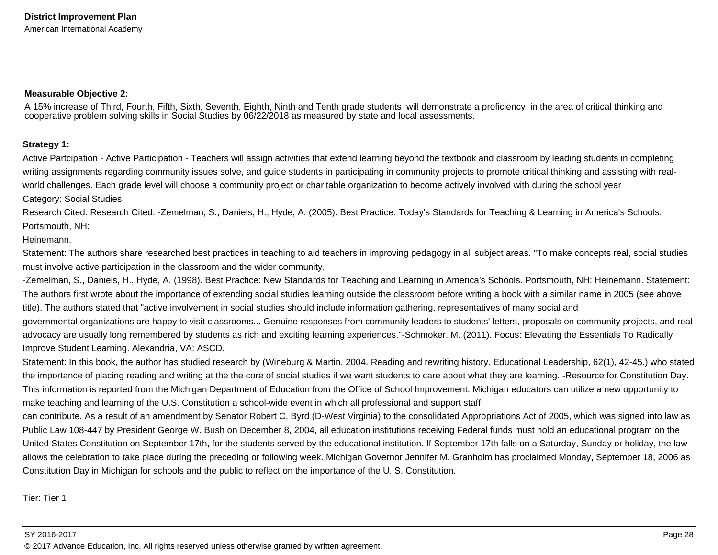#### **Measurable Objective 2:**

A 15% increase of Third, Fourth, Fifth, Sixth, Seventh, Eighth, Ninth and Tenth grade students will demonstrate a proficiency in the area of critical thinking andcooperative problem solving skills in Social Studies by 06/22/2018 as measured by state and local assessments.

#### **Strategy 1:**

Active Partcipation - Active Participation - Teachers will assign activities that extend learning beyond the textbook and classroom by leading students in completingwriting assignments regarding community issues solve, and guide students in participating in community projects to promote critical thinking and assisting with realworld challenges. Each grade level will choose a community project or charitable organization to become actively involved with during the school year

Category: Social Studies

Research Cited: Research Cited: -Zemelman, S., Daniels, H., Hyde, A. (2005). Best Practice: Today's Standards for Teaching & Learning in America's Schools. Portsmouth, NH:

#### Heinemann.

Statement: The authors share researched best practices in teaching to aid teachers in improving pedagogy in all subject areas. "To make concepts real, social studiesmust involve active participation in the classroom and the wider community.

-Zemelman, S., Daniels, H., Hyde, A. (1998). Best Practice: New Standards for Teaching and Learning in America's Schools. Portsmouth, NH: Heinemann. Statement:The authors first wrote about the importance of extending social studies learning outside the classroom before writing a book with a similar name in 2005 (see abovetitle). The authors stated that "active involvement in social studies should include information gathering, representatives of many social andgovernmental organizations are happy to visit classrooms... Genuine responses from community leaders to students' letters, proposals on community projects, and realadvocacy are usually long remembered by students as rich and exciting learning experiences."-Schmoker, M. (2011). Focus: Elevating the Essentials To Radically

Improve Student Learning. Alexandria, VA: ASCD.

Statement: In this book, the author has studied research by (Wineburg & Martin, 2004. Reading and rewriting history. Educational Leadership, 62(1), 42-45.) who statedthe importance of placing reading and writing at the the core of social studies if we want students to care about what they are learning. -Resource for Constitution Day.This information is reported from the Michigan Department of Education from the Office of School Improvement: Michigan educators can utilize a new opportunity tomake teaching and learning of the U.S. Constitution a school-wide event in which all professional and support staff

can contribute. As a result of an amendment by Senator Robert C. Byrd (D-West Virginia) to the consolidated Appropriations Act of 2005, which was signed into law asPublic Law 108-447 by President George W. Bush on December 8, 2004, all education institutions receiving Federal funds must hold an educational program on theUnited States Constitution on September 17th, for the students served by the educational institution. If September 17th falls on a Saturday, Sunday or holiday, the law allows the celebration to take place during the preceding or following week. Michigan Governor Jennifer M. Granholm has proclaimed Monday, September 18, 2006 asConstitution Day in Michigan for schools and the public to reflect on the importance of the U. S. Constitution.

Tier: Tier 1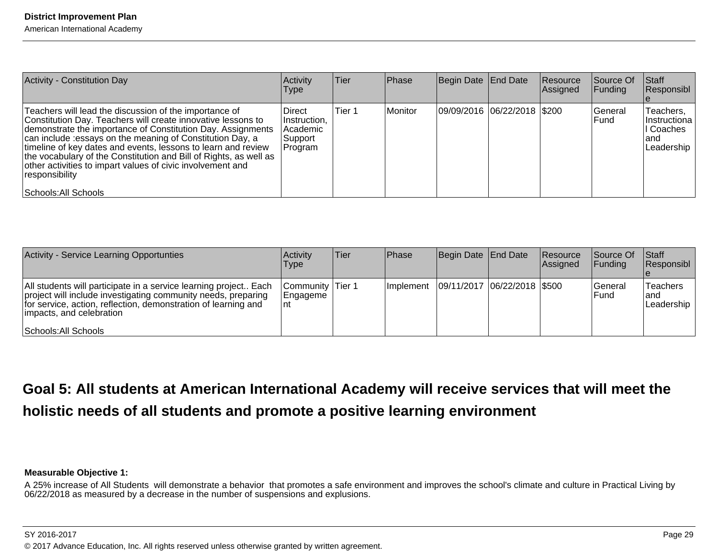American International Academy

| Activity - Constitution Day                                                                                                                                                                                                                                                                                                                                                                                                                                                                        | Activity<br>Type                                                 | <b>Tier</b> | Phase   | Begin Date End Date           | Resource<br>Assigned | Source Of<br> Funding   | Staff<br>Responsibl                                           |
|----------------------------------------------------------------------------------------------------------------------------------------------------------------------------------------------------------------------------------------------------------------------------------------------------------------------------------------------------------------------------------------------------------------------------------------------------------------------------------------------------|------------------------------------------------------------------|-------------|---------|-------------------------------|----------------------|-------------------------|---------------------------------------------------------------|
| Teachers will lead the discussion of the importance of<br>Constitution Day. Teachers will create innovative lessons to<br>demonstrate the importance of Constitution Day. Assignments<br>can include :essays on the meaning of Constitution Day, a<br>timeline of key dates and events, lessons to learn and review<br>the vocabulary of the Constitution and Bill of Rights, as well as<br>other activities to impart values of civic involvement and<br> responsibility <br>Schools: All Schools | <b>IDirect</b><br>Instruction,<br>Academic<br>Support<br>Program | Tier 1      | Monitor | 09/09/2016  06/22/2018  \$200 |                      | lGeneral<br><b>Fund</b> | Teachers,<br> Instructiona  <br>Coaches<br>land<br>Leadership |

| <b>Activity - Service Learning Opportunties</b>                                                                                                                                                                                                          | Activity<br><b>Type</b>              | lTier | <b>Phase</b>                                | Begin Date End Date | <b>Resource</b><br>Assigned | <b>Source Of</b><br>IFundina    | <b>Staff</b><br><b>Responsibl</b> |
|----------------------------------------------------------------------------------------------------------------------------------------------------------------------------------------------------------------------------------------------------------|--------------------------------------|-------|---------------------------------------------|---------------------|-----------------------------|---------------------------------|-----------------------------------|
| All students will participate in a service learning project Each<br>project will include investigating community needs, preparing<br>for service, action, reflection, demonstration of learning and<br>limpacts, and celebration<br>Schools: All Schools | Community Tier 1<br> Engageme<br>∣nt |       | Implement   09/11/2017   06/22/2018   \$500 |                     |                             | <b>IGeneral</b><br><b>IFund</b> | Teachers<br>land<br> Leadership   |

# **Goal 5: All students at American International Academy will receive services that will meet theholistic needs of all students and promote a positive learning environment**

#### **Measurable Objective 1:**

A 25% increase of All Students will demonstrate a behavior that promotes a safe environment and improves the school's climate and culture in Practical Living by<br>06/22/2018 as measured by a decrease in the number of suspens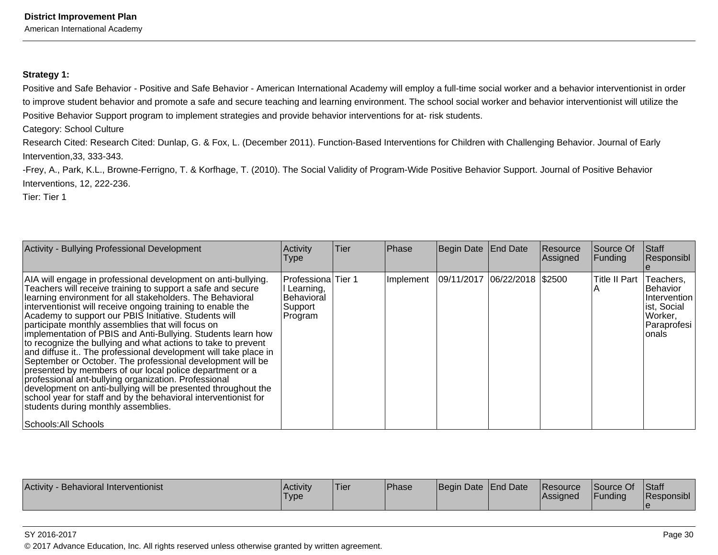American International Academy

#### **Strategy 1:**

Positive and Safe Behavior - Positive and Safe Behavior - American International Academy will employ a full-time social worker and a behavior interventionist in orderto improve student behavior and promote a safe and secure teaching and learning environment. The school social worker and behavior interventionist will utilize thePositive Behavior Support program to implement strategies and provide behavior interventions for at- risk students.

Category: School Culture

Research Cited: Research Cited: Dunlap, G. & Fox, L. (December 2011). Function-Based Interventions for Children with Challenging Behavior. Journal of Early Intervention,33, 333-343.

-Frey, A., Park, K.L., Browne-Ferrigno, T. & Korfhage, T. (2010). The Social Validity of Program-Wide Positive Behavior Support. Journal of Positive BehaviorInterventions, 12, 222-236.

Tier: Tier 1

| Activity - Bullying Professional Development                                                                                                                                                                                                                                                                                                                                                                                                                                                                                                                                                                                                                                                                                                                                                                                                                                                                                                                   | Activity<br>Type                                                      | Tier | Phase | Begin Date End Date                          | Resource<br>Assigned | Source Of<br>Funding | Staff<br>Responsibl                                                                      |
|----------------------------------------------------------------------------------------------------------------------------------------------------------------------------------------------------------------------------------------------------------------------------------------------------------------------------------------------------------------------------------------------------------------------------------------------------------------------------------------------------------------------------------------------------------------------------------------------------------------------------------------------------------------------------------------------------------------------------------------------------------------------------------------------------------------------------------------------------------------------------------------------------------------------------------------------------------------|-----------------------------------------------------------------------|------|-------|----------------------------------------------|----------------------|----------------------|------------------------------------------------------------------------------------------|
| AIA will engage in professional development on anti-bullying.<br>Teachers will receive training to support a safe and secure<br>learning environment for all stakeholders. The Behavioral<br>interventionist will receive ongoing training to enable the<br>Academy to support our PBIS Initiative. Students will<br>participate monthly assemblies that will focus on<br>implementation of PBIS and Anti-Bullying. Students learn how<br>to recognize the bullying and what actions to take to prevent<br>and diffuse it The professional development will take place in<br>September or October. The professional development will be<br>presented by members of our local police department or a<br>professional ant-bullying organization. Professional<br>development on anti-bullying will be presented throughout the<br>school year for staff and by the behavioral interventionist for<br>students during monthly assemblies.<br>Schools: All Schools | Professiona Tier 1<br>I Learning,<br>Behavioral<br>Support<br>Program |      |       | Implement   09/11/2017   06/22/2018   \$2500 |                      | Title II Part        | Teachers,<br>Behavior<br>Intervention<br>ist, Social<br>Worker,<br> Paraprofesi<br>onals |

| <b>Activity</b><br><b>Behavioral Interventionist</b> | <b>Activity</b><br>'Type | 'Tier | <b>Phase</b> | Begin Date End Date |  | <b>IResource</b><br><b>Assigned</b> | Source Of<br>Funding | Staff<br>Responsibl |
|------------------------------------------------------|--------------------------|-------|--------------|---------------------|--|-------------------------------------|----------------------|---------------------|
|------------------------------------------------------|--------------------------|-------|--------------|---------------------|--|-------------------------------------|----------------------|---------------------|

#### SY 2016-2017

© 2017 Advance Education, Inc. All rights reserved unless otherwise granted by written agreement.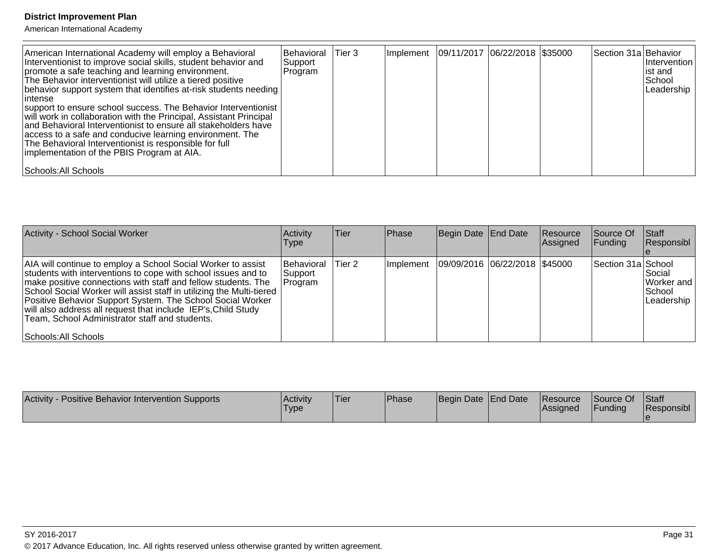| American International Academy will employ a Behavioral<br>Interventionist to improve social skills, student behavior and<br>promote a safe teaching and learning environment.<br>The Behavior interventionist will utilize a tiered positive<br>behavior support system that identifies at-risk students needing<br>lintense<br>support to ensure school success. The Behavior Interventionist<br>will work in collaboration with the Principal, Assistant Principal<br>and Behavioral Interventionist to ensure all stakeholders have<br>access to a safe and conducive learning environment. The<br>The Behavioral Interventionist is responsible for full<br>implementation of the PBIS Program at AIA. | Behavioral<br> Support<br> Program | Tier <sub>3</sub> |  | Implement   09/11/2017   06/22/2018   \$35000 | Section 31a Behavior | Intervention<br>list and<br>School<br>Leadership |
|-------------------------------------------------------------------------------------------------------------------------------------------------------------------------------------------------------------------------------------------------------------------------------------------------------------------------------------------------------------------------------------------------------------------------------------------------------------------------------------------------------------------------------------------------------------------------------------------------------------------------------------------------------------------------------------------------------------|------------------------------------|-------------------|--|-----------------------------------------------|----------------------|--------------------------------------------------|
| Schools: All Schools                                                                                                                                                                                                                                                                                                                                                                                                                                                                                                                                                                                                                                                                                        |                                    |                   |  |                                               |                      |                                                  |

| Activity - School Social Worker                                                                                                                                                                                                                                                                                                                                                                                                                                                 | Activity<br><b>Type</b>          | Tier   | <b>IPhase</b> | Begin Date End Date           | Resource<br>Assigned | Source Of<br> Funding | <b>Staff</b><br>Responsibl                         |
|---------------------------------------------------------------------------------------------------------------------------------------------------------------------------------------------------------------------------------------------------------------------------------------------------------------------------------------------------------------------------------------------------------------------------------------------------------------------------------|----------------------------------|--------|---------------|-------------------------------|----------------------|-----------------------|----------------------------------------------------|
| AIA will continue to employ a School Social Worker to assist<br>students with interventions to cope with school issues and to<br>make positive connections with staff and fellow students. The<br>School Social Worker will assist staff in utilizing the Multi-tiered<br>Positive Behavior Support System. The School Social Worker<br>will also address all request that include IEP's, Child Study<br>Team, School Administrator staff and students.<br>Schools: All Schools | Behavioral<br>Support<br>Program | Tier 2 | Implement     | 09/09/2016 06/22/2018 \$45000 |                      | Section 31a School    | l Social<br>lWorker and l<br>School<br> Leadership |

| <b>Activity</b><br>- Positive Behavior Intervention Supports | Activity<br><b>Type</b> | 'Tier | Phase | Begin Date End Date |  | <b>Resource</b><br><b>Assigned</b> | Source Of<br><sup>1</sup> Funding | Staff<br><b>Responsibl</b> |
|--------------------------------------------------------------|-------------------------|-------|-------|---------------------|--|------------------------------------|-----------------------------------|----------------------------|
|--------------------------------------------------------------|-------------------------|-------|-------|---------------------|--|------------------------------------|-----------------------------------|----------------------------|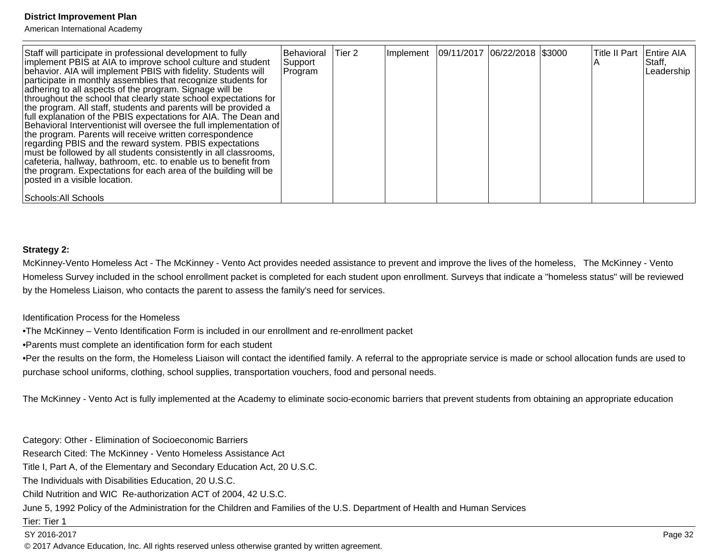American International Academy

| Staff will participate in professional development to fully<br>implement PBIS at AIA to improve school culture and student<br>behavior. AIA will implement PBIS with fidelity. Students will<br>participate in monthly assemblies that recognize students for<br>adhering to all aspects of the program. Signage will be<br>throughout the school that clearly state school expectations for<br>the program. All staff, students and parents will be provided a<br>full explanation of the PBIS expectations for AIA. The Dean and<br>Behavioral Interventionist will oversee the full implementation of<br>the program. Parents will receive written correspondence<br>regarding PBIS and the reward system. PBIS expectations<br>must be followed by all students consistently in all classrooms,<br>cafeteria, hallway, bathroom, etc. to enable us to benefit from<br>the program. Expectations for each area of the building will be<br>lposted in a visible location. | Behavioral<br>Support<br>Program | Tier 2 | Implement   09/11/2017   06/22/2018   \$3000 |  | Title II Part   Entire AIA | Staff,<br>Leadership |
|-----------------------------------------------------------------------------------------------------------------------------------------------------------------------------------------------------------------------------------------------------------------------------------------------------------------------------------------------------------------------------------------------------------------------------------------------------------------------------------------------------------------------------------------------------------------------------------------------------------------------------------------------------------------------------------------------------------------------------------------------------------------------------------------------------------------------------------------------------------------------------------------------------------------------------------------------------------------------------|----------------------------------|--------|----------------------------------------------|--|----------------------------|----------------------|
| Schools: All Schools                                                                                                                                                                                                                                                                                                                                                                                                                                                                                                                                                                                                                                                                                                                                                                                                                                                                                                                                                        |                                  |        |                                              |  |                            |                      |

#### **Strategy 2:**

McKinney-Vento Homeless Act - The McKinney - Vento Act provides needed assistance to prevent and improve the lives of the homeless, The McKinney - Vento Homeless Survey included in the school enrollment packet is completed for each student upon enrollment. Surveys that indicate a "homeless status" will be reviewedby the Homeless Liaison, who contacts the parent to assess the family's need for services.

Identification Process for the Homeless

• The McKinney – Vento Identification Form is included in our enrollment and re-enrollment packet

• Parents must complete an identification form for each student

• Per the results on the form, the Homeless Liaison will contact the identified family. A referral to the appropriate service is made or school allocation funds are used to purchase school uniforms, clothing, school supplies, transportation vouchers, food and personal needs.

The McKinney - Vento Act is fully implemented at the Academy to eliminate socio-economic barriers that prevent students from obtaining an appropriate education

Category: Other - Elimination of Socioeconomic Barriers

Research Cited: The McKinney - Vento Homeless Assistance Act

Title I, Part A, of the Elementary and Secondary Education Act, 20 U.S.C.

The Individuals with Disabilities Education, 20 U.S.C.

Child Nutrition and WIC Re-authorization ACT of 2004, 42 U.S.C.

June 5, 1992 Policy of the Administration for the Children and Families of the U.S. Department of Health and Human Services

Tier: Tier 1

SY 2016-2017

© 2017 Advance Education, Inc. All rights reserved unless otherwise granted by written agreement.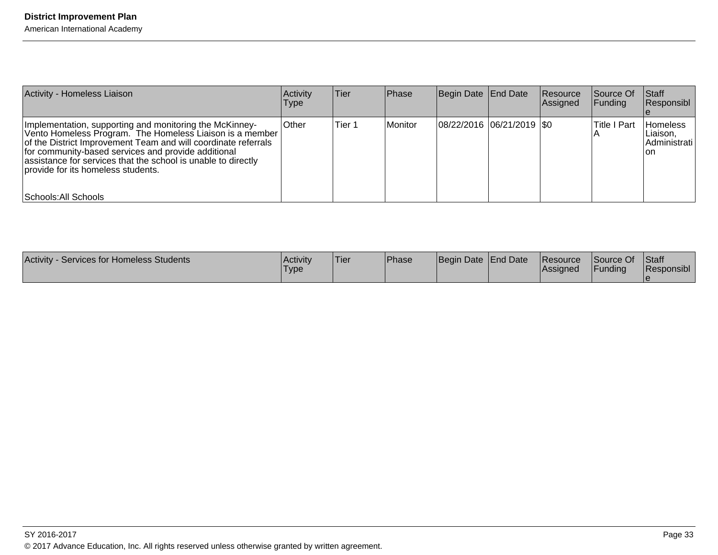| Activity - Homeless Liaison                                                                                                                                                                                                                                                                                                                          | Activity<br><b>Type</b> | lTier. | Phase   | Begin Date End Date         | Resource<br>Assigned | Source Of<br><b>Funding</b> | Staff<br>Responsibl                         |
|------------------------------------------------------------------------------------------------------------------------------------------------------------------------------------------------------------------------------------------------------------------------------------------------------------------------------------------------------|-------------------------|--------|---------|-----------------------------|----------------------|-----------------------------|---------------------------------------------|
| Implementation, supporting and monitoring the McKinney-<br>Vento Homeless Program. The Homeless Liaison is a member<br>of the District Improvement Team and will coordinate referrals<br>for community-based services and provide additional<br>assistance for services that the school is unable to directly<br>Iprovide for its homeless students. | <b>Other</b>            | Tier 1 | Monitor | 08/22/2016  06/21/2019  \$0 |                      | <b>Title I Part</b>         | Homeless<br>Liaison.<br>Administrati<br>lon |
| Schools: All Schools                                                                                                                                                                                                                                                                                                                                 |                         |        |         |                             |                      |                             |                                             |

| <b>Activity</b><br><b>Services for Homeless Students</b> | <b>Activity</b><br>Type | 'Tier | <b>IPhase</b> | Begin Date End Date |  | <b>Resource</b><br><b>IAssigned</b> | Source Of<br>Funding | Staff<br>Responsibl |
|----------------------------------------------------------|-------------------------|-------|---------------|---------------------|--|-------------------------------------|----------------------|---------------------|
|----------------------------------------------------------|-------------------------|-------|---------------|---------------------|--|-------------------------------------|----------------------|---------------------|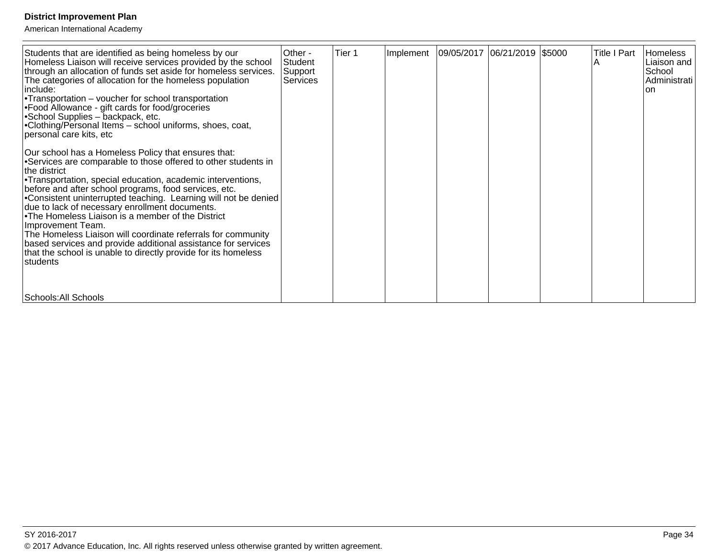| Students that are identified as being homeless by our<br>Homeless Liaison will receive services provided by the school<br>through an allocation of funds set aside for homeless services.<br>The categories of allocation for the homeless population<br>include:<br>• Transportation $-$ voucher for school transportation<br>• Food Allowance - gift cards for food/groceries<br>• School Supplies – backpack, etc.<br>• Clothing/Personal Items - school uniforms, shoes, coat,<br>personal care kits, etc                                                                                                                                                                   | Other -<br>Student<br>Support<br>l Services | Tier 1 | Implement   09/05/2017   06/21/2019   \$5000 |  | <b>Title I Part</b> | Homeless<br>Liaison and<br>School<br>Administrati<br>lon. |
|---------------------------------------------------------------------------------------------------------------------------------------------------------------------------------------------------------------------------------------------------------------------------------------------------------------------------------------------------------------------------------------------------------------------------------------------------------------------------------------------------------------------------------------------------------------------------------------------------------------------------------------------------------------------------------|---------------------------------------------|--------|----------------------------------------------|--|---------------------|-----------------------------------------------------------|
| Our school has a Homeless Policy that ensures that:<br>• Services are comparable to those offered to other students in<br>the district<br>• Transportation, special education, academic interventions,<br>before and after school programs, food services, etc.<br>• Consistent uninterrupted teaching. Learning will not be denied<br>due to lack of necessary enrollment documents.<br>• The Homeless Liaison is a member of the District<br>Improvement Team.<br>The Homeless Liaison will coordinate referrals for community<br>based services and provide additional assistance for services<br>that the school is unable to directly provide for its homeless<br>students |                                             |        |                                              |  |                     |                                                           |
| Schools: All Schools                                                                                                                                                                                                                                                                                                                                                                                                                                                                                                                                                                                                                                                            |                                             |        |                                              |  |                     |                                                           |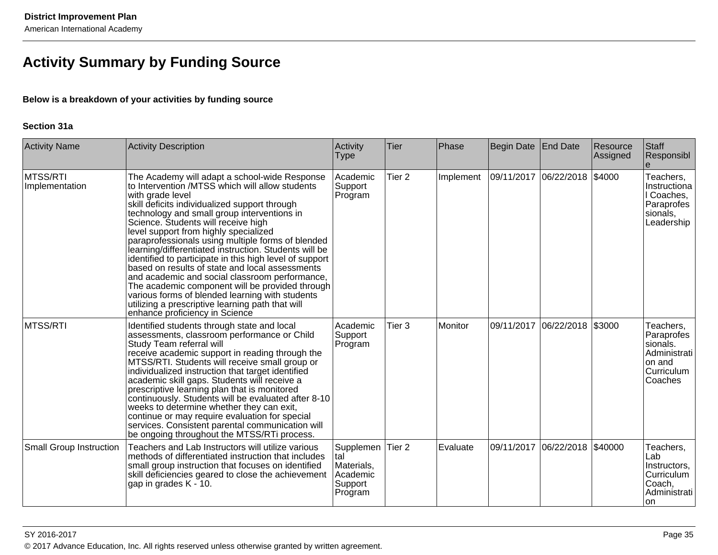# **Activity Summary by Funding Source**

### **Below is a breakdown of your activities by funding source**

#### **Section 31a**

| <b>Activity Name</b>           | <b>Activity Description</b>                                                                                                                                                                                                                                                                                                                                                                                                                                                                                                                                                                                                                                                                                                                                                    | Activity<br><b>Type</b>                                           | Tier              | Phase          | Begin Date End Date |                               | Resource<br>Assigned | Staff<br>Responsibl                                                                    |
|--------------------------------|--------------------------------------------------------------------------------------------------------------------------------------------------------------------------------------------------------------------------------------------------------------------------------------------------------------------------------------------------------------------------------------------------------------------------------------------------------------------------------------------------------------------------------------------------------------------------------------------------------------------------------------------------------------------------------------------------------------------------------------------------------------------------------|-------------------------------------------------------------------|-------------------|----------------|---------------------|-------------------------------|----------------------|----------------------------------------------------------------------------------------|
| MTSS/RTI<br>Implementation     | The Academy will adapt a school-wide Response<br>to Intervention /MTSS which will allow students<br>with grade level<br>skill deficits individualized support through<br>technology and small group interventions in<br>Science. Students will receive high<br>level support from highly specialized<br>paraprofessionals using multiple forms of blended<br>learning/differentiated instruction. Students will be<br>identified to participate in this high level of support<br>based on results of state and local assessments<br>and academic and social classroom performance,<br>The academic component will be provided through<br>various forms of blended learning with students<br>utilizing a prescriptive learning path that will<br>enhance proficiency in Science | Academic<br>Support<br>Program                                    | Tier <sub>2</sub> | Implement      | 09/11/2017          | 06/22/2018                    | \$4000               | Teachers,<br>Instructiona<br>I Coaches,<br>Paraprofes<br>sionals,<br>Leadership        |
| <b>MTSS/RTI</b>                | Identified students through state and local<br>assessments, classroom performance or Child<br>Study Team referral will<br>receive academic support in reading through the<br>MTSS/RTI. Students will receive small group or<br>individualized instruction that target identified<br>academic skill gaps. Students will receive a<br>prescriptive learning plan that is monitored<br>continuously. Students will be evaluated after 8-10<br>weeks to determine whether they can exit,<br>continue or may require evaluation for special<br>services. Consistent parental communication will<br>be ongoing throughout the MTSS/RTi process.                                                                                                                                      | Academic<br>Support<br>Program                                    | Tier 3            | <b>Monitor</b> | 09/11/2017          | 06/22/2018                    | \$3000               | Teachers,<br>Paraprofes<br>sionals.<br>Administrati<br>on and<br>Curriculum<br>Coaches |
| <b>Small Group Instruction</b> | Teachers and Lab Instructors will utilize various<br>methods of differentiated instruction that includes<br>small group instruction that focuses on identified<br>skill deficiencies geared to close the achievement<br>gap in grades K - 10.                                                                                                                                                                                                                                                                                                                                                                                                                                                                                                                                  | Supplemen<br>Ital<br>Materials,<br>Academic<br>Support<br>Program | Tier <sub>2</sub> | Evaluate       |                     | 09/11/2017 06/22/2018 \$40000 |                      | Teachers,<br>Lab<br>Instructors,<br>Curriculum<br>Coach,<br>Administrati<br>lon.       |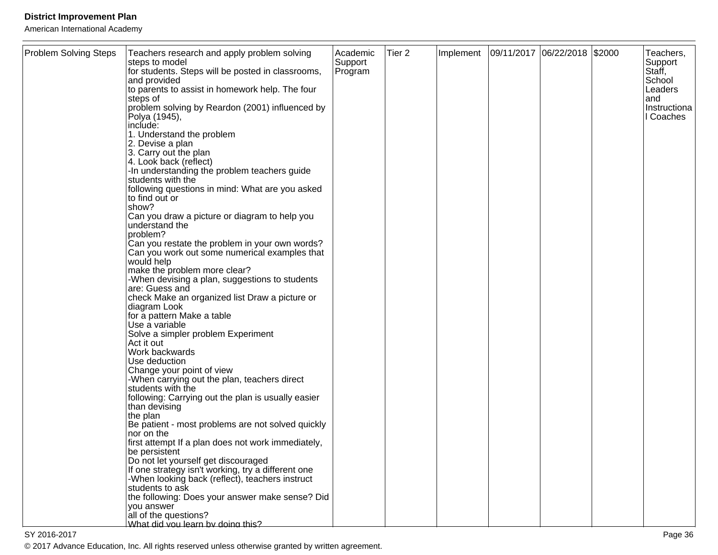American International Academy

| <b>Problem Solving Steps</b> | Teachers research and apply problem solving<br>steps to model                             | Academic<br>Support | Tier <sub>2</sub> | Implement | 09/11/2017 06/22/2018 \$2000 |  | Teachers,<br>Support |
|------------------------------|-------------------------------------------------------------------------------------------|---------------------|-------------------|-----------|------------------------------|--|----------------------|
|                              | for students. Steps will be posted in classrooms,<br>and provided                         | Program             |                   |           |                              |  | Staff,<br>School     |
|                              | to parents to assist in homework help. The four                                           |                     |                   |           |                              |  | Leaders              |
|                              | steps of<br>problem solving by Reardon (2001) influenced by                               |                     |                   |           |                              |  | land<br>Instructiona |
|                              | Polya (1945),<br>include:                                                                 |                     |                   |           |                              |  | I Coaches            |
|                              | 1. Understand the problem                                                                 |                     |                   |           |                              |  |                      |
|                              | 2. Devise a plan                                                                          |                     |                   |           |                              |  |                      |
|                              | 3. Carry out the plan<br>4. Look back (reflect)                                           |                     |                   |           |                              |  |                      |
|                              | -In understanding the problem teachers guide<br>students with the                         |                     |                   |           |                              |  |                      |
|                              | following questions in mind: What are you asked                                           |                     |                   |           |                              |  |                      |
|                              | to find out or<br>show?                                                                   |                     |                   |           |                              |  |                      |
|                              | Can you draw a picture or diagram to help you                                             |                     |                   |           |                              |  |                      |
|                              | understand the<br>problem?                                                                |                     |                   |           |                              |  |                      |
|                              | Can you restate the problem in your own words?                                            |                     |                   |           |                              |  |                      |
|                              | Can you work out some numerical examples that<br>would help                               |                     |                   |           |                              |  |                      |
|                              | make the problem more clear?                                                              |                     |                   |           |                              |  |                      |
|                              | -When devising a plan, suggestions to students<br>are: Guess and                          |                     |                   |           |                              |  |                      |
|                              | check Make an organized list Draw a picture or                                            |                     |                   |           |                              |  |                      |
|                              | diagram Look<br>for a pattern Make a table                                                |                     |                   |           |                              |  |                      |
|                              | Use a variable                                                                            |                     |                   |           |                              |  |                      |
|                              | Solve a simpler problem Experiment<br>Act it out                                          |                     |                   |           |                              |  |                      |
|                              | Work backwards                                                                            |                     |                   |           |                              |  |                      |
|                              | Use deduction<br>Change your point of view                                                |                     |                   |           |                              |  |                      |
|                              | -When carrying out the plan, teachers direct                                              |                     |                   |           |                              |  |                      |
|                              | students with the<br>following: Carrying out the plan is usually easier                   |                     |                   |           |                              |  |                      |
|                              | than devising                                                                             |                     |                   |           |                              |  |                      |
|                              | the plan<br>Be patient - most problems are not solved quickly                             |                     |                   |           |                              |  |                      |
|                              | nor on the                                                                                |                     |                   |           |                              |  |                      |
|                              | first attempt If a plan does not work immediately,<br>be persistent                       |                     |                   |           |                              |  |                      |
|                              | Do not let yourself get discouraged<br>If one strategy isn't working, try a different one |                     |                   |           |                              |  |                      |
|                              | -When looking back (reflect), teachers instruct                                           |                     |                   |           |                              |  |                      |
|                              | students to ask<br>the following: Does your answer make sense? Did                        |                     |                   |           |                              |  |                      |
|                              | you answer                                                                                |                     |                   |           |                              |  |                      |
|                              | all of the questions?<br>What did you learn by doing this?                                |                     |                   |           |                              |  |                      |

en die 19de jaar van die 19de eeu n.C. In 19de jaar van die 19de eeu n.C. In 19de jaar 10de jaar van die 19de  $16$ © 2017 Advance Education, Inc. All rights reserved unless otherwise granted by written agreement.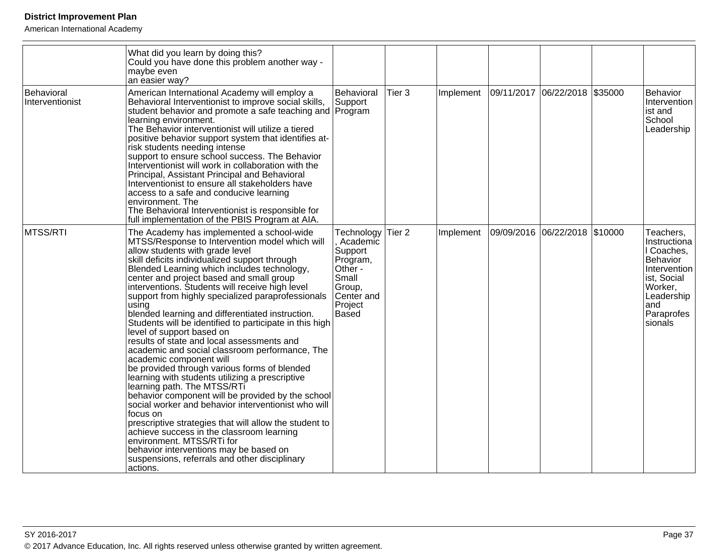|                               | What did you learn by doing this?<br>Could you have done this problem another way -<br>maybe even<br>an easier way?                                                                                                                                                                                                                                                                                                                                                                                                                                                                                                                                                                                                                                                                                                                                                                                                                                                                                                                                                                                                                                                     |                                                                                                                      |        |           |                               |                                                                                                                                              |
|-------------------------------|-------------------------------------------------------------------------------------------------------------------------------------------------------------------------------------------------------------------------------------------------------------------------------------------------------------------------------------------------------------------------------------------------------------------------------------------------------------------------------------------------------------------------------------------------------------------------------------------------------------------------------------------------------------------------------------------------------------------------------------------------------------------------------------------------------------------------------------------------------------------------------------------------------------------------------------------------------------------------------------------------------------------------------------------------------------------------------------------------------------------------------------------------------------------------|----------------------------------------------------------------------------------------------------------------------|--------|-----------|-------------------------------|----------------------------------------------------------------------------------------------------------------------------------------------|
| Behavioral<br>Interventionist | American International Academy will employ a<br>Behavioral Interventionist to improve social skills,<br>student behavior and promote a safe teaching and Program<br>learning environment.<br>The Behavior interventionist will utilize a tiered<br>positive behavior support system that identifies at-<br>risk students needing intense<br>support to ensure school success. The Behavior<br>Interventionist will work in collaboration with the<br>Principal, Assistant Principal and Behavioral<br>Interventionist to ensure all stakeholders have<br>access to a safe and conducive learning<br>environment. The<br>The Behavioral Interventionist is responsible for<br>full implementation of the PBIS Program at AIA.                                                                                                                                                                                                                                                                                                                                                                                                                                            | Behavioral<br>Support                                                                                                | Tier 3 | Implement | 09/11/2017 06/22/2018 \$35000 | Behavior<br>Intervention<br>ist and<br>School<br>Leadership                                                                                  |
| MTSS/RTI                      | The Academy has implemented a school-wide<br>MTSS/Response to Intervention model which will<br>allow students with grade level<br>skill deficits individualized support through<br>Blended Learning which includes technology,<br>center and project based and small group<br>interventions. Students will receive high level<br>support from highly specialized paraprofessionals<br>using<br>blended learning and differentiated instruction.<br>Students will be identified to participate in this high<br>level of support based on<br>results of state and local assessments and<br>academic and social classroom performance, The<br>academic component will<br>be provided through various forms of blended<br>learning with students utilizing a prescriptive<br>learning path. The MTSS/RTi<br>behavior component will be provided by the school<br>social worker and behavior interventionist who will<br>focus on<br>prescriptive strategies that will allow the student to<br>achieve success in the classroom learning<br>environment. MTSS/RTi for<br>behavior interventions may be based on<br>suspensions, referrals and other disciplinary<br>actions. | Technology<br>Academic<br>Support<br>Program,<br>Other -<br>Small<br>Group,<br>Center and<br>Project<br><b>Based</b> | Tier 2 | Implement | 09/09/2016 06/22/2018 \$10000 | Teachers,<br>Instructiona<br>I Coaches,<br>Behavior<br>Intervention<br>ist, Social<br>Worker,<br>Leadership<br>land<br>Paraprofes<br>sionals |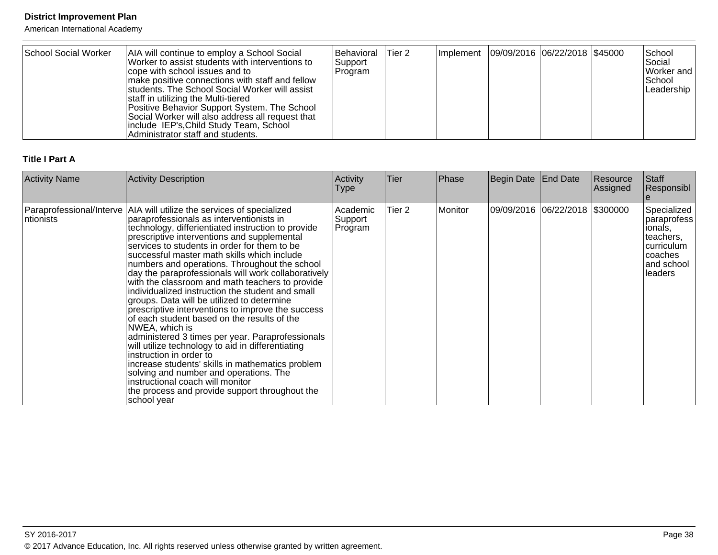American International Academy

| School Social Worker | AIA will continue to employ a School Social<br>Worker to assist students with interventions to<br>cope with school issues and to<br>make positive connections with staff and fellow<br>students. The School Social Worker will assist<br>staff in utilizing the Multi-tiered<br>Positive Behavior Support System. The School<br>Social Worker will also address all request that<br>include IEP's, Child Study Team, School<br>Administrator staff and students. | <b>Behavioral Tier 2</b><br>Support<br> Program |  |  | Implement   09/09/2016   06/22/2018   \$45000 |  |  | School<br>Social<br>Worker and<br>l School<br> Leadership |
|----------------------|------------------------------------------------------------------------------------------------------------------------------------------------------------------------------------------------------------------------------------------------------------------------------------------------------------------------------------------------------------------------------------------------------------------------------------------------------------------|-------------------------------------------------|--|--|-----------------------------------------------|--|--|-----------------------------------------------------------|
|----------------------|------------------------------------------------------------------------------------------------------------------------------------------------------------------------------------------------------------------------------------------------------------------------------------------------------------------------------------------------------------------------------------------------------------------------------------------------------------------|-------------------------------------------------|--|--|-----------------------------------------------|--|--|-----------------------------------------------------------|

# **Title I Part A**

| <b>Activity Name</b> | <b>Activity Description</b>                                                                                                                                                                                                                                                                                                                                                                                                                                                                                                                                                                                                                                                                                                                                                                                                                                                                                                                                                                                                                       | Activity<br><b>Type</b>        | <b>Tier</b>       | Phase   | Begin Date End Date |                                | Resource<br>Assigned | Staff<br>Responsibl                                                                                       |
|----------------------|---------------------------------------------------------------------------------------------------------------------------------------------------------------------------------------------------------------------------------------------------------------------------------------------------------------------------------------------------------------------------------------------------------------------------------------------------------------------------------------------------------------------------------------------------------------------------------------------------------------------------------------------------------------------------------------------------------------------------------------------------------------------------------------------------------------------------------------------------------------------------------------------------------------------------------------------------------------------------------------------------------------------------------------------------|--------------------------------|-------------------|---------|---------------------|--------------------------------|----------------------|-----------------------------------------------------------------------------------------------------------|
| ntionists            | Paraprofessional/Interve   AIA will utilize the services of specialized<br>paraprofessionals as interventionists in<br>technology, differientiated instruction to provide<br>prescriptive interventions and supplemental<br>services to students in order for them to be<br>successful master math skills which include<br>numbers and operations. Throughout the school<br>day the paraprofessionals will work collaboratively<br>with the classroom and math teachers to provide<br>individualized instruction the student and small<br>groups. Data will be utilized to determine<br>prescriptive interventions to improve the success<br>of each student based on the results of the<br>NWEA, which is<br>administered 3 times per year. Paraprofessionals<br>will utilize technology to aid in differentiating<br>instruction in order to<br>increase students' skills in mathematics problem<br>solving and number and operations. The<br>instructional coach will monitor<br>the process and provide support throughout the<br>school year | Academic<br>Support<br>Program | Tier <sub>2</sub> | Monitor |                     | 09/09/2016 06/22/2018 \$300000 |                      | Specialized<br> paraprofess<br>ionals,<br>lteachers.<br> curriculum<br>Icoaches<br>and school<br>lleaders |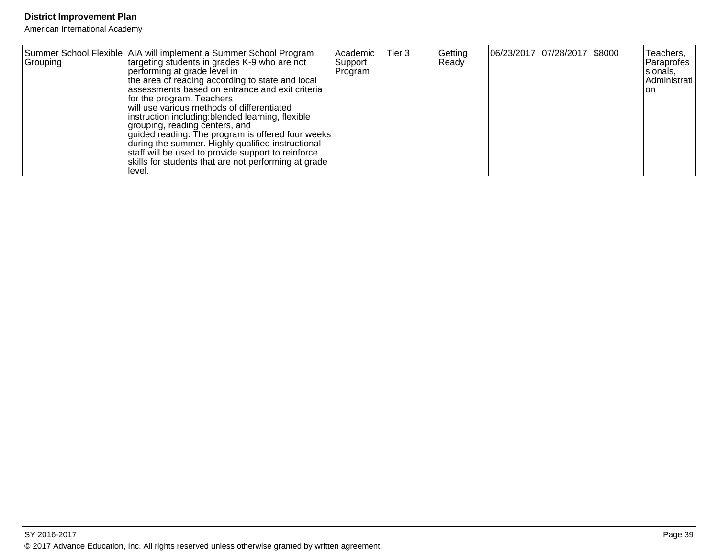| Grouping | Summer School Flexible AIA will implement a Summer School Program<br>targeting students in grades K-9 who are not<br>performing at grade level in<br>the area of reading according to state and local<br>assessments based on entrance and exit criteria<br>for the program. Teachers<br>will use various methods of differentiated<br>instruction including: blended learning, flexible<br>grouping, reading centers, and<br>guided reading. The program is offered four weeks<br>during the summer. Highly qualified instructional<br>staff will be used to provide support to reinforce<br>skills for students that are not performing at grade | Academic<br>Support<br>Program | Tier 3 | Getting<br>Ready | 06/23/2017 07/28/2017 \$8000 | Teachers,<br>Paraprofes<br>sionals,<br>Administrati<br>lon |
|----------|----------------------------------------------------------------------------------------------------------------------------------------------------------------------------------------------------------------------------------------------------------------------------------------------------------------------------------------------------------------------------------------------------------------------------------------------------------------------------------------------------------------------------------------------------------------------------------------------------------------------------------------------------|--------------------------------|--------|------------------|------------------------------|------------------------------------------------------------|
|          | llevel.                                                                                                                                                                                                                                                                                                                                                                                                                                                                                                                                                                                                                                            |                                |        |                  |                              |                                                            |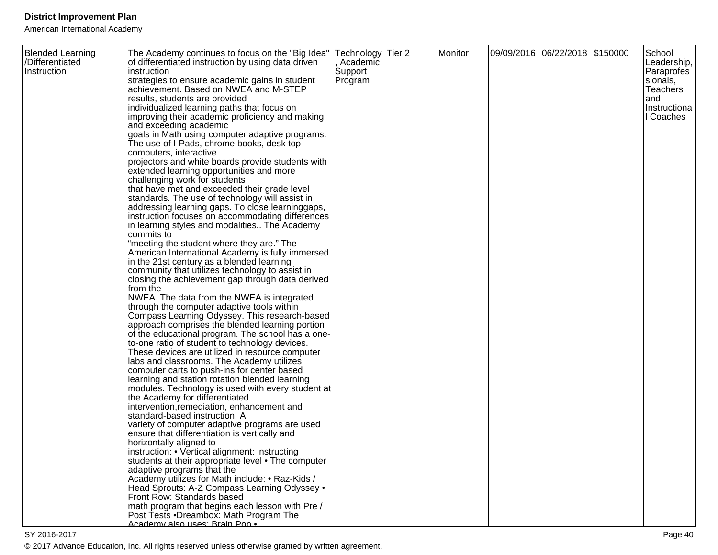| <b>Blended Learning</b><br>/Differentiated<br>Instruction | The Academy continues to focus on the "Big Idea"<br>of differentiated instruction by using data driven<br>instruction<br>strategies to ensure academic gains in student<br>achievement. Based on NWEA and M-STEP<br>results, students are provided<br>individualized learning paths that focus on<br>improving their academic proficiency and making<br>and exceeding academic<br>goals in Math using computer adaptive programs.<br>The use of I-Pads, chrome books, desk top<br>computers, interactive<br>projectors and white boards provide students with<br>extended learning opportunities and more<br>challenging work for students<br>that have met and exceeded their grade level<br>standards. The use of technology will assist in<br>addressing learning gaps. To close learninggaps,<br>instruction focuses on accommodating differences<br>in learning styles and modalities The Academy<br>commits to<br>"meeting the student where they are." The<br>American International Academy is fully immersed<br>in the 21st century as a blended learning<br>community that utilizes technology to assist in<br>closing the achievement gap through data derived<br>from the<br>NWEA. The data from the NWEA is integrated<br>through the computer adaptive tools within<br>Compass Learning Odyssey. This research-based<br>approach comprises the blended learning portion<br>of the educational program. The school has a one-<br>to-one ratio of student to technology devices.<br>These devices are utilized in resource computer<br>labs and classrooms. The Academy utilizes<br>computer carts to push-ins for center based<br>learning and station rotation blended learning<br>modules. Technology is used with every student at<br>the Academy for differentiated<br>intervention, remediation, enhancement and<br>standard-based instruction. A<br>variety of computer adaptive programs are used<br>ensure that differentiation is vertically and<br>horizontally aligned to<br>instruction: • Vertical alignment: instructing<br>students at their appropriate level • The computer<br>adaptive programs that the<br>Academy utilizes for Math include: • Raz-Kids /<br>Head Sprouts: A-Z Compass Learning Odyssey . | Technology Tier 2<br>, Academic<br>Support<br>Program | Monitor | 09/09/2016 06/22/2018 \$150000 | School<br>Leadership,<br>Paraprofes<br>sionals,<br><b>Teachers</b><br>and<br>Instructiona<br>I Coaches |
|-----------------------------------------------------------|--------------------------------------------------------------------------------------------------------------------------------------------------------------------------------------------------------------------------------------------------------------------------------------------------------------------------------------------------------------------------------------------------------------------------------------------------------------------------------------------------------------------------------------------------------------------------------------------------------------------------------------------------------------------------------------------------------------------------------------------------------------------------------------------------------------------------------------------------------------------------------------------------------------------------------------------------------------------------------------------------------------------------------------------------------------------------------------------------------------------------------------------------------------------------------------------------------------------------------------------------------------------------------------------------------------------------------------------------------------------------------------------------------------------------------------------------------------------------------------------------------------------------------------------------------------------------------------------------------------------------------------------------------------------------------------------------------------------------------------------------------------------------------------------------------------------------------------------------------------------------------------------------------------------------------------------------------------------------------------------------------------------------------------------------------------------------------------------------------------------------------------------------------------------------------------------------------------------------------------------|-------------------------------------------------------|---------|--------------------------------|--------------------------------------------------------------------------------------------------------|
|                                                           | Front Row: Standards based<br>math program that begins each lesson with Pre /<br>Post Tests .Dreambox: Math Program The<br>Academy also uses: Brain Pop .                                                                                                                                                                                                                                                                                                                                                                                                                                                                                                                                                                                                                                                                                                                                                                                                                                                                                                                                                                                                                                                                                                                                                                                                                                                                                                                                                                                                                                                                                                                                                                                                                                                                                                                                                                                                                                                                                                                                                                                                                                                                                  |                                                       |         |                                |                                                                                                        |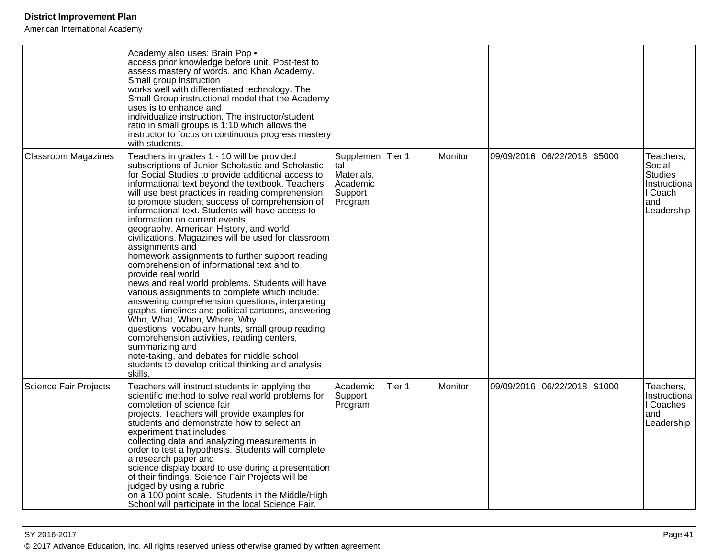|                              | Academy also uses: Brain Pop .<br>access prior knowledge before unit. Post-test to<br>assess mastery of words. and Khan Academy.<br>Small group instruction<br>works well with differentiated technology. The<br>Small Group instructional model that the Academy<br>uses is to enhance and<br>individualize instruction. The instructor/student<br>ratio in small groups is 1:10 which allows the<br>instructor to focus on continuous progress mastery<br>with students.                                                                                                                                                                                                                                                                                                                                                                                                                                                                                                                                                                                                                                                           |                                                                  |        |         |                              |        |                                                                                       |
|------------------------------|--------------------------------------------------------------------------------------------------------------------------------------------------------------------------------------------------------------------------------------------------------------------------------------------------------------------------------------------------------------------------------------------------------------------------------------------------------------------------------------------------------------------------------------------------------------------------------------------------------------------------------------------------------------------------------------------------------------------------------------------------------------------------------------------------------------------------------------------------------------------------------------------------------------------------------------------------------------------------------------------------------------------------------------------------------------------------------------------------------------------------------------|------------------------------------------------------------------|--------|---------|------------------------------|--------|---------------------------------------------------------------------------------------|
| <b>Classroom Magazines</b>   | Teachers in grades 1 - 10 will be provided<br>subscriptions of Junior Scholastic and Scholastic<br>for Social Studies to provide additional access to<br>informational text beyond the textbook. Teachers<br>will use best practices in reading comprehension<br>to promote student success of comprehension of<br>informational text. Students will have access to<br>linformation on current events.<br>geography, American History, and world<br>civilizations. Magazines will be used for classroom<br>assignments and<br>homework assignments to further support reading<br>comprehension of informational text and to<br>provide real world<br>news and real world problems. Students will have<br>various assignments to complete which include:<br>answering comprehension questions, interpreting<br>graphs, timelines and political cartoons, answering<br>Who, What, When, Where, Why<br>questions; vocabulary hunts, small group reading<br>comprehension activities, reading centers,<br>summarizing and<br>note-taking, and debates for middle school<br>students to develop critical thinking and analysis<br>skills. | Supplemen<br>tal<br>Materials,<br>Academic<br>Support<br>Program | Tier 1 | Monitor | 09/09/2016 06/22/2018        | \$5000 | Teachers,<br>Social<br><b>Studies</b><br>Instructiona<br>I Coach<br>and<br>Leadership |
| <b>Science Fair Projects</b> | Teachers will instruct students in applying the<br>scientific method to solve real world problems for<br>completion of science fair<br>projects. Teachers will provide examples for<br>students and demonstrate how to select an<br>experiment that includes<br>collecting data and analyzing measurements in<br>order to test a hypothesis. Students will complete<br>a research paper and<br>science display board to use during a presentation<br>of their findings. Science Fair Projects will be<br>judged by using a rubric<br>on a 100 point scale. Students in the Middle/High<br>School will participate in the local Science Fair.                                                                                                                                                                                                                                                                                                                                                                                                                                                                                         | Academic<br>Support<br>Program                                   | Tier 1 | Monitor | 09/09/2016 06/22/2018 \$1000 |        | Teachers,<br>Instructiona<br>I Coaches<br>and<br>Leadership                           |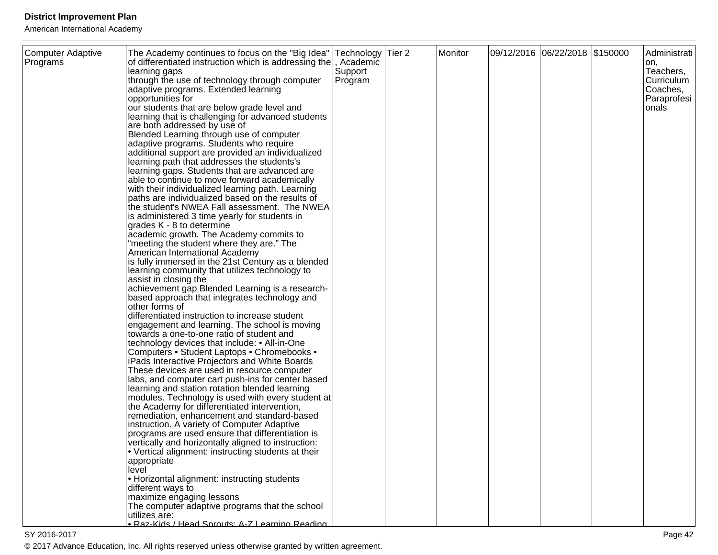| Computer Adaptive<br>Programs | The Academy continues to focus on the "Big Idea"   Technology   Tier 2<br>of differentiated instruction which is addressing the<br>learning gaps<br>through the use of technology through computer<br>adaptive programs. Extended learning<br>opportunities for<br>our students that are below grade level and<br>learning that is challenging for advanced students<br>are both addressed by use of<br>Blended Learning through use of computer<br>adaptive programs. Students who require<br>additional support are provided an individualized<br>learning path that addresses the students's<br>learning gaps. Students that are advanced are<br>able to continue to move forward academically<br>with their individualized learning path. Learning<br>paths are individualized based on the results of<br>the student's NWEA Fall assessment. The NWEA<br>is administered 3 time yearly for students in<br>grades K - 8 to determine<br>academic growth. The Academy commits to<br>"meeting the student where they are." The<br>American International Academy<br>is fully immersed in the 21st Century as a blended<br>learning community that utilizes technology to<br>assist in closing the<br>achievement gap Blended Learning is a research-<br>based approach that integrates technology and<br>other forms of<br>differentiated instruction to increase student<br>engagement and learning. The school is moving<br>towards a one-to-one ratio of student and<br>technology devices that include: • All-in-One<br>Computers • Student Laptops • Chromebooks •<br>iPads Interactive Projectors and White Boards<br>These devices are used in resource computer<br>labs, and computer cart push-ins for center based<br>learning and station rotation blended learning<br>modules. Technology is used with every student at<br>the Academy for differentiated intervention,<br>remediation, enhancement and standard-based<br>instruction. A variety of Computer Adaptive<br>programs are used ensure that differentiation is<br>vertically and horizontally aligned to instruction:<br>• Vertical alignment: instructing students at their | , Academic<br>Support<br>Program | Monitor | 09/12/2016 06/22/2018 \$150000 | Administrati<br>on,<br>Teachers,<br>Curriculum<br>Coaches,<br>Paraprofesi<br>onals |
|-------------------------------|-------------------------------------------------------------------------------------------------------------------------------------------------------------------------------------------------------------------------------------------------------------------------------------------------------------------------------------------------------------------------------------------------------------------------------------------------------------------------------------------------------------------------------------------------------------------------------------------------------------------------------------------------------------------------------------------------------------------------------------------------------------------------------------------------------------------------------------------------------------------------------------------------------------------------------------------------------------------------------------------------------------------------------------------------------------------------------------------------------------------------------------------------------------------------------------------------------------------------------------------------------------------------------------------------------------------------------------------------------------------------------------------------------------------------------------------------------------------------------------------------------------------------------------------------------------------------------------------------------------------------------------------------------------------------------------------------------------------------------------------------------------------------------------------------------------------------------------------------------------------------------------------------------------------------------------------------------------------------------------------------------------------------------------------------------------------------------------------------------------------------------------------------------|----------------------------------|---------|--------------------------------|------------------------------------------------------------------------------------|
|                               | appropriate<br>level<br>• Horizontal alignment: instructing students<br>different ways to<br>maximize engaging lessons<br>The computer adaptive programs that the school<br>utilizes are:<br>· Raz-Kids / Head Sprouts: A-Z Learning Reading                                                                                                                                                                                                                                                                                                                                                                                                                                                                                                                                                                                                                                                                                                                                                                                                                                                                                                                                                                                                                                                                                                                                                                                                                                                                                                                                                                                                                                                                                                                                                                                                                                                                                                                                                                                                                                                                                                          |                                  |         |                                |                                                                                    |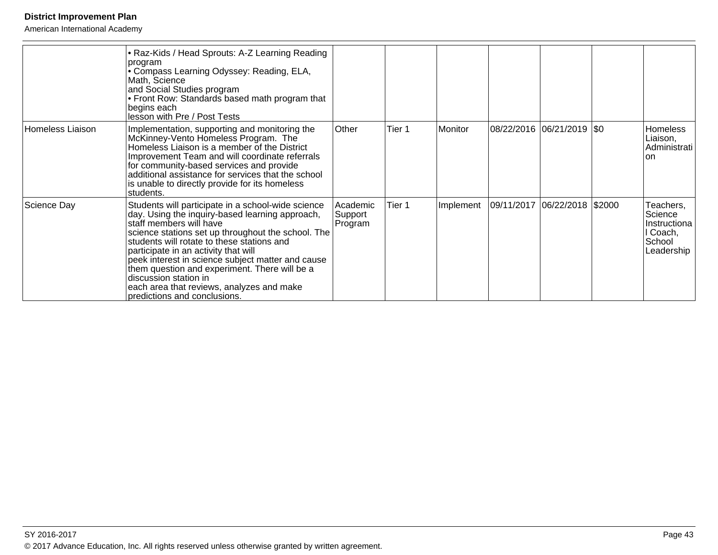|                  | • Raz-Kids / Head Sprouts: A-Z Learning Reading<br>program<br>• Compass Learning Odyssey: Reading, ELA,<br>Math, Science<br>and Social Studies program<br>• Front Row: Standards based math program that<br>begins each<br>lesson with Pre / Post Tests                                                                                                                                                                                                                                  |                                |        |           |                              |                                                                          |
|------------------|------------------------------------------------------------------------------------------------------------------------------------------------------------------------------------------------------------------------------------------------------------------------------------------------------------------------------------------------------------------------------------------------------------------------------------------------------------------------------------------|--------------------------------|--------|-----------|------------------------------|--------------------------------------------------------------------------|
| Homeless Liaison | Implementation, supporting and monitoring the<br>McKinney-Vento Homeless Program. The<br>Homeless Liaison is a member of the District<br>Improvement Team and will coordinate referrals<br>for community-based services and provide<br>additional assistance for services that the school<br>is unable to directly provide for its homeless<br>students.                                                                                                                                 | Other                          | Tier 1 | Monitor   | 08/22/2016 06/21/2019  \$0   | <b>Homeless</b><br>Liaison,<br>Administrati<br><b>on</b>                 |
| Science Day      | Students will participate in a school-wide science<br>day. Using the inquiry-based learning approach,<br>staff members will have<br>science stations set up throughout the school. The<br>students will rotate to these stations and<br>participate in an activity that will<br>peek interest in science subject matter and cause<br>them question and experiment. There will be a<br>discussion station in<br>each area that reviews, analyzes and make<br>predictions and conclusions. | Academic<br>Support<br>Program | Tier 1 | Implement | 09/11/2017 06/22/2018 \$2000 | Teachers,<br>Science<br>Instructiona<br>l Coach,<br>School<br>Leadership |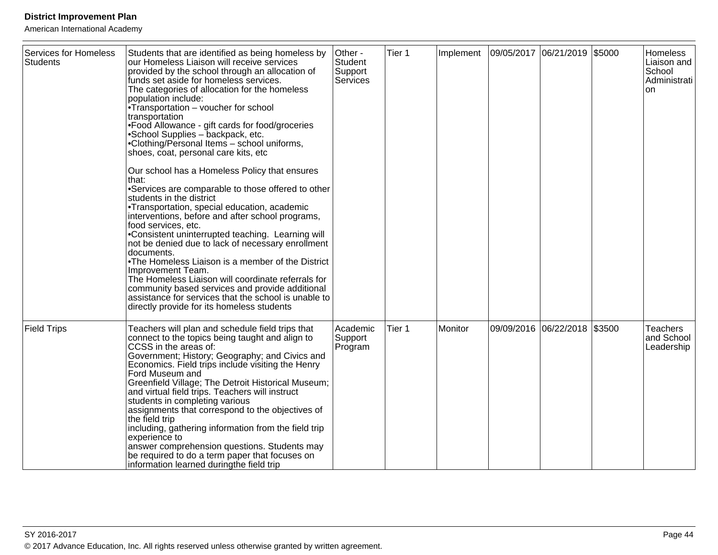| <b>Services for Homeless</b><br><b>Students</b> | Students that are identified as being homeless by<br>our Homeless Liaison will receive services<br>provided by the school through an allocation of<br>funds set aside for homeless services.<br>The categories of allocation for the homeless<br>population include:<br>• Transportation $-$ voucher for school<br>transportation<br>• Food Allowance - gift cards for food/groceries<br>• School Supplies - backpack, etc.<br>• Clothing/Personal Items - school uniforms,<br>shoes, coat, personal care kits, etc<br>Our school has a Homeless Policy that ensures<br>that:<br>• Services are comparable to those offered to other<br>students in the district<br>• Transportation, special education, academic<br>interventions, before and after school programs,<br>food services, etc.<br>• Consistent uninterrupted teaching. Learning will<br>not be denied due to lack of necessary enrollment<br>documents.<br>• The Homeless Liaison is a member of the District<br>Improvement Team.<br>The Homeless Liaison will coordinate referrals for<br>community based services and provide additional<br>assistance for services that the school is unable to<br>directly provide for its homeless students | Other -<br><b>Student</b><br>Support<br>Services | Tier 1 | Implement | 09/05/2017 06/21/2019 \$5000 |        | <b>Homeless</b><br>Liaison and<br>School<br>Administrati<br><b>on</b> |
|-------------------------------------------------|-----------------------------------------------------------------------------------------------------------------------------------------------------------------------------------------------------------------------------------------------------------------------------------------------------------------------------------------------------------------------------------------------------------------------------------------------------------------------------------------------------------------------------------------------------------------------------------------------------------------------------------------------------------------------------------------------------------------------------------------------------------------------------------------------------------------------------------------------------------------------------------------------------------------------------------------------------------------------------------------------------------------------------------------------------------------------------------------------------------------------------------------------------------------------------------------------------------------|--------------------------------------------------|--------|-----------|------------------------------|--------|-----------------------------------------------------------------------|
| <b>Field Trips</b>                              | Teachers will plan and schedule field trips that<br>connect to the topics being taught and align to<br>CCSS in the areas of:<br>Government; History; Geography; and Civics and<br>Economics. Field trips include visiting the Henry<br>Ford Museum and<br>Greenfield Village; The Detroit Historical Museum;<br>and virtual field trips. Teachers will instruct<br>students in completing various<br>assignments that correspond to the objectives of<br>the field trip<br>including, gathering information from the field trip<br>experience to<br>answer comprehension questions. Students may<br>be required to do a term paper that focuses on<br>information learned duringthe field trip                                                                                                                                                                                                                                                                                                                                                                                                                                                                                                                  | Academic<br>Support<br>Program                   | Tier 1 | Monitor   | 09/09/2016 06/22/2018        | \$3500 | <b>Teachers</b><br>and School<br>Leadership                           |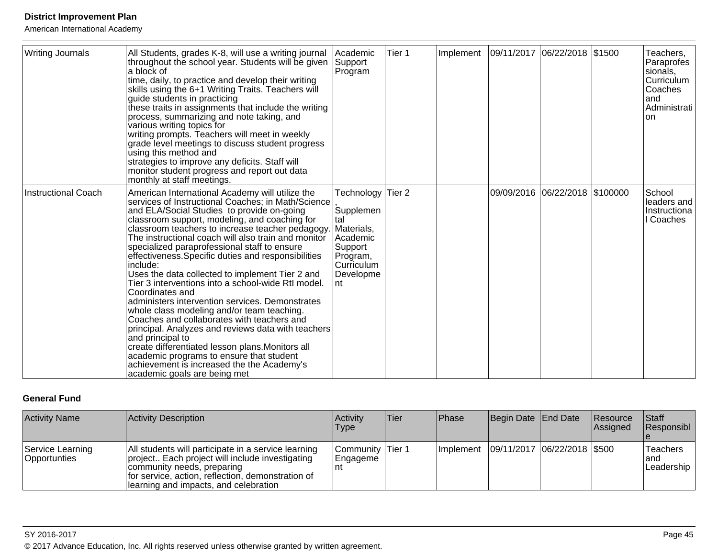American International Academy

| <b>Writing Journals</b> | All Students, grades K-8, will use a writing journal<br>throughout the school year. Students will be given<br>la block of<br>time, daily, to practice and develop their writing<br>skills using the 6+1 Writing Traits. Teachers will<br>guide students in practicing<br>these traits in assignments that include the writing<br>process, summarizing and note taking, and<br>various writing topics for<br>writing prompts. Teachers will meet in weekly<br>grade level meetings to discuss student progress<br>using this method and<br>strategies to improve any deficits. Staff will<br>monitor student progress and report out data<br>monthly at staff meetings.                                                                                                                                                                                                                                                                                                | Academic<br>Support<br>Program                                                                                                    | Tier 1 | Implement | 09/11/2017 06/22/2018 \$1500   | Teachers,<br>Paraprofes<br>sionals,<br><b>Curriculum</b><br>Coaches<br>land<br><b>Administrati</b><br>lon. |
|-------------------------|-----------------------------------------------------------------------------------------------------------------------------------------------------------------------------------------------------------------------------------------------------------------------------------------------------------------------------------------------------------------------------------------------------------------------------------------------------------------------------------------------------------------------------------------------------------------------------------------------------------------------------------------------------------------------------------------------------------------------------------------------------------------------------------------------------------------------------------------------------------------------------------------------------------------------------------------------------------------------|-----------------------------------------------------------------------------------------------------------------------------------|--------|-----------|--------------------------------|------------------------------------------------------------------------------------------------------------|
| Instructional Coach     | American International Academy will utilize the<br>services of Instructional Coaches; in Math/Science<br>and ELA/Social Studies to provide on-going<br>classroom support, modeling, and coaching for<br>classroom teachers to increase teacher pedagogy.<br>The instructional coach will also train and monitor<br>specialized paraprofessional staff to ensure<br>effectiveness. Specific duties and responsibilities<br>include:<br>Uses the data collected to implement Tier 2 and<br>Tier 3 interventions into a school-wide RtI model.<br>Coordinates and<br>administers intervention services. Demonstrates<br>whole class modeling and/or team teaching.<br>Coaches and collaborates with teachers and<br>principal. Analyzes and reviews data with teachers<br>and principal to<br>create differentiated lesson plans. Monitors all<br>academic programs to ensure that student<br>achievement is increased the the Academy's<br>academic goals are being met | Technology Tier 2<br>Supplemen<br>ltal<br>Materials,<br><b>Academic</b><br>Support<br>Program,<br>lCurriculum<br>Developme<br>Int |        |           | 09/09/2016 06/22/2018 \$100000 | School<br>leaders and<br>Instructiona<br>Coaches                                                           |

### **General Fund**

| <b>Activity Name</b>                    | Activity Description                                                                                                                                                                                                                | Activity<br>Type              | <b>Tier</b> | <b>Phase</b> | Begin Date End Date |                                             | <b>Resource</b><br>Assigned | Staff<br>Responsibl            |
|-----------------------------------------|-------------------------------------------------------------------------------------------------------------------------------------------------------------------------------------------------------------------------------------|-------------------------------|-------------|--------------|---------------------|---------------------------------------------|-----------------------------|--------------------------------|
| Service Learning<br><b>Opportunties</b> | All students will participate in a service learning<br>project Each project will include investigating<br>community needs, preparing<br>for service, action, reflection, demonstration of<br>Ilearning and impacts, and celebration | Community Tier 1<br> Engageme |             |              |                     | Implement   09/11/2017   06/22/2018   \$500 |                             | Teachers<br>land<br>Leadership |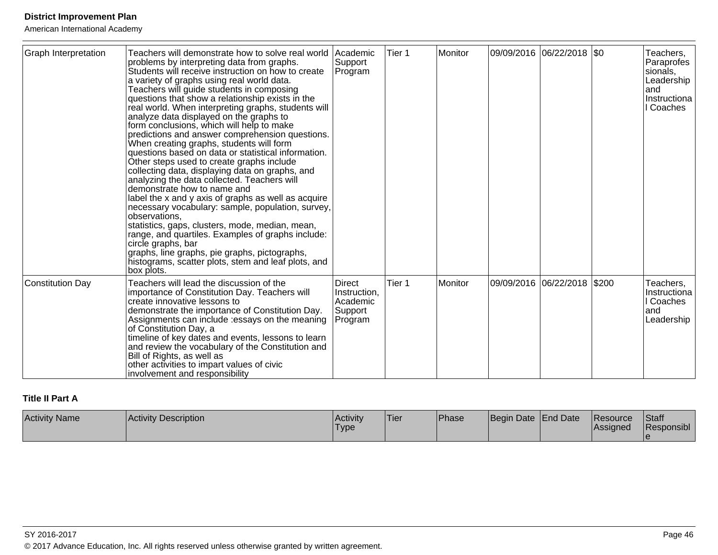American International Academy

| <b>Graph Interpretation</b> | Teachers will demonstrate how to solve real world<br>problems by interpreting data from graphs.<br>Students will receive instruction on how to create<br>a variety of graphs using real world data.<br>Teachers will guide students in composing<br>questions that show a relationship exists in the<br>real world. When interpreting graphs, students will<br>analyze data displayed on the graphs to<br>form conclusions, which will help to make<br>predictions and answer comprehension questions.<br>When creating graphs, students will form<br>questions based on data or statistical information.<br>Other steps used to create graphs include<br>collecting data, displaying data on graphs, and<br>analyzing the data collected. Teachers will<br>demonstrate how to name and<br>label the x and y axis of graphs as well as acquire<br>necessary vocabulary: sample, population, survey,<br>observations.<br>statistics, gaps, clusters, mode, median, mean,<br>range, and quartiles. Examples of graphs include:<br>circle graphs, bar<br>graphs, line graphs, pie graphs, pictographs,<br>histograms, scatter plots, stem and leaf plots, and | <b>Academic</b><br>Support<br>Program                           | Tier 1 | Monitor | 09/09/2016  06/22/2018  \$0   | Teachers,<br>Paraprofes<br>sionals,<br>Leadership<br>land<br>Instructiona<br>Coaches |
|-----------------------------|------------------------------------------------------------------------------------------------------------------------------------------------------------------------------------------------------------------------------------------------------------------------------------------------------------------------------------------------------------------------------------------------------------------------------------------------------------------------------------------------------------------------------------------------------------------------------------------------------------------------------------------------------------------------------------------------------------------------------------------------------------------------------------------------------------------------------------------------------------------------------------------------------------------------------------------------------------------------------------------------------------------------------------------------------------------------------------------------------------------------------------------------------------|-----------------------------------------------------------------|--------|---------|-------------------------------|--------------------------------------------------------------------------------------|
|                             | box plots.                                                                                                                                                                                                                                                                                                                                                                                                                                                                                                                                                                                                                                                                                                                                                                                                                                                                                                                                                                                                                                                                                                                                                 |                                                                 |        |         |                               |                                                                                      |
| Constitution Day            | Teachers will lead the discussion of the<br>importance of Constitution Day. Teachers will<br>create innovative lessons to<br>demonstrate the importance of Constitution Day.<br>Assignments can include : essays on the meaning<br>of Constitution Day, a<br>timeline of key dates and events, lessons to learn<br>and review the vocabulary of the Constitution and<br>Bill of Rights, as well as<br>other activities to impart values of civic<br>involvement and responsibility                                                                                                                                                                                                                                                                                                                                                                                                                                                                                                                                                                                                                                                                         | <b>Direct</b><br>Instruction,<br>Academic<br>Support<br>Program | Tier 1 | Monitor | 09/09/2016  06/22/2018  \$200 | Teachers,<br>Instructiona<br>l Coaches<br>and<br>Leadership                          |

# **Title II Part A**

| <b>Activity Name</b><br><b>Activity Description</b> | <b>Activity</b><br><b>Type</b> | 'Tier | <sup>'</sup> Phase | Beain | Date End Date | <b>Resource</b><br><b>IAssigned</b> | <b>Staff</b><br>Responsible |
|-----------------------------------------------------|--------------------------------|-------|--------------------|-------|---------------|-------------------------------------|-----------------------------|
|-----------------------------------------------------|--------------------------------|-------|--------------------|-------|---------------|-------------------------------------|-----------------------------|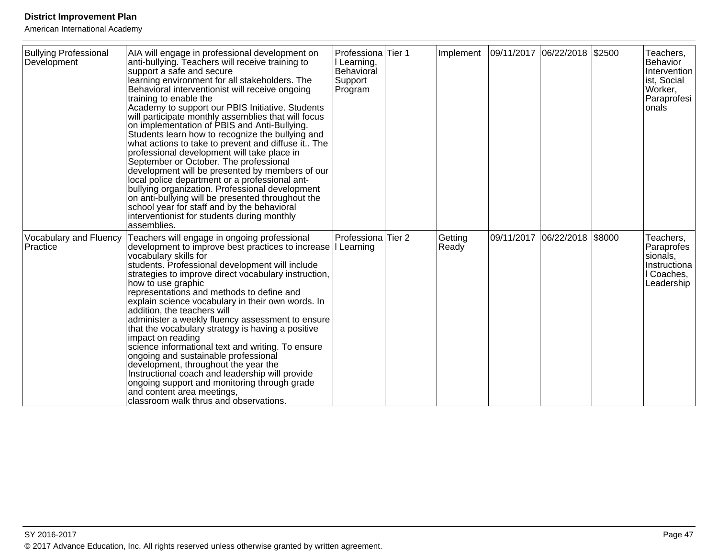| <b>Bullying Professional</b><br>Development | AIA will engage in professional development on<br>anti-bullying. Teachers will receive training to<br>support a safe and secure<br>learning environment for all stakeholders. The<br>Behavioral interventionist will receive ongoing<br>training to enable the<br>Academy to support our PBIS Initiative. Students<br>will participate monthly assemblies that will focus<br>on implementation of PBIS and Anti-Bullying.<br>Students learn how to recognize the bullying and<br>what actions to take to prevent and diffuse it The<br>professional development will take place in<br>September or October. The professional<br>development will be presented by members of our<br>local police department or a professional ant-<br>bullying organization. Professional development<br>on anti-bullying will be presented throughout the<br>school year for staff and by the behavioral<br>interventionist for students during monthly<br>assemblies. | Professiona Tier 1<br>I Learning,<br>Behavioral<br>Support<br>Program | Implement        | 09/11/2017 06/22/2018 \$2500 |            |        | Teachers,<br>Behavior<br>Intervention<br>ist, Social<br>Worker,<br>Paraprofesi<br>onals |
|---------------------------------------------|--------------------------------------------------------------------------------------------------------------------------------------------------------------------------------------------------------------------------------------------------------------------------------------------------------------------------------------------------------------------------------------------------------------------------------------------------------------------------------------------------------------------------------------------------------------------------------------------------------------------------------------------------------------------------------------------------------------------------------------------------------------------------------------------------------------------------------------------------------------------------------------------------------------------------------------------------------|-----------------------------------------------------------------------|------------------|------------------------------|------------|--------|-----------------------------------------------------------------------------------------|
| Vocabulary and Fluency<br>Practice          | Teachers will engage in ongoing professional<br>development to improve best practices to increase I Learning<br>vocabulary skills for<br>students. Professional development will include<br>strategies to improve direct vocabulary instruction,<br>how to use graphic<br>representations and methods to define and<br>explain science vocabulary in their own words. In<br>addition, the teachers will<br>administer a weekly fluency assessment to ensure<br>that the vocabulary strategy is having a positive<br>impact on reading<br>science informational text and writing. To ensure<br>ongoing and sustainable professional<br>development, throughout the year the<br>Instructional coach and leadership will provide<br>ongoing support and monitoring through grade<br>and content area meetings,<br>classroom walk thrus and observations.                                                                                                  | Professiona Tier 2                                                    | Getting<br>Ready | 09/11/2017                   | 06/22/2018 | \$8000 | Teachers,<br>Paraprofes<br>sionals,<br>Instructiona<br>I Coaches,<br>Leadership         |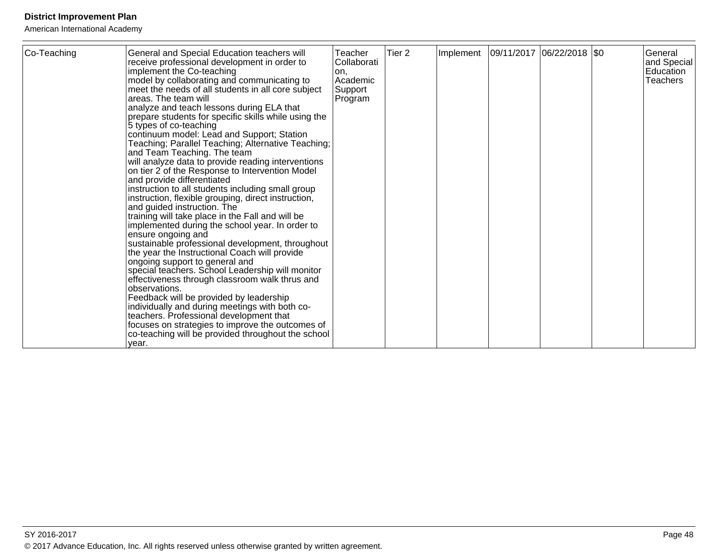| vear. | Co-Teaching | General and Special Education teachers will<br>receive professional development in order to<br>implement the Co-teaching<br>model by collaborating and communicating to<br>meet the needs of all students in all core subject<br>areas. The team will<br>analyze and teach lessons during ELA that<br>prepare students for specific skills while using the<br>5 types of co-teaching<br>continuum model: Lead and Support; Station<br>Teaching; Parallel Teaching; Alternative Teaching;<br>and Team Teaching. The team<br>will analyze data to provide reading interventions<br>on tier 2 of the Response to Intervention Model<br>and provide differentiated<br>instruction to all students including small group<br>instruction, flexible grouping, direct instruction,<br>and guided instruction. The<br>training will take place in the Fall and will be<br>implemented during the school year. In order to<br>ensure ongoing and<br>sustainable professional development, throughout<br>the year the Instructional Coach will provide<br>ongoing support to general and<br>special teachers. School Leadership will monitor<br>effectiveness through classroom walk thrus and<br>observations.<br>Feedback will be provided by leadership<br>individually and during meetings with both co-<br>teachers. Professional development that<br>focuses on strategies to improve the outcomes of<br>co-teaching will be provided throughout the school | Teacher<br>Collaborati<br>on.<br>Academic<br>Support<br>Program | Tier <sub>2</sub> | Implement | 09/11/2017 06/22/2018 \$0 |  |  | General<br>and Special<br>Education<br><b>Teachers</b> |
|-------|-------------|--------------------------------------------------------------------------------------------------------------------------------------------------------------------------------------------------------------------------------------------------------------------------------------------------------------------------------------------------------------------------------------------------------------------------------------------------------------------------------------------------------------------------------------------------------------------------------------------------------------------------------------------------------------------------------------------------------------------------------------------------------------------------------------------------------------------------------------------------------------------------------------------------------------------------------------------------------------------------------------------------------------------------------------------------------------------------------------------------------------------------------------------------------------------------------------------------------------------------------------------------------------------------------------------------------------------------------------------------------------------------------------------------------------------------------------------------------|-----------------------------------------------------------------|-------------------|-----------|---------------------------|--|--|--------------------------------------------------------|
|-------|-------------|--------------------------------------------------------------------------------------------------------------------------------------------------------------------------------------------------------------------------------------------------------------------------------------------------------------------------------------------------------------------------------------------------------------------------------------------------------------------------------------------------------------------------------------------------------------------------------------------------------------------------------------------------------------------------------------------------------------------------------------------------------------------------------------------------------------------------------------------------------------------------------------------------------------------------------------------------------------------------------------------------------------------------------------------------------------------------------------------------------------------------------------------------------------------------------------------------------------------------------------------------------------------------------------------------------------------------------------------------------------------------------------------------------------------------------------------------------|-----------------------------------------------------------------|-------------------|-----------|---------------------------|--|--|--------------------------------------------------------|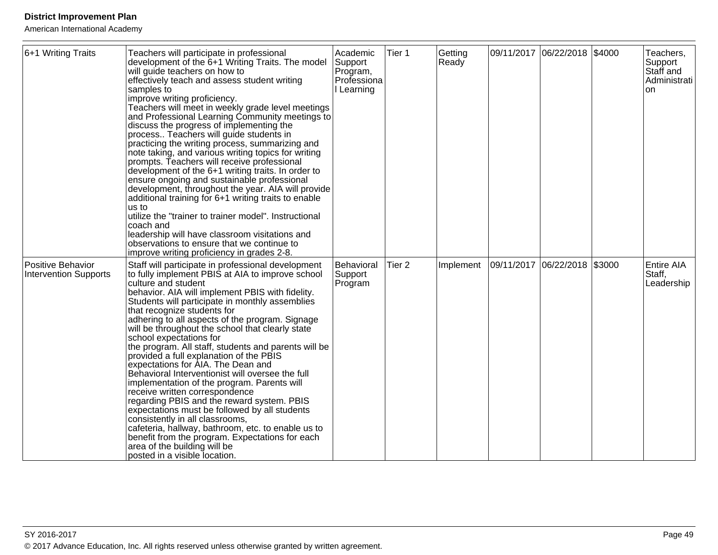| 6+1 Writing Traits                                | Teachers will participate in professional<br>development of the 6+1 Writing Traits. The model<br>will guide teachers on how to<br>effectively teach and assess student writing<br>samples to<br>improve writing proficiency.<br>Teachers will meet in weekly grade level meetings<br>and Professional Learning Community meetings to<br>discuss the progress of implementing the<br>process Teachers will guide students in<br>practicing the writing process, summarizing and<br>note taking, and various writing topics for writing<br>prompts. Teachers will receive professional<br>development of the 6+1 writing traits. In order to<br>ensure ongoing and sustainable professional<br>development, throughout the year. AIA will provide<br>additional training for 6+1 writing traits to enable<br>us to<br>utilize the "trainer to trainer model". Instructional<br>coach and<br>leadership will have classroom visitations and<br>observations to ensure that we continue to<br>improve writing proficiency in grades 2-8. | Academic<br>Support<br>Program,<br>Professiona<br>Learning | Tier 1            | Getting<br>Ready |                              | 09/11/2017 06/22/2018 \$4000 | Teachers,<br>Support<br>Staff and<br>Administrati<br><b>on</b> |
|---------------------------------------------------|--------------------------------------------------------------------------------------------------------------------------------------------------------------------------------------------------------------------------------------------------------------------------------------------------------------------------------------------------------------------------------------------------------------------------------------------------------------------------------------------------------------------------------------------------------------------------------------------------------------------------------------------------------------------------------------------------------------------------------------------------------------------------------------------------------------------------------------------------------------------------------------------------------------------------------------------------------------------------------------------------------------------------------------|------------------------------------------------------------|-------------------|------------------|------------------------------|------------------------------|----------------------------------------------------------------|
| Positive Behavior<br><b>Intervention Supports</b> | Staff will participate in professional development<br>to fully implement PBIS at AIA to improve school<br>culture and student<br>behavior. AIA will implement PBIS with fidelity.<br>Students will participate in monthly assemblies<br>that recognize students for<br>adhering to all aspects of the program. Signage<br>will be throughout the school that clearly state<br>school expectations for<br>the program. All staff, students and parents will be<br>provided a full explanation of the PBIS<br>expectations for AIA. The Dean and<br>Behavioral Interventionist will oversee the full<br>implementation of the program. Parents will<br>receive written correspondence<br>regarding PBIS and the reward system. PBIS<br>expectations must be followed by all students<br>consistently in all classrooms,<br>cafeteria, hallway, bathroom, etc. to enable us to<br>benefit from the program. Expectations for each<br>area of the building will be<br>posted in a visible location.                                      | Behavioral<br>Support<br>Program                           | Tier <sub>2</sub> | Implement        | 09/11/2017 06/22/2018 \$3000 |                              | <b>Entire AIA</b><br>Staff,<br>Leadership                      |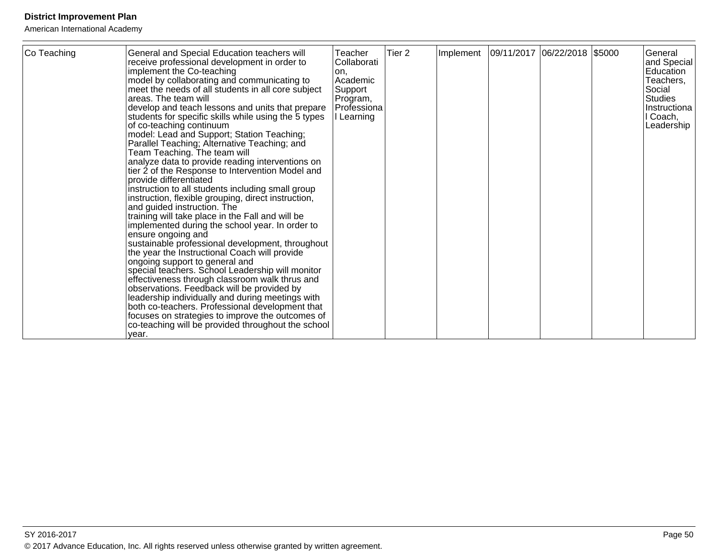| Co Teaching | General and Special Education teachers will<br>receive professional development in order to<br>implement the Co-teaching<br>model by collaborating and communicating to<br>meet the needs of all students in all core subject<br>areas. The team will<br>develop and teach lessons and units that prepare<br>students for specific skills while using the 5 types<br>of co-teaching continuum<br>model: Lead and Support; Station Teaching;<br>Parallel Teaching; Alternative Teaching; and<br>Team Teaching. The team will<br>analyze data to provide reading interventions on<br>tier 2 of the Response to Intervention Model and<br>provide differentiated<br>instruction to all students including small group<br>instruction, flexible grouping, direct instruction,<br>and guided instruction. The<br>training will take place in the Fall and will be<br>implemented during the school year. In order to<br>ensure ongoing and<br>sustainable professional development, throughout<br>the year the Instructional Coach will provide<br>ongoing support to general and<br> special teachers. School Leadership will monitor<br>effectiveness through classroom walk thrus and<br>observations. Feedback will be provided by<br>leadership individually and during meetings with<br>both co-teachers. Professional development that<br>focuses on strategies to improve the outcomes of<br>co-teaching will be provided throughout the school<br>year. | Teacher<br>Collaborati<br>on,<br>Academic<br>Support<br>Program,<br>Professiona<br>Learning | Tier <sub>2</sub> | Implement |  | 09/11/2017  06/22/2018  \$5000 |  | General<br>and Special<br>Education<br>Teachers,<br>Social<br><b>Studies</b><br>Instructiona<br>I Coach,<br>Leadership |
|-------------|-------------------------------------------------------------------------------------------------------------------------------------------------------------------------------------------------------------------------------------------------------------------------------------------------------------------------------------------------------------------------------------------------------------------------------------------------------------------------------------------------------------------------------------------------------------------------------------------------------------------------------------------------------------------------------------------------------------------------------------------------------------------------------------------------------------------------------------------------------------------------------------------------------------------------------------------------------------------------------------------------------------------------------------------------------------------------------------------------------------------------------------------------------------------------------------------------------------------------------------------------------------------------------------------------------------------------------------------------------------------------------------------------------------------------------------------------------------|---------------------------------------------------------------------------------------------|-------------------|-----------|--|--------------------------------|--|------------------------------------------------------------------------------------------------------------------------|
|-------------|-------------------------------------------------------------------------------------------------------------------------------------------------------------------------------------------------------------------------------------------------------------------------------------------------------------------------------------------------------------------------------------------------------------------------------------------------------------------------------------------------------------------------------------------------------------------------------------------------------------------------------------------------------------------------------------------------------------------------------------------------------------------------------------------------------------------------------------------------------------------------------------------------------------------------------------------------------------------------------------------------------------------------------------------------------------------------------------------------------------------------------------------------------------------------------------------------------------------------------------------------------------------------------------------------------------------------------------------------------------------------------------------------------------------------------------------------------------|---------------------------------------------------------------------------------------------|-------------------|-----------|--|--------------------------------|--|------------------------------------------------------------------------------------------------------------------------|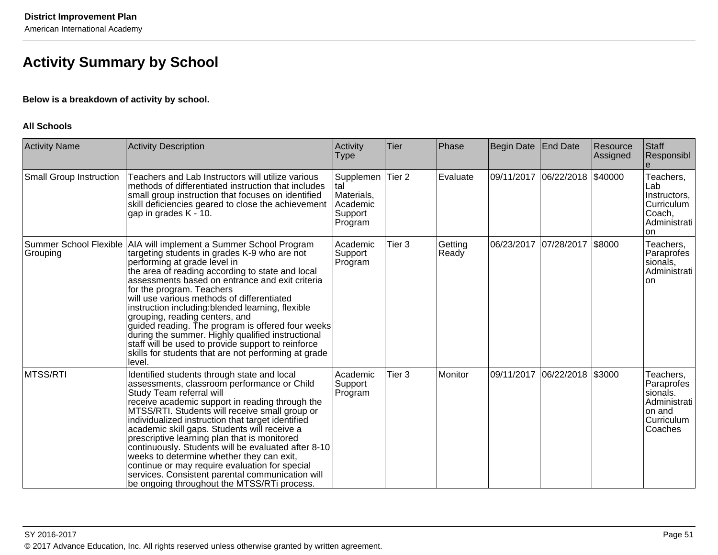# **Activity Summary by School**

### **Below is a breakdown of activity by school.**

#### **All Schools**

| <b>Activity Name</b>           | <b>Activity Description</b>                                                                                                                                                                                                                                                                                                                                                                                                                                                                                                                                                                                                                                   | Activity<br><b>Type</b>                                                 | Tier              | Phase            | Begin Date End Date |            | Resource<br>Assigned | Staff<br>Responsibl                                                                    |
|--------------------------------|---------------------------------------------------------------------------------------------------------------------------------------------------------------------------------------------------------------------------------------------------------------------------------------------------------------------------------------------------------------------------------------------------------------------------------------------------------------------------------------------------------------------------------------------------------------------------------------------------------------------------------------------------------------|-------------------------------------------------------------------------|-------------------|------------------|---------------------|------------|----------------------|----------------------------------------------------------------------------------------|
| <b>Small Group Instruction</b> | Teachers and Lab Instructors will utilize various<br>methods of differentiated instruction that includes<br>small group instruction that focuses on identified<br>skill deficiencies geared to close the achievement<br>gap in grades K - 10.                                                                                                                                                                                                                                                                                                                                                                                                                 | Supplemen Tier 2<br>tal<br>Materials,<br>Academic<br>Support<br>Program |                   | Evaluate         | 09/11/2017          | 06/22/2018 | \$40000              | Teachers,<br>Lab<br>Instructors,<br>Curriculum<br>Coach,<br>Administrati<br>on         |
| Grouping                       | Summer School Flexible   AIA will implement a Summer School Program<br>targeting students in grades K-9 who are not<br>performing at grade level in<br>the area of reading according to state and local<br>assessments based on entrance and exit criteria<br>for the program. Teachers<br>will use various methods of differentiated<br>instruction including:blended learning, flexible<br>grouping, reading centers, and<br>guided reading. The program is offered four weeks<br>during the summer. Highly qualified instructional<br>staff will be used to provide support to reinforce<br>skills for students that are not performing at grade<br>level. | Academic<br>Support<br>Program                                          | Tier <sub>3</sub> | Getting<br>Ready | 06/23/2017          | 07/28/2017 | \$8000               | Teachers,<br>Paraprofes<br>sionals,<br>Administrati<br><b>on</b>                       |
| MTSS/RTI                       | Identified students through state and local<br>assessments, classroom performance or Child<br>Study Team referral will<br>receive academic support in reading through the<br>MTSS/RTI. Students will receive small group or<br>individualized instruction that target identified<br>academic skill gaps. Students will receive a<br>prescriptive learning plan that is monitored<br>continuously. Students will be evaluated after 8-10<br>weeks to determine whether they can exit,<br>continue or may require evaluation for special<br>services. Consistent parental communication will<br>be ongoing throughout the MTSS/RTi process.                     | Academic<br>Support<br>Program                                          | Tier <sub>3</sub> | Monitor          | 09/11/2017          | 06/22/2018 | \$3000               | Teachers,<br>Paraprofes<br>sionals.<br>Administrati<br>on and<br>Curriculum<br>Coaches |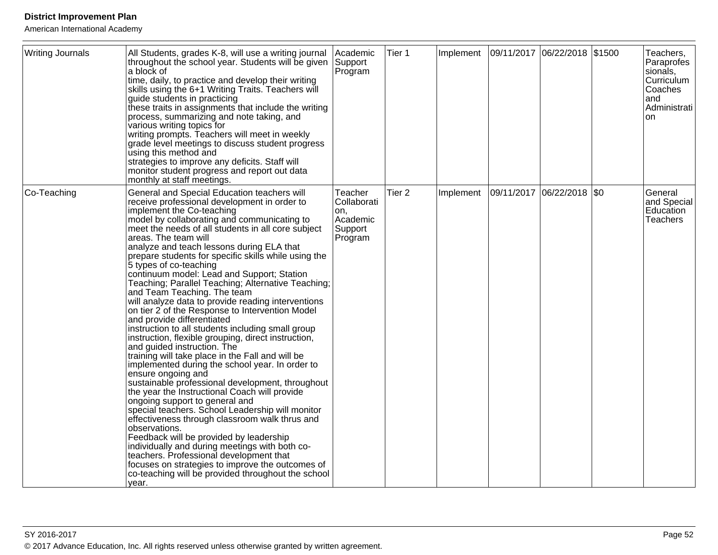| <b>Writing Journals</b> | All Students, grades K-8, will use a writing journal<br>throughout the school year. Students will be given<br>a block of<br>time, daily, to practice and develop their writing<br>skills using the 6+1 Writing Traits. Teachers will<br>guide students in practicing<br>these traits in assignments that include the writing<br>process, summarizing and note taking, and<br>various writing topics for<br>writing prompts. Teachers will meet in weekly<br>grade level meetings to discuss student progress<br>using this method and<br>strategies to improve any deficits. Staff will<br>monitor student progress and report out data<br>monthly at staff meetings.                                                                                                                                                                                                                                                                                                                                                                                                                                                                                                                                                                                                                                                                                                                                                                                           | Academic<br>Support<br>Program                                  | Tier 1            | Implement | 09/11/2017 06/22/2018 \$1500 | Teachers,<br>Paraprofes<br>sionals,<br>Curriculum<br>Coaches<br>land<br>Administrati<br><b>on</b> |
|-------------------------|-----------------------------------------------------------------------------------------------------------------------------------------------------------------------------------------------------------------------------------------------------------------------------------------------------------------------------------------------------------------------------------------------------------------------------------------------------------------------------------------------------------------------------------------------------------------------------------------------------------------------------------------------------------------------------------------------------------------------------------------------------------------------------------------------------------------------------------------------------------------------------------------------------------------------------------------------------------------------------------------------------------------------------------------------------------------------------------------------------------------------------------------------------------------------------------------------------------------------------------------------------------------------------------------------------------------------------------------------------------------------------------------------------------------------------------------------------------------|-----------------------------------------------------------------|-------------------|-----------|------------------------------|---------------------------------------------------------------------------------------------------|
| Co-Teaching             | General and Special Education teachers will<br>receive professional development in order to<br>implement the Co-teaching<br>model by collaborating and communicating to<br>meet the needs of all students in all core subject<br>areas. The team will<br>analyze and teach lessons during ELA that<br>prepare students for specific skills while using the<br>5 types of co-teaching<br>continuum model: Lead and Support; Station<br>Teaching; Parallel Teaching; Alternative Teaching;<br>and Team Teaching. The team<br>will analyze data to provide reading interventions<br>on tier 2 of the Response to Intervention Model<br>and provide differentiated<br>instruction to all students including small group<br>instruction, flexible grouping, direct instruction,<br>and guided instruction. The<br>training will take place in the Fall and will be<br>implemented during the school year. In order to<br>ensure ongoing and<br>sustainable professional development, throughout<br>the year the Instructional Coach will provide<br>ongoing support to general and<br>special teachers. School Leadership will monitor<br>effectiveness through classroom walk thrus and<br>observations.<br>Feedback will be provided by leadership<br>individually and during meetings with both co-<br>teachers. Professional development that<br>focuses on strategies to improve the outcomes of<br>co-teaching will be provided throughout the school<br>year. | Teacher<br>Collaborati<br>on,<br>Academic<br>Support<br>Program | Tier <sub>2</sub> | Implement | 09/11/2017 06/22/2018 \$0    | General<br>and Special<br>Education<br>Teachers                                                   |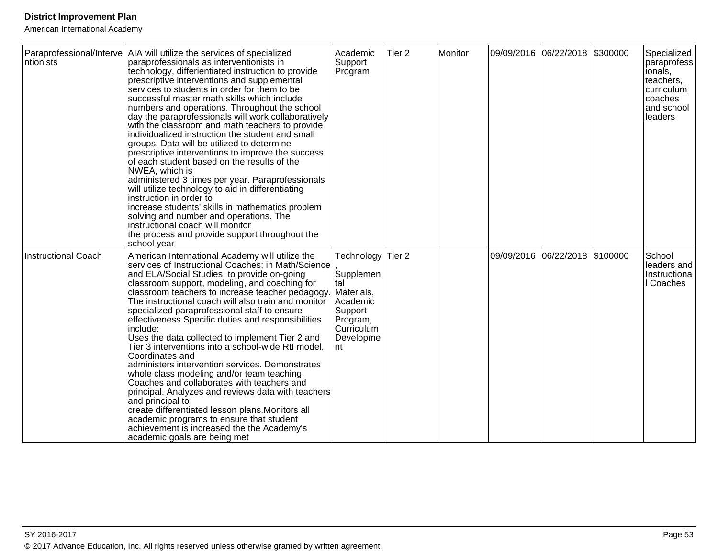| ∣ntionists                 | Paraprofessional/Interve   AIA will utilize the services of specialized<br>paraprofessionals as interventionists in<br>technology, differientiated instruction to provide<br>prescriptive interventions and supplemental<br>services to students in order for them to be<br>successful master math skills which include<br>numbers and operations. Throughout the school<br>day the paraprofessionals will work collaboratively<br>with the classroom and math teachers to provide<br>individualized instruction the student and small<br>groups. Data will be utilized to determine<br>prescriptive interventions to improve the success<br>of each student based on the results of the<br>NWEA, which is<br>administered 3 times per year. Paraprofessionals<br>will utilize technology to aid in differentiating<br>instruction in order to<br>increase students' skills in mathematics problem<br>solving and number and operations. The<br>instructional coach will monitor<br>the process and provide support throughout the<br>school year | Academic<br>Support<br>Program                                                                                           | Tier <sub>2</sub> | Monitor | 09/09/2016 06/22/2018 \$300000 | Specialized<br>paraprofess<br>lionals,<br>teachers,<br>curriculum<br>lcoaches<br>and school<br>leaders |
|----------------------------|---------------------------------------------------------------------------------------------------------------------------------------------------------------------------------------------------------------------------------------------------------------------------------------------------------------------------------------------------------------------------------------------------------------------------------------------------------------------------------------------------------------------------------------------------------------------------------------------------------------------------------------------------------------------------------------------------------------------------------------------------------------------------------------------------------------------------------------------------------------------------------------------------------------------------------------------------------------------------------------------------------------------------------------------------|--------------------------------------------------------------------------------------------------------------------------|-------------------|---------|--------------------------------|--------------------------------------------------------------------------------------------------------|
| <b>Instructional Coach</b> | American International Academy will utilize the<br>services of Instructional Coaches; in Math/Science<br>and ELA/Social Studies to provide on-going<br>classroom support, modeling, and coaching for<br>classroom teachers to increase teacher pedagogy.<br>The instructional coach will also train and monitor<br>specialized paraprofessional staff to ensure<br>effectiveness. Specific duties and responsibilities<br>include:<br>Uses the data collected to implement Tier 2 and<br>Tier 3 interventions into a school-wide RtI model.<br>Coordinates and<br>administers intervention services. Demonstrates<br>whole class modeling and/or team teaching.<br>Coaches and collaborates with teachers and<br>principal. Analyzes and reviews data with teachers<br>and principal to<br>create differentiated lesson plans. Monitors all<br>academic programs to ensure that student<br>achievement is increased the the Academy's<br>academic goals are being met                                                                             | Technology Tier 2<br>Supplemen<br>tal<br>Materials,<br>Academic<br>Support<br>Program,<br>Curriculum<br>Developme<br>Int |                   |         | 09/09/2016 06/22/2018 \$100000 | <b>School</b><br>leaders and<br>Instructiona<br>I Coaches                                              |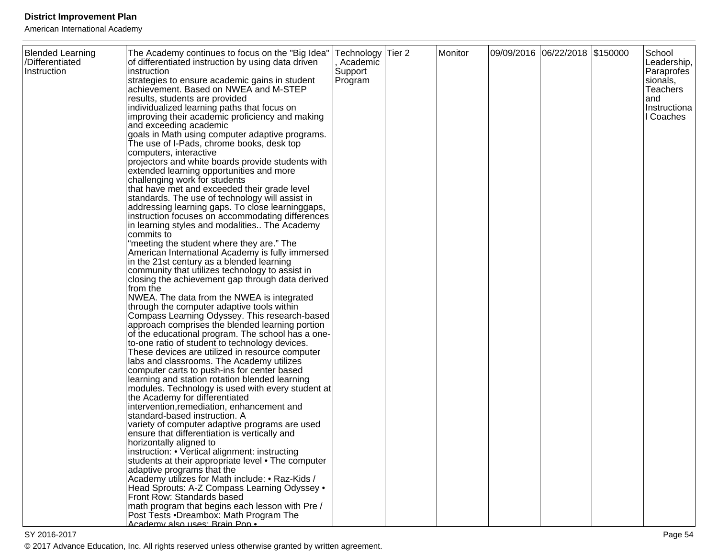| <b>Blended Learning</b><br>/Differentiated<br>Instruction | The Academy continues to focus on the "Big Idea"<br>of differentiated instruction by using data driven<br>instruction<br>strategies to ensure academic gains in student<br>achievement. Based on NWEA and M-STEP<br>results, students are provided<br>individualized learning paths that focus on<br>improving their academic proficiency and making<br>and exceeding academic<br>goals in Math using computer adaptive programs.<br>The use of I-Pads, chrome books, desk top<br>computers, interactive<br>projectors and white boards provide students with<br>extended learning opportunities and more<br>challenging work for students<br>that have met and exceeded their grade level<br>standards. The use of technology will assist in<br>addressing learning gaps. To close learninggaps,<br>instruction focuses on accommodating differences<br>in learning styles and modalities The Academy<br>commits to<br>"meeting the student where they are." The<br>American International Academy is fully immersed<br>in the 21st century as a blended learning<br>community that utilizes technology to assist in<br>closing the achievement gap through data derived<br>from the<br>NWEA. The data from the NWEA is integrated<br>through the computer adaptive tools within<br>Compass Learning Odyssey. This research-based<br>approach comprises the blended learning portion<br>of the educational program. The school has a one-<br>to-one ratio of student to technology devices.<br>These devices are utilized in resource computer<br>labs and classrooms. The Academy utilizes<br>computer carts to push-ins for center based<br>learning and station rotation blended learning<br>modules. Technology is used with every student at<br>the Academy for differentiated<br>intervention, remediation, enhancement and<br>standard-based instruction. A<br>variety of computer adaptive programs are used<br>ensure that differentiation is vertically and<br>horizontally aligned to<br>instruction: • Vertical alignment: instructing<br>students at their appropriate level • The computer<br>adaptive programs that the<br>Academy utilizes for Math include: • Raz-Kids /<br>Head Sprouts: A-Z Compass Learning Odyssey . | Technology Tier 2<br>, Academic<br>Support<br>Program | Monitor | 09/09/2016 06/22/2018 \$150000 | School<br>Leadership,<br>Paraprofes<br>sionals,<br><b>Teachers</b><br>and<br>Instructiona<br>I Coaches |
|-----------------------------------------------------------|--------------------------------------------------------------------------------------------------------------------------------------------------------------------------------------------------------------------------------------------------------------------------------------------------------------------------------------------------------------------------------------------------------------------------------------------------------------------------------------------------------------------------------------------------------------------------------------------------------------------------------------------------------------------------------------------------------------------------------------------------------------------------------------------------------------------------------------------------------------------------------------------------------------------------------------------------------------------------------------------------------------------------------------------------------------------------------------------------------------------------------------------------------------------------------------------------------------------------------------------------------------------------------------------------------------------------------------------------------------------------------------------------------------------------------------------------------------------------------------------------------------------------------------------------------------------------------------------------------------------------------------------------------------------------------------------------------------------------------------------------------------------------------------------------------------------------------------------------------------------------------------------------------------------------------------------------------------------------------------------------------------------------------------------------------------------------------------------------------------------------------------------------------------------------------------------------------------------------------------------|-------------------------------------------------------|---------|--------------------------------|--------------------------------------------------------------------------------------------------------|
|                                                           | Front Row: Standards based<br>math program that begins each lesson with Pre /<br>Post Tests .Dreambox: Math Program The<br>Academy also uses: Brain Pop .                                                                                                                                                                                                                                                                                                                                                                                                                                                                                                                                                                                                                                                                                                                                                                                                                                                                                                                                                                                                                                                                                                                                                                                                                                                                                                                                                                                                                                                                                                                                                                                                                                                                                                                                                                                                                                                                                                                                                                                                                                                                                  |                                                       |         |                                |                                                                                                        |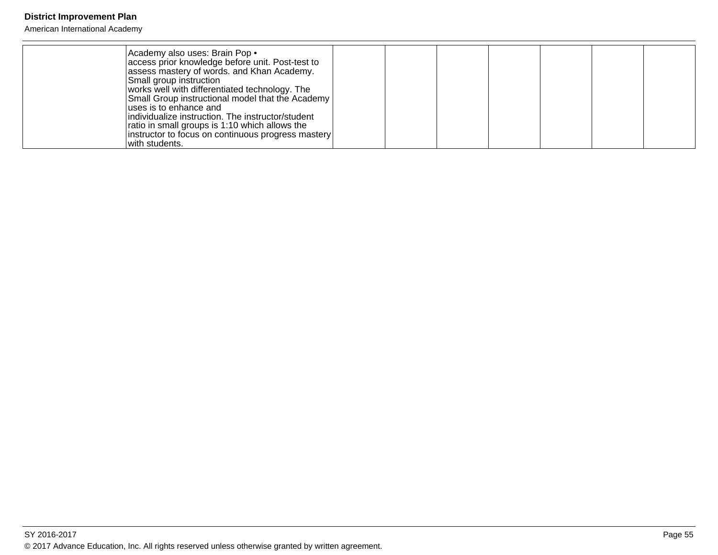| Academy also uses: Brain Pop .<br>access prior knowledge before unit. Post-test to<br>assess mastery of words. and Khan Academy.<br>Small group instruction<br>works well with differentiated technology. The<br>Small Group instructional model that the Academy<br>luses is to enhance and<br>individualize instruction. The instructor/student<br>ratio in small groups is 1:10 which allows the<br>instructor to focus on continuous progress mastery<br>lwith students. |  |  |  |  |
|------------------------------------------------------------------------------------------------------------------------------------------------------------------------------------------------------------------------------------------------------------------------------------------------------------------------------------------------------------------------------------------------------------------------------------------------------------------------------|--|--|--|--|
|------------------------------------------------------------------------------------------------------------------------------------------------------------------------------------------------------------------------------------------------------------------------------------------------------------------------------------------------------------------------------------------------------------------------------------------------------------------------------|--|--|--|--|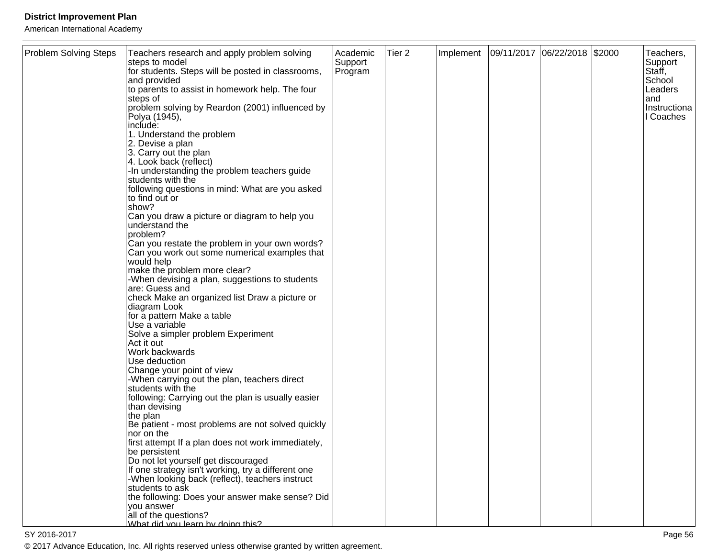American International Academy

| <b>Problem Solving Steps</b> | Teachers research and apply problem solving<br>steps to model                             | Academic<br>Support | Tier <sub>2</sub> | Implement | 09/11/2017 06/22/2018 \$2000 |  | Teachers,<br>Support |
|------------------------------|-------------------------------------------------------------------------------------------|---------------------|-------------------|-----------|------------------------------|--|----------------------|
|                              | for students. Steps will be posted in classrooms,<br>and provided                         | Program             |                   |           |                              |  | Staff,<br>School     |
|                              | to parents to assist in homework help. The four                                           |                     |                   |           |                              |  | Leaders              |
|                              | steps of<br>problem solving by Reardon (2001) influenced by                               |                     |                   |           |                              |  | land<br>Instructiona |
|                              | Polya (1945),<br>include:                                                                 |                     |                   |           |                              |  | I Coaches            |
|                              | 1. Understand the problem                                                                 |                     |                   |           |                              |  |                      |
|                              | 2. Devise a plan                                                                          |                     |                   |           |                              |  |                      |
|                              | 3. Carry out the plan<br>4. Look back (reflect)                                           |                     |                   |           |                              |  |                      |
|                              | -In understanding the problem teachers guide<br>students with the                         |                     |                   |           |                              |  |                      |
|                              | following questions in mind: What are you asked                                           |                     |                   |           |                              |  |                      |
|                              | to find out or<br>show?                                                                   |                     |                   |           |                              |  |                      |
|                              | Can you draw a picture or diagram to help you                                             |                     |                   |           |                              |  |                      |
|                              | understand the<br>problem?                                                                |                     |                   |           |                              |  |                      |
|                              | Can you restate the problem in your own words?                                            |                     |                   |           |                              |  |                      |
|                              | Can you work out some numerical examples that<br>would help                               |                     |                   |           |                              |  |                      |
|                              | make the problem more clear?                                                              |                     |                   |           |                              |  |                      |
|                              | -When devising a plan, suggestions to students<br>are: Guess and                          |                     |                   |           |                              |  |                      |
|                              | check Make an organized list Draw a picture or                                            |                     |                   |           |                              |  |                      |
|                              | diagram Look<br>for a pattern Make a table                                                |                     |                   |           |                              |  |                      |
|                              | Use a variable                                                                            |                     |                   |           |                              |  |                      |
|                              | Solve a simpler problem Experiment<br>Act it out                                          |                     |                   |           |                              |  |                      |
|                              | Work backwards                                                                            |                     |                   |           |                              |  |                      |
|                              | Use deduction<br>Change your point of view                                                |                     |                   |           |                              |  |                      |
|                              | -When carrying out the plan, teachers direct                                              |                     |                   |           |                              |  |                      |
|                              | students with the<br>following: Carrying out the plan is usually easier                   |                     |                   |           |                              |  |                      |
|                              | than devising                                                                             |                     |                   |           |                              |  |                      |
|                              | the plan<br>Be patient - most problems are not solved quickly                             |                     |                   |           |                              |  |                      |
|                              | nor on the                                                                                |                     |                   |           |                              |  |                      |
|                              | first attempt If a plan does not work immediately,<br>be persistent                       |                     |                   |           |                              |  |                      |
|                              | Do not let yourself get discouraged<br>If one strategy isn't working, try a different one |                     |                   |           |                              |  |                      |
|                              | -When looking back (reflect), teachers instruct                                           |                     |                   |           |                              |  |                      |
|                              | students to ask<br>the following: Does your answer make sense? Did                        |                     |                   |           |                              |  |                      |
|                              | you answer                                                                                |                     |                   |           |                              |  |                      |
|                              | all of the questions?<br>What did you learn by doing this?                                |                     |                   |           |                              |  |                      |

en de la provincia de la provincia de la provincia de la provincia de la provincia de la provincia de la provi © 2017 Advance Education, Inc. All rights reserved unless otherwise granted by written agreement.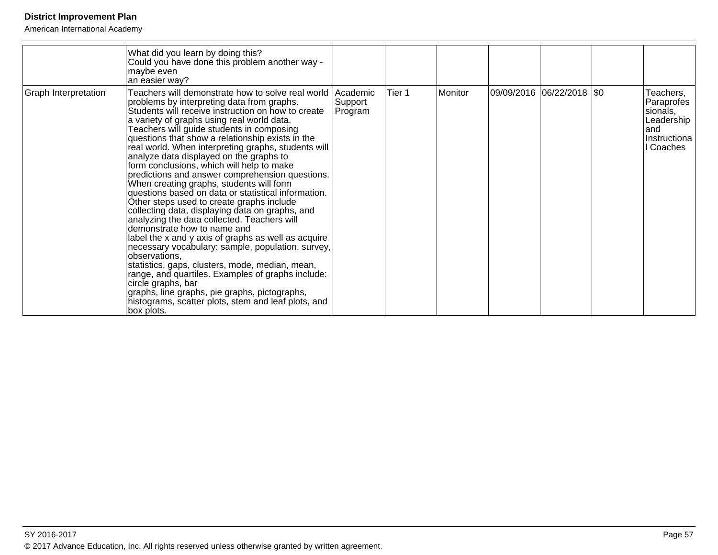|                      | What did you learn by doing this?<br>Could you have done this problem another way -<br>maybe even<br>an easier way?                                                                                                                                                                                                                                                                                                                                                                                                                                                                                                                                                                                                                                                                                                                                                                                                                                                                                                                                                                                                                                                                 |                    |        |         |                           |                                                                                          |
|----------------------|-------------------------------------------------------------------------------------------------------------------------------------------------------------------------------------------------------------------------------------------------------------------------------------------------------------------------------------------------------------------------------------------------------------------------------------------------------------------------------------------------------------------------------------------------------------------------------------------------------------------------------------------------------------------------------------------------------------------------------------------------------------------------------------------------------------------------------------------------------------------------------------------------------------------------------------------------------------------------------------------------------------------------------------------------------------------------------------------------------------------------------------------------------------------------------------|--------------------|--------|---------|---------------------------|------------------------------------------------------------------------------------------|
| Graph Interpretation | Teachers will demonstrate how to solve real world   Academic<br>problems by interpreting data from graphs.<br>Students will receive instruction on how to create<br>a variety of graphs using real world data.<br>Teachers will guide students in composing<br>questions that show a relationship exists in the<br>real world. When interpreting graphs, students will<br>analyze data displayed on the graphs to<br>form conclusions, which will help to make<br>predictions and answer comprehension questions.<br>When creating graphs, students will form<br>questions based on data or statistical information.<br>Other steps used to create graphs include<br>collecting data, displaying data on graphs, and<br>analyzing the data collected. Teachers will<br>demonstrate how to name and<br>label the x and y axis of graphs as well as acquire<br>necessary vocabulary: sample, population, survey,<br>observations,<br>statistics, gaps, clusters, mode, median, mean,<br>range, and quartiles. Examples of graphs include:<br>circle graphs, bar<br>graphs, line graphs, pie graphs, pictographs,<br>histograms, scatter plots, stem and leaf plots, and<br>box plots. | Support<br>Program | Tier 1 | Monitor | 09/09/2016 06/22/2018 \$0 | Teachers,<br>Paraprofes<br>sionals,<br>Leadership<br>land<br>IInstructiona<br>II Coaches |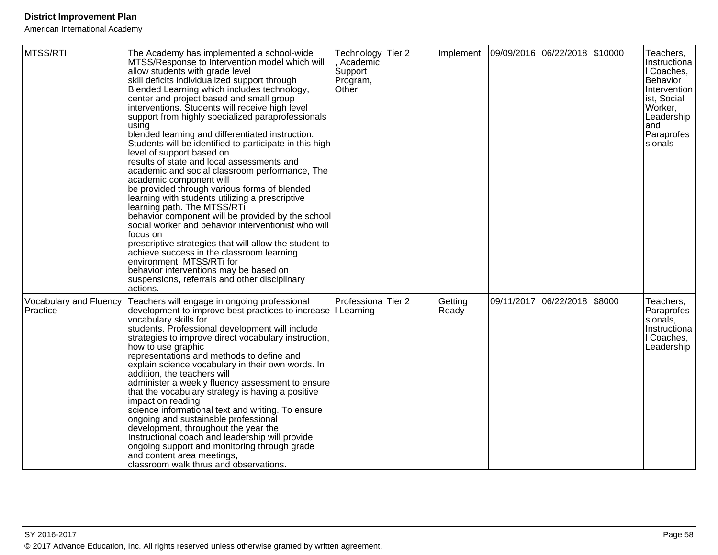| MTSS/RTI                           | The Academy has implemented a school-wide<br>MTSS/Response to Intervention model which will<br>allow students with grade level<br>skill deficits individualized support through<br>Blended Learning which includes technology,<br>center and project based and small group<br>interventions. Students will receive high level<br>support from highly specialized paraprofessionals<br>using<br>blended learning and differentiated instruction.<br>Students will be identified to participate in this high<br>level of support based on<br>results of state and local assessments and<br>academic and social classroom performance, The<br>academic component will<br>be provided through various forms of blended<br>learning with students utilizing a prescriptive<br>learning path. The MTSS/RTi<br>behavior component will be provided by the school<br>social worker and behavior interventionist who will<br>focus on<br>prescriptive strategies that will allow the student to<br>achieve success in the classroom learning<br>environment. MTSS/RTi for<br>behavior interventions may be based on<br>suspensions, referrals and other disciplinary<br>actions. | Technology<br>Academic<br>Support<br>Program,<br>Other | Tier 2            | Implement        | 09/09/2016 06/22/2018 | \$10000 | Teachers,<br>Instructiona<br>I Coaches,<br><b>Behavior</b><br>Intervention<br>ist, Social<br>Worker,<br>Leadership<br>and<br>Paraprofes<br>sionals |
|------------------------------------|-------------------------------------------------------------------------------------------------------------------------------------------------------------------------------------------------------------------------------------------------------------------------------------------------------------------------------------------------------------------------------------------------------------------------------------------------------------------------------------------------------------------------------------------------------------------------------------------------------------------------------------------------------------------------------------------------------------------------------------------------------------------------------------------------------------------------------------------------------------------------------------------------------------------------------------------------------------------------------------------------------------------------------------------------------------------------------------------------------------------------------------------------------------------------|--------------------------------------------------------|-------------------|------------------|-----------------------|---------|----------------------------------------------------------------------------------------------------------------------------------------------------|
| Vocabulary and Fluency<br>Practice | Teachers will engage in ongoing professional<br>development to improve best practices to increase   Learning<br>vocabulary skills for<br>students. Professional development will include<br>strategies to improve direct vocabulary instruction,<br>how to use graphic<br>representations and methods to define and<br>explain science vocabulary in their own words. In<br>addition, the teachers will<br>administer a weekly fluency assessment to ensure<br>that the vocabulary strategy is having a positive<br>impact on reading<br>science informational text and writing. To ensure<br>ongoing and sustainable professional<br>development, throughout the year the<br>Instructional coach and leadership will provide<br>ongoing support and monitoring through grade<br>and content area meetings,<br>classroom walk thrus and observations.                                                                                                                                                                                                                                                                                                                   | Professiona                                            | Tier <sub>2</sub> | Getting<br>Ready | 09/11/2017 06/22/2018 | \$8000  | Teachers,<br>Paraprofes<br>sionals,<br>Instructiona<br>I Coaches,<br>Leadership                                                                    |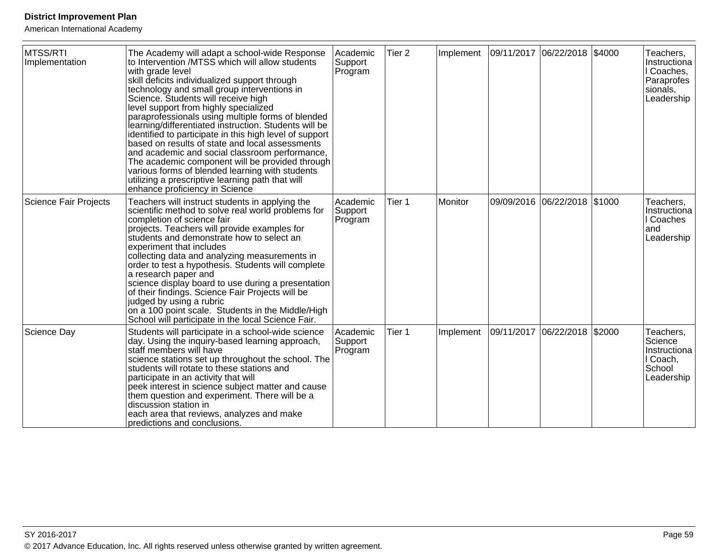| MTSS/RTI<br>Implementation   | The Academy will adapt a school-wide Response<br>to Intervention /MTSS which will allow students<br>with grade level<br>skill deficits individualized support through<br>technology and small group interventions in<br>Science. Students will receive high<br>level support from highly specialized<br>paraprofessionals using multiple forms of blended<br>learning/differentiated instruction. Students will be<br>identified to participate in this high level of support<br>based on results of state and local assessments<br>and academic and social classroom performance,<br>The academic component will be provided through<br>various forms of blended learning with students<br>utilizing a prescriptive learning path that will<br>enhance proficiency in Science | Academic<br>Support<br>Program | Tier 2 | Implement | 09/11/2017 06/22/2018 \$4000 |                                |        | Teachers,<br>Instructiona<br>I Coaches,<br>Paraprofes<br>sionals,<br>Leadership |
|------------------------------|--------------------------------------------------------------------------------------------------------------------------------------------------------------------------------------------------------------------------------------------------------------------------------------------------------------------------------------------------------------------------------------------------------------------------------------------------------------------------------------------------------------------------------------------------------------------------------------------------------------------------------------------------------------------------------------------------------------------------------------------------------------------------------|--------------------------------|--------|-----------|------------------------------|--------------------------------|--------|---------------------------------------------------------------------------------|
| <b>Science Fair Projects</b> | Teachers will instruct students in applying the<br>scientific method to solve real world problems for<br>completion of science fair<br>projects. Teachers will provide examples for<br>students and demonstrate how to select an<br>experiment that includes<br>collecting data and analyzing measurements in<br>order to test a hypothesis. Students will complete<br>a research paper and<br>science display board to use during a presentation<br>of their findings. Science Fair Projects will be<br>judged by using a rubric<br>on a 100 point scale. Students in the Middle/High<br>School will participate in the local Science Fair.                                                                                                                                   | Academic<br>Support<br>Program | Tier 1 | Monitor   |                              | 09/09/2016  06/22/2018  \$1000 |        | Teachers,<br>Instructiona<br>I Coaches<br>land<br>Leadership                    |
| Science Day                  | Students will participate in a school-wide science<br>day. Using the inquiry-based learning approach,<br>staff members will have<br>science stations set up throughout the school. The<br>students will rotate to these stations and<br>participate in an activity that will<br>peek interest in science subject matter and cause<br>them question and experiment. There will be a<br>discussion station in<br>each area that reviews, analyzes and make<br>predictions and conclusions.                                                                                                                                                                                                                                                                                       | Academic<br>Support<br>Program | Tier 1 | Implement | 09/11/2017                   | 06/22/2018                     | \$2000 | Teachers,<br>Science<br>Instructiona<br>I Coach,<br>School<br>Leadership        |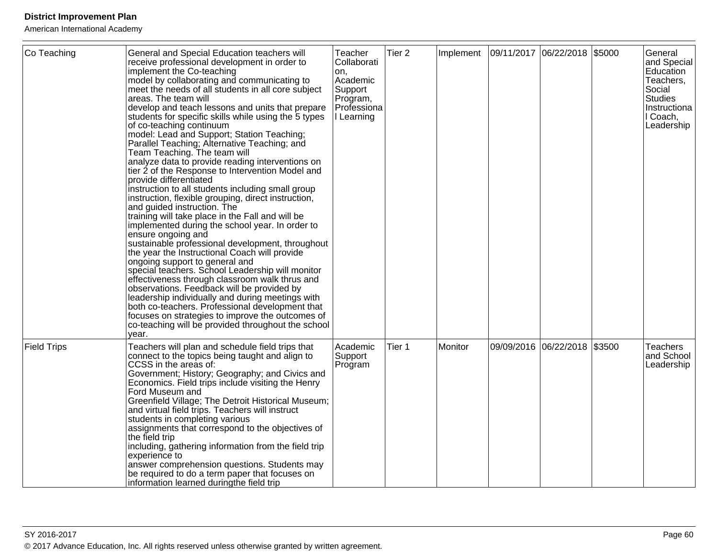| Co Teaching        | General and Special Education teachers will<br>receive professional development in order to<br>implement the Co-teaching<br>model by collaborating and communicating to<br>meet the needs of all students in all core subject<br>areas. The team will<br>develop and teach lessons and units that prepare<br>students for specific skills while using the 5 types<br>of co-teaching continuum<br>model: Lead and Support; Station Teaching;<br>Parallel Teaching; Alternative Teaching; and<br>Team Teaching. The team will<br>analyze data to provide reading interventions on<br>tier 2 of the Response to Intervention Model and<br>provide differentiated<br>instruction to all students including small group<br>instruction, flexible grouping, direct instruction,<br>and guided instruction. The<br>training will take place in the Fall and will be<br>implemented during the school year. In order to<br>ensure ongoing and<br>sustainable professional development, throughout<br>the year the Instructional Coach will provide<br>ongoing support to general and<br>special teachers. School Leadership will monitor<br>effectiveness through classroom walk thrus and<br>observations. Feedback will be provided by<br>leadership individually and during meetings with<br>both co-teachers. Professional development that<br>focuses on strategies to improve the outcomes of<br>co-teaching will be provided throughout the school<br>vear. | Teacher<br>Collaborati<br>on,<br>Academic<br>Support<br>Program,<br>Professiona<br>I Learning | Tier <sub>2</sub> | Implement | 09/11/2017 06/22/2018 \$5000 | General<br>and Special<br>Education<br>Teachers,<br>Social<br><b>Studies</b><br>Instructiona<br>I Coach,<br>Leadership |
|--------------------|------------------------------------------------------------------------------------------------------------------------------------------------------------------------------------------------------------------------------------------------------------------------------------------------------------------------------------------------------------------------------------------------------------------------------------------------------------------------------------------------------------------------------------------------------------------------------------------------------------------------------------------------------------------------------------------------------------------------------------------------------------------------------------------------------------------------------------------------------------------------------------------------------------------------------------------------------------------------------------------------------------------------------------------------------------------------------------------------------------------------------------------------------------------------------------------------------------------------------------------------------------------------------------------------------------------------------------------------------------------------------------------------------------------------------------------------------------|-----------------------------------------------------------------------------------------------|-------------------|-----------|------------------------------|------------------------------------------------------------------------------------------------------------------------|
| <b>Field Trips</b> | Teachers will plan and schedule field trips that<br>connect to the topics being taught and align to<br>CCSS in the areas of:<br>Government; History; Geography; and Civics and<br>Economics. Field trips include visiting the Henry<br><b>Ford Museum and</b><br>Greenfield Village; The Detroit Historical Museum;<br>and virtual field trips. Teachers will instruct<br>students in completing various<br>assignments that correspond to the objectives of<br>the field trip<br>including, gathering information from the field trip<br>experience to<br>answer comprehension questions. Students may<br>be required to do a term paper that focuses on<br>information learned duringthe field trip                                                                                                                                                                                                                                                                                                                                                                                                                                                                                                                                                                                                                                                                                                                                                      | Academic<br>Support<br>Program                                                                | Tier 1            | Monitor   | 09/09/2016 06/22/2018 \$3500 | <b>Teachers</b><br>and School<br>Leadership                                                                            |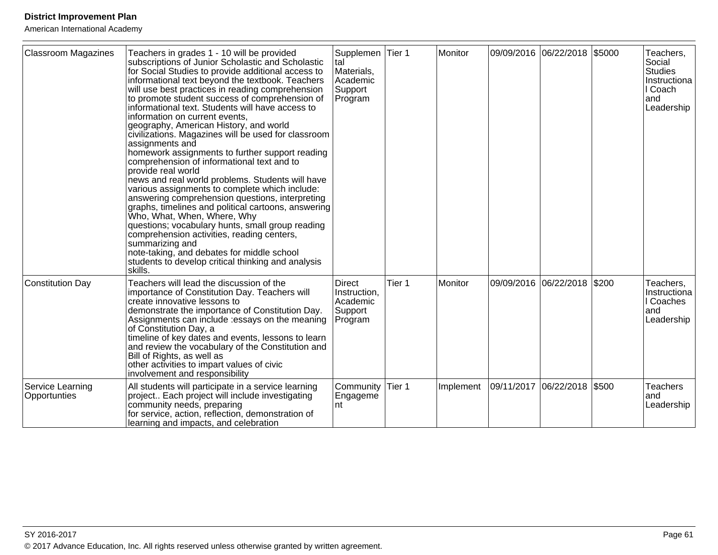| <b>Classroom Magazines</b>       | Teachers in grades 1 - 10 will be provided<br>subscriptions of Junior Scholastic and Scholastic<br>for Social Studies to provide additional access to<br>informational text beyond the textbook. Teachers<br>will use best practices in reading comprehension<br>to promote student success of comprehension of<br>informational text. Students will have access to<br>information on current events,<br>geography, American History, and world<br>civilizations. Magazines will be used for classroom<br>assignments and<br>homework assignments to further support reading<br>comprehension of informational text and to<br>provide real world<br>news and real world problems. Students will have<br>various assignments to complete which include:<br>answering comprehension questions, interpreting<br>graphs, timelines and political cartoons, answering<br>Who, What, When, Where, Why<br>questions; vocabulary hunts, small group reading<br>comprehension activities, reading centers,<br>summarizing and<br>note-taking, and debates for middle school<br>students to develop critical thinking and analysis<br>skills. | Supplemen Tier 1<br>tal<br>Materials,<br>Academic<br>Support<br>Program |        | Monitor        | 09/09/2016 06/22/2018 \$5000 |       | Teachers,<br>Social<br><b>Studies</b><br>Instructiona<br>I Coach<br>land<br>Leadership |
|----------------------------------|-------------------------------------------------------------------------------------------------------------------------------------------------------------------------------------------------------------------------------------------------------------------------------------------------------------------------------------------------------------------------------------------------------------------------------------------------------------------------------------------------------------------------------------------------------------------------------------------------------------------------------------------------------------------------------------------------------------------------------------------------------------------------------------------------------------------------------------------------------------------------------------------------------------------------------------------------------------------------------------------------------------------------------------------------------------------------------------------------------------------------------------|-------------------------------------------------------------------------|--------|----------------|------------------------------|-------|----------------------------------------------------------------------------------------|
| <b>Constitution Day</b>          | Teachers will lead the discussion of the<br>importance of Constitution Day. Teachers will<br>create innovative lessons to<br>demonstrate the importance of Constitution Day.<br>Assignments can include : essays on the meaning<br>of Constitution Day, a<br>timeline of key dates and events, lessons to learn<br>and review the vocabulary of the Constitution and<br>Bill of Rights, as well as<br>other activities to impart values of civic<br>involvement and responsibility                                                                                                                                                                                                                                                                                                                                                                                                                                                                                                                                                                                                                                                  | <b>Direct</b><br>Instruction,<br>Academic<br>Support<br>Program         | Tier 1 | <b>Monitor</b> | 09/09/2016 06/22/2018        | \$200 | Teachers,<br>Instructiona<br>I Coaches<br>land<br>Leadership                           |
| Service Learning<br>Opportunties | All students will participate in a service learning<br>project Each project will include investigating<br>community needs, preparing<br>for service, action, reflection, demonstration of<br>learning and impacts, and celebration                                                                                                                                                                                                                                                                                                                                                                                                                                                                                                                                                                                                                                                                                                                                                                                                                                                                                                  | Community<br>Engageme<br>nt                                             | Tier 1 | Implement      | 09/11/2017 06/22/2018 \$500  |       | <b>Teachers</b><br>and<br>Leadership                                                   |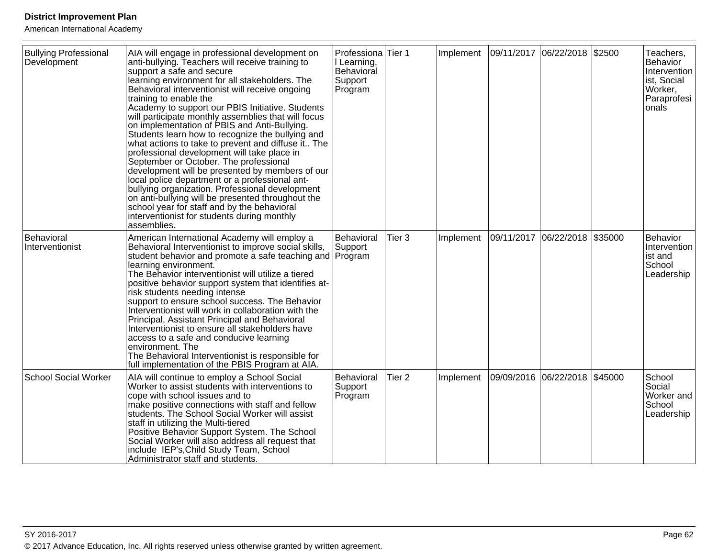| <b>Bullying Professional</b><br>Development | AIA will engage in professional development on<br>anti-bullying. Teachers will receive training to<br>support a safe and secure<br>learning environment for all stakeholders. The<br>Behavioral interventionist will receive ongoing<br>training to enable the<br>Academy to support our PBIS Initiative. Students<br>will participate monthly assemblies that will focus<br>on implementation of PBIS and Anti-Bullying.<br>Students learn how to recognize the bullying and<br>what actions to take to prevent and diffuse it The<br>professional development will take place in<br>September or October. The professional<br>development will be presented by members of our<br>local police department or a professional ant-<br>bullying organization. Professional development<br>on anti-bullying will be presented throughout the<br>school year for staff and by the behavioral<br>interventionist for students during monthly<br>assemblies. | Professiona<br>I Learning,<br>Behavioral<br>Support<br>Program | Tier 1            | Implement | 09/11/2017 06/22/2018 \$2500 |         | Teachers,<br><b>Behavior</b><br>Intervention<br>ist, Social<br>Worker,<br>Paraprofesi<br>onals |
|---------------------------------------------|--------------------------------------------------------------------------------------------------------------------------------------------------------------------------------------------------------------------------------------------------------------------------------------------------------------------------------------------------------------------------------------------------------------------------------------------------------------------------------------------------------------------------------------------------------------------------------------------------------------------------------------------------------------------------------------------------------------------------------------------------------------------------------------------------------------------------------------------------------------------------------------------------------------------------------------------------------|----------------------------------------------------------------|-------------------|-----------|------------------------------|---------|------------------------------------------------------------------------------------------------|
| Behavioral<br>Interventionist               | American International Academy will employ a<br>Behavioral Interventionist to improve social skills,<br>student behavior and promote a safe teaching and Program<br>learning environment.<br>The Behavior interventionist will utilize a tiered<br>positive behavior support system that identifies at-<br>risk students needing intense<br>support to ensure school success. The Behavior<br>Interventionist will work in collaboration with the<br>Principal, Assistant Principal and Behavioral<br>Interventionist to ensure all stakeholders have<br>access to a safe and conducive learning<br>environment. The<br>The Behavioral Interventionist is responsible for<br>full implementation of the PBIS Program at AIA.                                                                                                                                                                                                                           | Behavioral<br>Support                                          | Tier 3            | Implement | 09/11/2017 06/22/2018        | \$35000 | Behavior<br>Intervention<br>ist and<br>School<br>Leadership                                    |
| <b>School Social Worker</b>                 | AIA will continue to employ a School Social<br>Worker to assist students with interventions to<br>cope with school issues and to<br>make positive connections with staff and fellow<br>students. The School Social Worker will assist<br>staff in utilizing the Multi-tiered<br>Positive Behavior Support System. The School<br>Social Worker will also address all request that<br>include IEP's, Child Study Team, School<br>Administrator staff and students.                                                                                                                                                                                                                                                                                                                                                                                                                                                                                       | Behavioral<br>Support<br>Program                               | Tier <sub>2</sub> | Implement | 09/09/2016 06/22/2018        | \$45000 | School<br>Social<br>Worker and<br>School<br>Leadership                                         |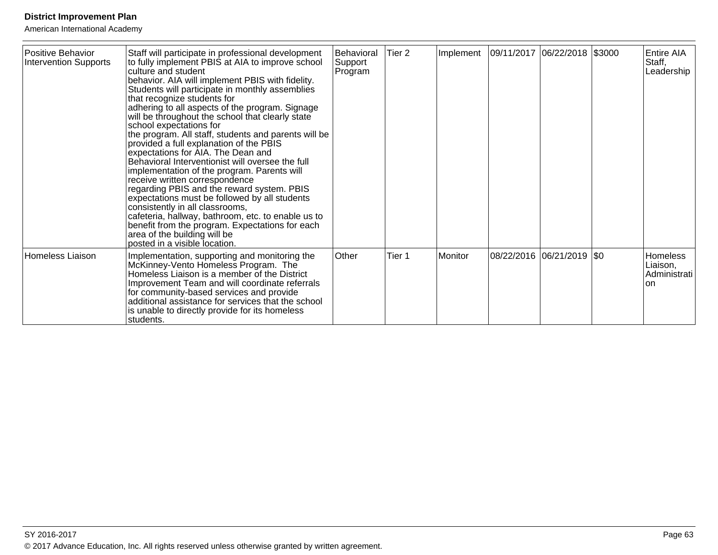| Positive Behavior<br>Intervention Supports | Staff will participate in professional development<br>to fully implement PBIS at AIA to improve school<br>culture and student<br>behavior. AIA will implement PBIS with fidelity.<br>Students will participate in monthly assemblies<br>that recognize students for                                                                                                                                                                                                                                                                                                                                                                                                                                                      | Behavioral<br>Support<br>Program | Tier 2 | Implement | 09/11/2017  06/22/2018  \$3000 |                             | Entire AIA<br>Staff,<br>Leadership                  |
|--------------------------------------------|--------------------------------------------------------------------------------------------------------------------------------------------------------------------------------------------------------------------------------------------------------------------------------------------------------------------------------------------------------------------------------------------------------------------------------------------------------------------------------------------------------------------------------------------------------------------------------------------------------------------------------------------------------------------------------------------------------------------------|----------------------------------|--------|-----------|--------------------------------|-----------------------------|-----------------------------------------------------|
|                                            | adhering to all aspects of the program. Signage<br>will be throughout the school that clearly state<br>school expectations for<br>the program. All staff, students and parents will be<br>provided a full explanation of the PBIS<br>expectations for AIA. The Dean and<br>Behavioral Interventionist will oversee the full<br>implementation of the program. Parents will<br>receive written correspondence<br>regarding PBIS and the reward system. PBIS<br>expectations must be followed by all students<br>consistently in all classrooms,<br>cafeteria, hallway, bathroom, etc. to enable us to<br>benefit from the program. Expectations for each<br>area of the building will be<br>posted in a visible location. |                                  |        |           |                                |                             |                                                     |
| <b>Homeless Liaison</b>                    | Implementation, supporting and monitoring the<br>McKinney-Vento Homeless Program. The<br>Homeless Liaison is a member of the District<br>Improvement Team and will coordinate referrals<br>for community-based services and provide<br>additional assistance for services that the school<br>is unable to directly provide for its homeless<br>students.                                                                                                                                                                                                                                                                                                                                                                 | Other                            | Tier 1 | Monitor   |                                | 08/22/2016  06/21/2019  \$0 | <b>Homeless</b><br>Liaison,<br>Administrati<br>lon. |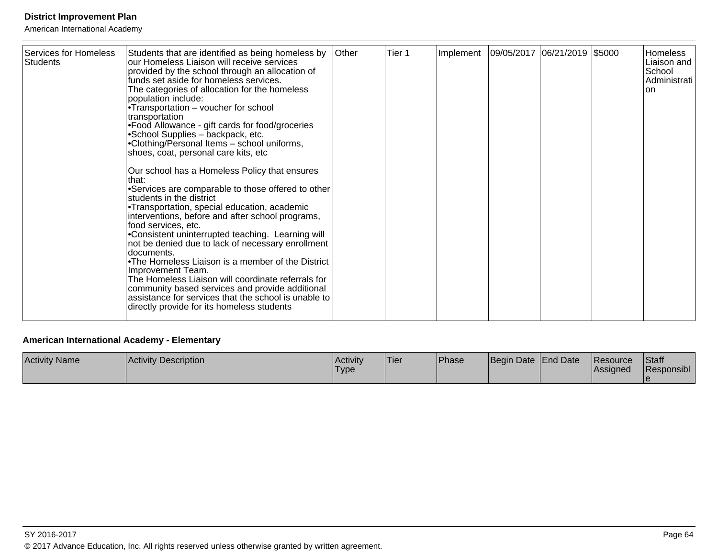American International Academy

| Services for Homeless<br><b>Students</b> | Students that are identified as being homeless by<br>our Homeless Liaison will receive services<br>provided by the school through an allocation of<br>funds set aside for homeless services.<br>The categories of allocation for the homeless<br>population include:<br>• Transportation – voucher for school<br>transportation<br>• Food Allowance - gift cards for food/groceries<br>• School Supplies - backpack, etc.<br>• Clothing/Personal Items - school uniforms,<br>shoes, coat, personal care kits, etc<br>Our school has a Homeless Policy that ensures<br>that:<br>• Services are comparable to those offered to other<br>students in the district<br>• Transportation, special education, academic<br>interventions, before and after school programs,<br>food services, etc.<br>• Consistent uninterrupted teaching. Learning will<br>not be denied due to lack of necessary enrollment<br>documents.<br>• The Homeless Liaison is a member of the District<br>Improvement Team.<br>The Homeless Liaison will coordinate referrals for<br>community based services and provide additional<br>assistance for services that the school is unable to<br>directly provide for its homeless students | <b>Other</b> | Tier 1 | Implement | 09/05/2017 06/21/2019 \$5000 |  |  | <b>Homeless</b><br>Liaison and<br>School<br>Administrati<br>lon. |
|------------------------------------------|---------------------------------------------------------------------------------------------------------------------------------------------------------------------------------------------------------------------------------------------------------------------------------------------------------------------------------------------------------------------------------------------------------------------------------------------------------------------------------------------------------------------------------------------------------------------------------------------------------------------------------------------------------------------------------------------------------------------------------------------------------------------------------------------------------------------------------------------------------------------------------------------------------------------------------------------------------------------------------------------------------------------------------------------------------------------------------------------------------------------------------------------------------------------------------------------------------------|--------------|--------|-----------|------------------------------|--|--|------------------------------------------------------------------|
|------------------------------------------|---------------------------------------------------------------------------------------------------------------------------------------------------------------------------------------------------------------------------------------------------------------------------------------------------------------------------------------------------------------------------------------------------------------------------------------------------------------------------------------------------------------------------------------------------------------------------------------------------------------------------------------------------------------------------------------------------------------------------------------------------------------------------------------------------------------------------------------------------------------------------------------------------------------------------------------------------------------------------------------------------------------------------------------------------------------------------------------------------------------------------------------------------------------------------------------------------------------|--------------|--------|-----------|------------------------------|--|--|------------------------------------------------------------------|

### **American International Academy - Elementary**

| <b>Activity Name</b> | <b>Activity Description</b> | <b>Activity</b><br>'Type | 'Tier | <sup>I</sup> Phase | Begin Date   End Date | <b>IResource</b><br><b>Assigned</b> | Staff<br><b>Responsibl</b> |
|----------------------|-----------------------------|--------------------------|-------|--------------------|-----------------------|-------------------------------------|----------------------------|
|                      |                             |                          |       |                    |                       |                                     |                            |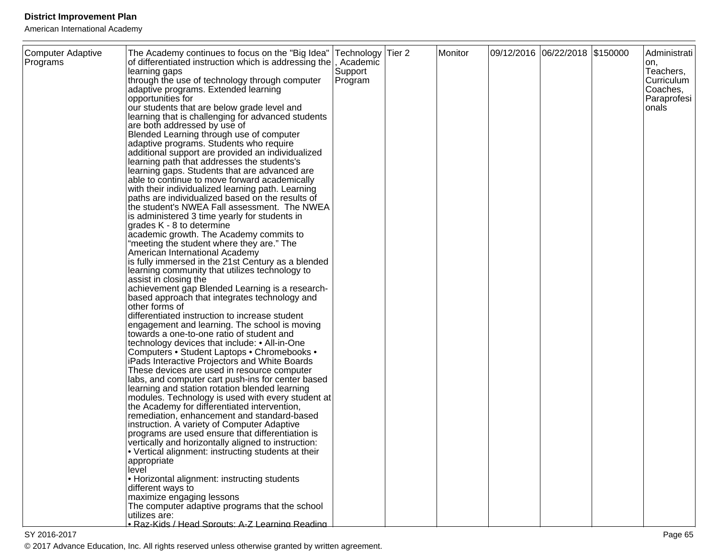| Computer Adaptive<br>Programs | The Academy continues to focus on the "Big Idea"   Technology   Tier 2<br>of differentiated instruction which is addressing the<br>learning gaps<br>through the use of technology through computer<br>adaptive programs. Extended learning<br>opportunities for<br>our students that are below grade level and<br>learning that is challenging for advanced students<br>are both addressed by use of<br>Blended Learning through use of computer<br>adaptive programs. Students who require<br>additional support are provided an individualized<br>learning path that addresses the students's<br>learning gaps. Students that are advanced are<br>able to continue to move forward academically<br>with their individualized learning path. Learning<br>paths are individualized based on the results of<br>the student's NWEA Fall assessment. The NWEA<br>is administered 3 time yearly for students in<br>grades K - 8 to determine<br>academic growth. The Academy commits to<br>"meeting the student where they are." The<br>American International Academy<br>is fully immersed in the 21st Century as a blended<br>learning community that utilizes technology to<br>assist in closing the<br>achievement gap Blended Learning is a research-<br>based approach that integrates technology and<br>other forms of<br>differentiated instruction to increase student<br>engagement and learning. The school is moving<br>towards a one-to-one ratio of student and<br>technology devices that include: • All-in-One<br>Computers • Student Laptops • Chromebooks •<br>iPads Interactive Projectors and White Boards<br>These devices are used in resource computer<br>labs, and computer cart push-ins for center based<br>learning and station rotation blended learning<br>modules. Technology is used with every student at<br>the Academy for differentiated intervention,<br>remediation, enhancement and standard-based<br>instruction. A variety of Computer Adaptive<br>programs are used ensure that differentiation is<br>vertically and horizontally aligned to instruction:<br>• Vertical alignment: instructing students at their<br>appropriate<br>level<br>• Horizontal alignment: instructing students<br>different ways to | , Academic<br>Support<br>Program | Monitor | 09/12/2016 06/22/2018 \$150000 | Administrati<br>on,<br>Teachers,<br>Curriculum<br>Coaches,<br>Paraprofesi<br>onals |
|-------------------------------|----------------------------------------------------------------------------------------------------------------------------------------------------------------------------------------------------------------------------------------------------------------------------------------------------------------------------------------------------------------------------------------------------------------------------------------------------------------------------------------------------------------------------------------------------------------------------------------------------------------------------------------------------------------------------------------------------------------------------------------------------------------------------------------------------------------------------------------------------------------------------------------------------------------------------------------------------------------------------------------------------------------------------------------------------------------------------------------------------------------------------------------------------------------------------------------------------------------------------------------------------------------------------------------------------------------------------------------------------------------------------------------------------------------------------------------------------------------------------------------------------------------------------------------------------------------------------------------------------------------------------------------------------------------------------------------------------------------------------------------------------------------------------------------------------------------------------------------------------------------------------------------------------------------------------------------------------------------------------------------------------------------------------------------------------------------------------------------------------------------------------------------------------------------------------------------------------------------------------------------------------|----------------------------------|---------|--------------------------------|------------------------------------------------------------------------------------|
|                               | maximize engaging lessons<br>The computer adaptive programs that the school<br>utilizes are:<br>· Raz-Kids / Head Sprouts: A-Z Learning Reading                                                                                                                                                                                                                                                                                                                                                                                                                                                                                                                                                                                                                                                                                                                                                                                                                                                                                                                                                                                                                                                                                                                                                                                                                                                                                                                                                                                                                                                                                                                                                                                                                                                                                                                                                                                                                                                                                                                                                                                                                                                                                                    |                                  |         |                                |                                                                                    |